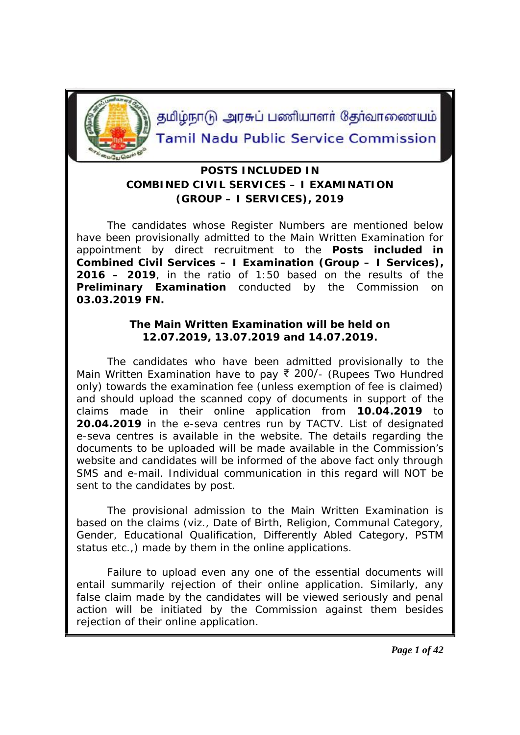

தமிழ்நாடு அரசுப் பணியாளர் தேர்வாணையம் **Tamil Nadu Public Service Commission** 

## **POSTS INCLUDED IN COMBINED CIVIL SERVICES – I EXAMINATION (GROUP – I SERVICES), 2019**

The candidates whose Register Numbers are mentioned below have been provisionally admitted to the Main Written Examination for appointment by direct recruitment to the **Posts included in Combined Civil Services – I Examination (Group – I Services), 2016 – 2019**, in the ratio of 1:50 based on the results of the **Preliminary Examination** conducted by the Commission on **03.03.2019 FN.**

> **The Main Written Examination will be held on 12.07.2019, 13.07.2019 and 14.07.2019.**

The candidates who have been admitted provisionally to the Main Written Examination have to pay ₹ 200/- (Rupees Two Hundred only) towards the examination fee (unless exemption of fee is claimed) and should upload the scanned copy of documents in support of the claims made in their online application from **10.04.2019** to **20.04.2019** in the e-seva centres run by TACTV. List of designated e-seva centres is available in the website. The details regarding the documents to be uploaded will be made available in the Commission's website and candidates will be informed of the above fact only through SMS and e-mail. Individual communication in this regard will NOT be sent to the candidates by post.

The provisional admission to the Main Written Examination is based on the claims (viz., Date of Birth, Religion, Communal Category, Gender, Educational Qualification, Differently Abled Category, PSTM status etc.,) made by them in the online applications.

Failure to upload even any one of the essential documents will entail summarily rejection of their online application. Similarly, any false claim made by the candidates will be viewed seriously and penal action will be initiated by the Commission against them besides rejection of their online application.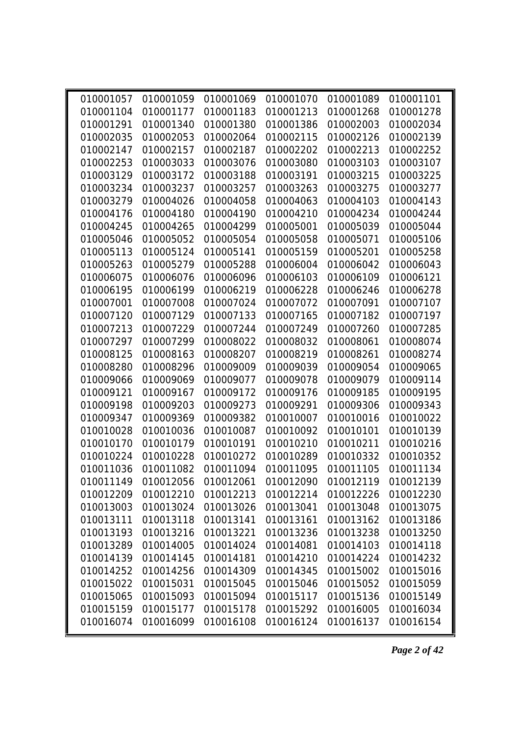| 010001057 | 010001059                     | 010001069 | 010001070 | 010001089                     | 010001101 |
|-----------|-------------------------------|-----------|-----------|-------------------------------|-----------|
| 010001104 | 010001177                     | 010001183 | 010001213 | 010001268                     | 010001278 |
| 010001291 | 010001340                     | 010001380 | 010001386 | 010002003                     | 010002034 |
| 010002035 | 010002053                     | 010002064 | 010002115 | 010002126                     | 010002139 |
| 010002147 | 010002157                     | 010002187 | 010002202 | 010002213                     | 010002252 |
| 010002253 | 010003033                     | 010003076 | 010003080 | 010003103                     | 010003107 |
| 010003129 | 010003172                     | 010003188 | 010003191 | 010003215                     | 010003225 |
| 010003234 | 010003237                     | 010003257 | 010003263 | 010003275                     | 010003277 |
| 010003279 | 010004026                     | 010004058 | 010004063 | 010004103                     | 010004143 |
| 010004176 | 010004180                     | 010004190 | 010004210 | 010004234                     | 010004244 |
| 010004245 | 010004265                     | 010004299 | 010005001 | 010005039                     | 010005044 |
| 010005046 | 010005052                     | 010005054 | 010005058 | 010005071                     | 010005106 |
| 010005113 | 010005124                     | 010005141 | 010005159 | 010005201                     | 010005258 |
| 010005263 | 010005279                     | 010005288 | 010006004 | 010006042                     | 010006043 |
| 010006075 | 010006076                     | 010006096 | 010006103 | 010006109                     | 010006121 |
| 010006195 | 010006199                     | 010006219 | 010006228 | 010006246                     | 010006278 |
| 010007001 | 010007008                     | 010007024 | 010007072 | 010007091                     | 010007107 |
| 010007120 | 010007129                     | 010007133 | 010007165 | 010007182                     | 010007197 |
| 010007213 | 010007229                     | 010007244 | 010007249 | 010007260                     | 010007285 |
| 010007297 | 010007299                     | 010008022 | 010008032 | 010008061                     | 010008074 |
| 010008125 | 010008163                     | 010008207 | 010008219 | 010008261                     | 010008274 |
| 010008280 | 010008296                     | 010009009 | 010009039 | 010009054                     | 010009065 |
| 010009066 | 010009069                     | 010009077 | 010009078 | 010009079                     | 010009114 |
| 010009121 | 010009167                     | 010009172 | 010009176 | 010009185                     | 010009195 |
| 010009198 | 010009203                     | 010009273 | 010009291 | 010009306                     | 010009343 |
| 010009347 | 010009369                     | 010009382 | 010010007 | 010010016                     | 010010022 |
| 010010028 | 010010036                     | 010010087 | 010010092 | 010010101                     | 010010139 |
| 010010170 | 010010179                     | 010010191 | 010010210 | 010010211                     | 010010216 |
| 010010224 | 010010228                     | 010010272 | 010010289 | 010010332                     | 010010352 |
| 010011036 | 010011082                     | 010011094 | 010011095 | 010011105                     | 010011134 |
|           | 010011149 010012056 010012061 |           |           | 010012090 010012119 010012139 |           |
| 010012209 | 010012210                     | 010012213 | 010012214 | 010012226                     | 010012230 |
| 010013003 | 010013024                     | 010013026 | 010013041 | 010013048                     | 010013075 |
| 010013111 | 010013118                     | 010013141 | 010013161 | 010013162                     | 010013186 |
| 010013193 | 010013216                     | 010013221 | 010013236 | 010013238                     | 010013250 |
| 010013289 | 010014005                     | 010014024 | 010014081 | 010014103                     | 010014118 |
| 010014139 | 010014145                     | 010014181 | 010014210 | 010014224                     | 010014232 |
| 010014252 | 010014256                     | 010014309 | 010014345 | 010015002                     | 010015016 |
| 010015022 | 010015031                     | 010015045 | 010015046 | 010015052                     | 010015059 |
| 010015065 | 010015093                     | 010015094 | 010015117 | 010015136                     | 010015149 |
| 010015159 | 010015177                     | 010015178 | 010015292 | 010016005                     | 010016034 |
| 010016074 | 010016099                     | 010016108 | 010016124 | 010016137                     | 010016154 |

*Page 2 of 42*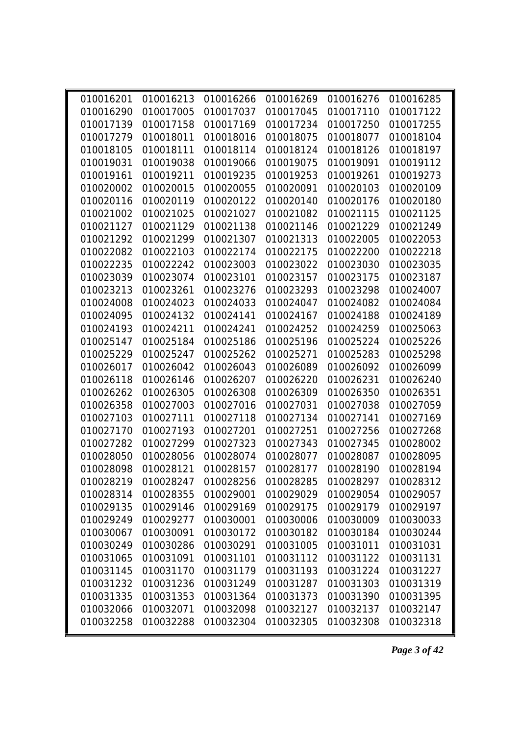| 010016201 | 010016213 | 010016266 | 010016269                                                        | 010016276 | 010016285 |
|-----------|-----------|-----------|------------------------------------------------------------------|-----------|-----------|
| 010016290 | 010017005 | 010017037 | 010017045                                                        | 010017110 | 010017122 |
| 010017139 | 010017158 | 010017169 | 010017234                                                        | 010017250 | 010017255 |
| 010017279 | 010018011 | 010018016 | 010018075                                                        | 010018077 | 010018104 |
| 010018105 | 010018111 | 010018114 | 010018124                                                        | 010018126 | 010018197 |
| 010019031 | 010019038 | 010019066 | 010019075                                                        | 010019091 | 010019112 |
| 010019161 | 010019211 | 010019235 | 010019253                                                        | 010019261 | 010019273 |
| 010020002 | 010020015 | 010020055 | 010020091                                                        | 010020103 | 010020109 |
| 010020116 | 010020119 | 010020122 | 010020140                                                        | 010020176 | 010020180 |
| 010021002 | 010021025 | 010021027 | 010021082                                                        | 010021115 | 010021125 |
| 010021127 | 010021129 | 010021138 | 010021146                                                        | 010021229 | 010021249 |
| 010021292 | 010021299 | 010021307 | 010021313                                                        | 010022005 | 010022053 |
| 010022082 | 010022103 | 010022174 | 010022175                                                        | 010022200 | 010022218 |
| 010022235 | 010022242 | 010023003 | 010023022                                                        | 010023030 | 010023035 |
| 010023039 | 010023074 | 010023101 | 010023157                                                        | 010023175 | 010023187 |
| 010023213 | 010023261 | 010023276 | 010023293                                                        | 010023298 | 010024007 |
| 010024008 | 010024023 | 010024033 | 010024047                                                        | 010024082 | 010024084 |
| 010024095 | 010024132 | 010024141 | 010024167                                                        | 010024188 | 010024189 |
| 010024193 | 010024211 | 010024241 | 010024252                                                        | 010024259 | 010025063 |
| 010025147 | 010025184 | 010025186 | 010025196                                                        | 010025224 | 010025226 |
| 010025229 | 010025247 | 010025262 | 010025271                                                        | 010025283 | 010025298 |
| 010026017 | 010026042 | 010026043 | 010026089                                                        | 010026092 | 010026099 |
| 010026118 | 010026146 | 010026207 | 010026220                                                        | 010026231 | 010026240 |
| 010026262 | 010026305 | 010026308 | 010026309                                                        | 010026350 | 010026351 |
| 010026358 | 010027003 | 010027016 | 010027031                                                        | 010027038 | 010027059 |
| 010027103 | 010027111 | 010027118 | 010027134                                                        | 010027141 | 010027169 |
| 010027170 | 010027193 | 010027201 | 010027251                                                        | 010027256 | 010027268 |
| 010027282 | 010027299 | 010027323 | 010027343                                                        | 010027345 | 010028002 |
| 010028050 | 010028056 | 010028074 | 010028077                                                        | 010028087 | 010028095 |
| 010028098 | 010028121 | 010028157 | 010028177                                                        | 010028190 | 010028194 |
|           |           |           | 010028219  010028247  010028256  010028285  010028297  010028312 |           |           |
| 010028314 | 010028355 | 010029001 | 010029029                                                        | 010029054 | 010029057 |
| 010029135 | 010029146 | 010029169 | 010029175                                                        | 010029179 | 010029197 |
| 010029249 | 010029277 | 010030001 | 010030006                                                        | 010030009 | 010030033 |
| 010030067 | 010030091 | 010030172 | 010030182                                                        | 010030184 | 010030244 |
| 010030249 | 010030286 | 010030291 | 010031005                                                        | 010031011 | 010031031 |
| 010031065 | 010031091 | 010031101 | 010031112                                                        | 010031122 | 010031131 |
| 010031145 | 010031170 | 010031179 | 010031193                                                        | 010031224 | 010031227 |
| 010031232 | 010031236 | 010031249 | 010031287                                                        | 010031303 | 010031319 |
| 010031335 | 010031353 | 010031364 | 010031373                                                        | 010031390 | 010031395 |
| 010032066 | 010032071 | 010032098 | 010032127                                                        | 010032137 | 010032147 |
| 010032258 | 010032288 | 010032304 | 010032305                                                        | 010032308 | 010032318 |

*Page 3 of 42*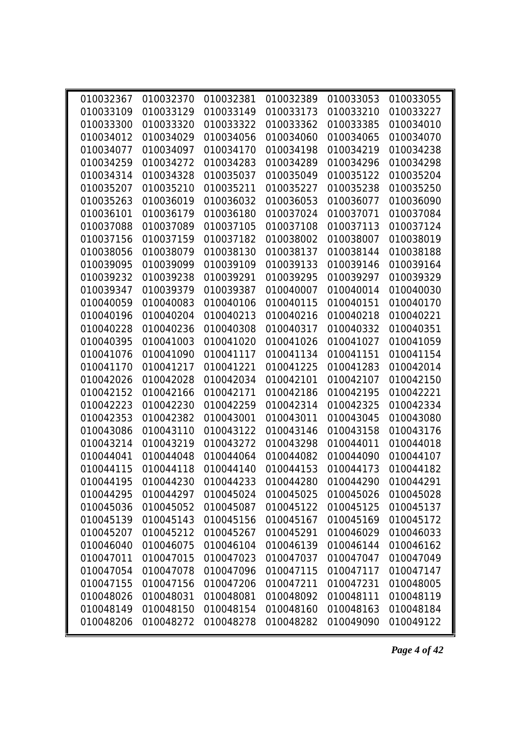| 010032367 | 010032370 | 010032381 | 010032389                                                        | 010033053 | 010033055 |
|-----------|-----------|-----------|------------------------------------------------------------------|-----------|-----------|
| 010033109 | 010033129 | 010033149 | 010033173                                                        | 010033210 | 010033227 |
| 010033300 | 010033320 | 010033322 | 010033362                                                        | 010033385 | 010034010 |
| 010034012 | 010034029 | 010034056 | 010034060                                                        | 010034065 | 010034070 |
| 010034077 | 010034097 | 010034170 | 010034198                                                        | 010034219 | 010034238 |
| 010034259 | 010034272 | 010034283 | 010034289                                                        | 010034296 | 010034298 |
| 010034314 | 010034328 | 010035037 | 010035049                                                        | 010035122 | 010035204 |
| 010035207 | 010035210 | 010035211 | 010035227                                                        | 010035238 | 010035250 |
| 010035263 | 010036019 | 010036032 | 010036053                                                        | 010036077 | 010036090 |
| 010036101 | 010036179 | 010036180 | 010037024                                                        | 010037071 | 010037084 |
| 010037088 | 010037089 | 010037105 | 010037108                                                        | 010037113 | 010037124 |
| 010037156 | 010037159 | 010037182 | 010038002                                                        | 010038007 | 010038019 |
| 010038056 | 010038079 | 010038130 | 010038137                                                        | 010038144 | 010038188 |
| 010039095 | 010039099 | 010039109 | 010039133                                                        | 010039146 | 010039164 |
| 010039232 | 010039238 | 010039291 | 010039295                                                        | 010039297 | 010039329 |
| 010039347 | 010039379 | 010039387 | 010040007                                                        | 010040014 | 010040030 |
| 010040059 | 010040083 | 010040106 | 010040115                                                        | 010040151 | 010040170 |
| 010040196 | 010040204 | 010040213 | 010040216                                                        | 010040218 | 010040221 |
| 010040228 | 010040236 | 010040308 | 010040317                                                        | 010040332 | 010040351 |
| 010040395 | 010041003 | 010041020 | 010041026                                                        | 010041027 | 010041059 |
| 010041076 | 010041090 | 010041117 | 010041134                                                        | 010041151 | 010041154 |
| 010041170 | 010041217 | 010041221 | 010041225                                                        | 010041283 | 010042014 |
| 010042026 | 010042028 | 010042034 | 010042101                                                        | 010042107 | 010042150 |
| 010042152 | 010042166 | 010042171 | 010042186                                                        | 010042195 | 010042221 |
| 010042223 | 010042230 | 010042259 | 010042314                                                        | 010042325 | 010042334 |
| 010042353 | 010042382 | 010043001 | 010043011                                                        | 010043045 | 010043080 |
| 010043086 | 010043110 | 010043122 | 010043146                                                        | 010043158 | 010043176 |
| 010043214 | 010043219 | 010043272 | 010043298                                                        | 010044011 | 010044018 |
| 010044041 | 010044048 | 010044064 | 010044082                                                        | 010044090 | 010044107 |
| 010044115 | 010044118 | 010044140 | 010044153                                                        | 010044173 | 010044182 |
|           |           |           | 010044195  010044230  010044233  010044280  010044290  010044291 |           |           |
| 010044295 | 010044297 | 010045024 | 010045025                                                        | 010045026 | 010045028 |
| 010045036 | 010045052 | 010045087 | 010045122                                                        | 010045125 | 010045137 |
| 010045139 | 010045143 | 010045156 | 010045167                                                        | 010045169 | 010045172 |
| 010045207 | 010045212 | 010045267 | 010045291                                                        | 010046029 | 010046033 |
| 010046040 | 010046075 | 010046104 | 010046139                                                        | 010046144 | 010046162 |
| 010047011 | 010047015 | 010047023 | 010047037                                                        | 010047047 | 010047049 |
| 010047054 | 010047078 | 010047096 | 010047115                                                        | 010047117 | 010047147 |
| 010047155 | 010047156 | 010047206 | 010047211                                                        | 010047231 | 010048005 |
| 010048026 | 010048031 | 010048081 | 010048092                                                        | 010048111 | 010048119 |
| 010048149 | 010048150 | 010048154 | 010048160                                                        | 010048163 | 010048184 |
| 010048206 | 010048272 | 010048278 | 010048282                                                        | 010049090 | 010049122 |

*Page 4 of 42*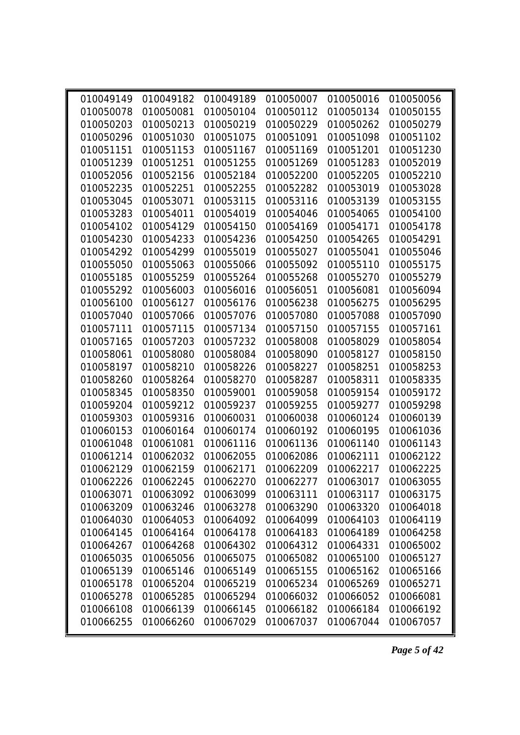| 010049149 | 010049182                               | 010049189 | 010050007 | 010050016 | 010050056 |
|-----------|-----------------------------------------|-----------|-----------|-----------|-----------|
| 010050078 | 010050081                               | 010050104 | 010050112 | 010050134 | 010050155 |
| 010050203 | 010050213                               | 010050219 | 010050229 | 010050262 | 010050279 |
| 010050296 | 010051030                               | 010051075 | 010051091 | 010051098 | 010051102 |
| 010051151 | 010051153                               | 010051167 | 010051169 | 010051201 | 010051230 |
| 010051239 | 010051251                               | 010051255 | 010051269 | 010051283 | 010052019 |
| 010052056 | 010052156                               | 010052184 | 010052200 | 010052205 | 010052210 |
| 010052235 | 010052251                               | 010052255 | 010052282 | 010053019 | 010053028 |
| 010053045 | 010053071                               | 010053115 | 010053116 | 010053139 | 010053155 |
| 010053283 | 010054011                               | 010054019 | 010054046 | 010054065 | 010054100 |
| 010054102 | 010054129                               | 010054150 | 010054169 | 010054171 | 010054178 |
| 010054230 | 010054233                               | 010054236 | 010054250 | 010054265 | 010054291 |
| 010054292 | 010054299                               | 010055019 | 010055027 | 010055041 | 010055046 |
| 010055050 | 010055063                               | 010055066 | 010055092 | 010055110 | 010055175 |
| 010055185 | 010055259                               | 010055264 | 010055268 | 010055270 | 010055279 |
| 010055292 | 010056003                               | 010056016 | 010056051 | 010056081 | 010056094 |
| 010056100 | 010056127                               | 010056176 | 010056238 | 010056275 | 010056295 |
| 010057040 | 010057066                               | 010057076 | 010057080 | 010057088 | 010057090 |
| 010057111 | 010057115                               | 010057134 | 010057150 | 010057155 | 010057161 |
| 010057165 | 010057203                               | 010057232 | 010058008 | 010058029 | 010058054 |
| 010058061 | 010058080                               | 010058084 | 010058090 | 010058127 | 010058150 |
| 010058197 | 010058210                               | 010058226 | 010058227 | 010058251 | 010058253 |
| 010058260 | 010058264                               | 010058270 | 010058287 | 010058311 | 010058335 |
| 010058345 | 010058350                               | 010059001 | 010059058 | 010059154 | 010059172 |
| 010059204 | 010059212                               | 010059237 | 010059255 | 010059277 | 010059298 |
| 010059303 | 010059316                               | 010060031 | 010060038 | 010060124 | 010060139 |
| 010060153 | 010060164                               | 010060174 | 010060192 | 010060195 | 010061036 |
| 010061048 | 010061081                               | 010061116 | 010061136 | 010061140 | 010061143 |
| 010061214 | 010062032                               | 010062055 | 010062086 | 010062111 | 010062122 |
| 010062129 | 010062159                               | 010062171 | 010062209 | 010062217 | 010062225 |
|           | 010062226 010062245 010062270 010062277 |           |           | 010063017 | 010063055 |
| 010063071 | 010063092                               | 010063099 | 010063111 | 010063117 | 010063175 |
| 010063209 | 010063246                               | 010063278 | 010063290 | 010063320 | 010064018 |
| 010064030 | 010064053                               | 010064092 | 010064099 | 010064103 | 010064119 |
| 010064145 | 010064164                               | 010064178 | 010064183 | 010064189 | 010064258 |
| 010064267 | 010064268                               | 010064302 | 010064312 | 010064331 | 010065002 |
| 010065035 | 010065056                               | 010065075 | 010065082 | 010065100 | 010065127 |
| 010065139 | 010065146                               | 010065149 | 010065155 | 010065162 | 010065166 |
| 010065178 | 010065204                               | 010065219 | 010065234 | 010065269 | 010065271 |
| 010065278 | 010065285                               | 010065294 | 010066032 | 010066052 | 010066081 |
| 010066108 | 010066139                               | 010066145 | 010066182 | 010066184 | 010066192 |
| 010066255 | 010066260                               | 010067029 | 010067037 | 010067044 | 010067057 |

*Page 5 of 42*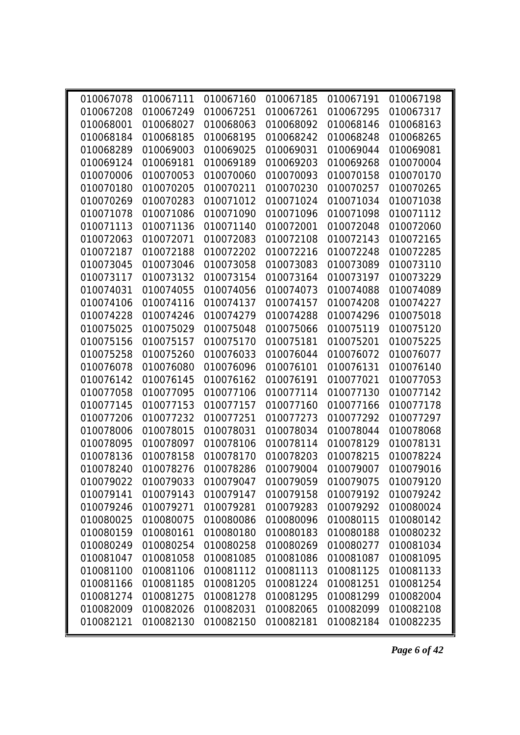| 010067078 | 010067111 | 010067160 | 010067185 | 010067191                                                   | 010067198 |
|-----------|-----------|-----------|-----------|-------------------------------------------------------------|-----------|
| 010067208 | 010067249 | 010067251 | 010067261 | 010067295                                                   | 010067317 |
| 010068001 | 010068027 | 010068063 | 010068092 | 010068146                                                   | 010068163 |
| 010068184 | 010068185 | 010068195 | 010068242 | 010068248                                                   | 010068265 |
| 010068289 | 010069003 | 010069025 | 010069031 | 010069044                                                   | 010069081 |
| 010069124 | 010069181 | 010069189 | 010069203 | 010069268                                                   | 010070004 |
| 010070006 | 010070053 | 010070060 | 010070093 | 010070158                                                   | 010070170 |
| 010070180 | 010070205 | 010070211 | 010070230 | 010070257                                                   | 010070265 |
| 010070269 | 010070283 | 010071012 | 010071024 | 010071034                                                   | 010071038 |
| 010071078 | 010071086 | 010071090 | 010071096 | 010071098                                                   | 010071112 |
| 010071113 | 010071136 | 010071140 | 010072001 | 010072048                                                   | 010072060 |
| 010072063 | 010072071 | 010072083 | 010072108 | 010072143                                                   | 010072165 |
| 010072187 | 010072188 | 010072202 | 010072216 | 010072248                                                   | 010072285 |
| 010073045 | 010073046 | 010073058 | 010073083 | 010073089                                                   | 010073110 |
| 010073117 | 010073132 | 010073154 | 010073164 | 010073197                                                   | 010073229 |
| 010074031 | 010074055 | 010074056 | 010074073 | 010074088                                                   | 010074089 |
| 010074106 | 010074116 | 010074137 | 010074157 | 010074208                                                   | 010074227 |
| 010074228 | 010074246 | 010074279 | 010074288 | 010074296                                                   | 010075018 |
| 010075025 | 010075029 | 010075048 | 010075066 | 010075119                                                   | 010075120 |
| 010075156 | 010075157 | 010075170 | 010075181 | 010075201                                                   | 010075225 |
| 010075258 | 010075260 | 010076033 | 010076044 | 010076072                                                   | 010076077 |
| 010076078 | 010076080 | 010076096 | 010076101 | 010076131                                                   | 010076140 |
| 010076142 | 010076145 | 010076162 | 010076191 | 010077021                                                   | 010077053 |
| 010077058 | 010077095 | 010077106 | 010077114 | 010077130                                                   | 010077142 |
| 010077145 | 010077153 | 010077157 | 010077160 | 010077166                                                   | 010077178 |
| 010077206 | 010077232 | 010077251 | 010077273 | 010077292                                                   | 010077297 |
| 010078006 | 010078015 | 010078031 | 010078034 | 010078044                                                   | 010078068 |
| 010078095 | 010078097 | 010078106 | 010078114 | 010078129                                                   | 010078131 |
| 010078136 | 010078158 | 010078170 | 010078203 | 010078215                                                   | 010078224 |
| 010078240 | 010078276 | 010078286 | 010079004 | 010079007                                                   | 010079016 |
|           |           |           |           | 010079022 010079033 010079047 010079059 010079075 010079120 |           |
| 010079141 | 010079143 | 010079147 | 010079158 | 010079192                                                   | 010079242 |
| 010079246 | 010079271 | 010079281 | 010079283 | 010079292                                                   | 010080024 |
| 010080025 | 010080075 | 010080086 | 010080096 | 010080115                                                   | 010080142 |
| 010080159 | 010080161 | 010080180 | 010080183 | 010080188                                                   | 010080232 |
| 010080249 | 010080254 | 010080258 | 010080269 | 010080277                                                   | 010081034 |
| 010081047 | 010081058 | 010081085 | 010081086 | 010081087                                                   | 010081095 |
| 010081100 | 010081106 | 010081112 | 010081113 | 010081125                                                   | 010081133 |
| 010081166 | 010081185 | 010081205 | 010081224 | 010081251                                                   | 010081254 |
| 010081274 | 010081275 | 010081278 | 010081295 | 010081299                                                   | 010082004 |
| 010082009 | 010082026 | 010082031 | 010082065 | 010082099                                                   | 010082108 |
| 010082121 | 010082130 | 010082150 | 010082181 | 010082184                                                   | 010082235 |

*Page 6 of 42*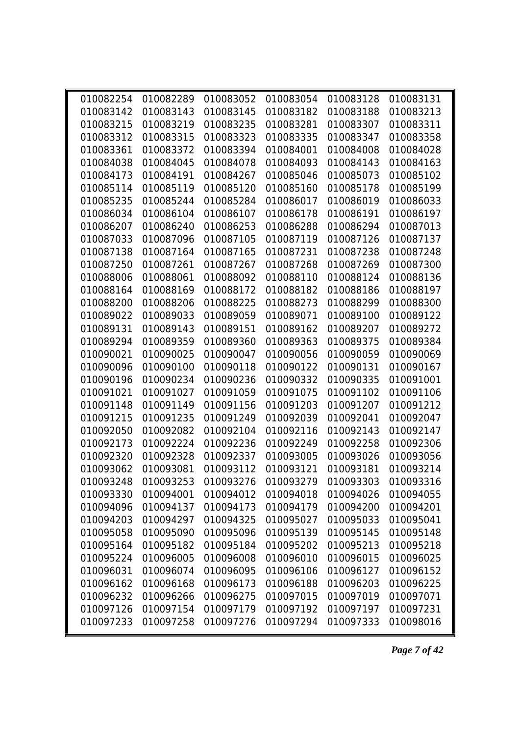| 010082254 | 010082289 | 010083052 | 010083054                                         | 010083128 | 010083131 |
|-----------|-----------|-----------|---------------------------------------------------|-----------|-----------|
| 010083142 | 010083143 | 010083145 | 010083182                                         | 010083188 | 010083213 |
| 010083215 | 010083219 | 010083235 | 010083281                                         | 010083307 | 010083311 |
| 010083312 | 010083315 | 010083323 | 010083335                                         | 010083347 | 010083358 |
| 010083361 | 010083372 | 010083394 | 010084001                                         | 010084008 | 010084028 |
| 010084038 | 010084045 | 010084078 | 010084093                                         | 010084143 | 010084163 |
| 010084173 | 010084191 | 010084267 | 010085046                                         | 010085073 | 010085102 |
| 010085114 | 010085119 | 010085120 | 010085160                                         | 010085178 | 010085199 |
| 010085235 | 010085244 | 010085284 | 010086017                                         | 010086019 | 010086033 |
| 010086034 | 010086104 | 010086107 | 010086178                                         | 010086191 | 010086197 |
| 010086207 | 010086240 | 010086253 | 010086288                                         | 010086294 | 010087013 |
| 010087033 | 010087096 | 010087105 | 010087119                                         | 010087126 | 010087137 |
| 010087138 | 010087164 | 010087165 | 010087231                                         | 010087238 | 010087248 |
| 010087250 | 010087261 | 010087267 | 010087268                                         | 010087269 | 010087300 |
| 010088006 | 010088061 | 010088092 | 010088110                                         | 010088124 | 010088136 |
| 010088164 | 010088169 | 010088172 | 010088182                                         | 010088186 | 010088197 |
| 010088200 | 010088206 | 010088225 | 010088273                                         | 010088299 | 010088300 |
| 010089022 | 010089033 | 010089059 | 010089071                                         | 010089100 | 010089122 |
| 010089131 | 010089143 | 010089151 | 010089162                                         | 010089207 | 010089272 |
| 010089294 | 010089359 | 010089360 | 010089363                                         | 010089375 | 010089384 |
| 010090021 | 010090025 | 010090047 | 010090056                                         | 010090059 | 010090069 |
| 010090096 | 010090100 | 010090118 | 010090122                                         | 010090131 | 010090167 |
| 010090196 | 010090234 | 010090236 | 010090332                                         | 010090335 | 010091001 |
| 010091021 | 010091027 | 010091059 | 010091075                                         | 010091102 | 010091106 |
| 010091148 | 010091149 | 010091156 | 010091203                                         | 010091207 | 010091212 |
| 010091215 | 010091235 | 010091249 | 010092039                                         | 010092041 | 010092047 |
| 010092050 | 010092082 | 010092104 | 010092116                                         | 010092143 | 010092147 |
| 010092173 | 010092224 | 010092236 | 010092249                                         | 010092258 | 010092306 |
| 010092320 | 010092328 | 010092337 | 010093005                                         | 010093026 | 010093056 |
| 010093062 | 010093081 | 010093112 | 010093121                                         | 010093181 | 010093214 |
|           |           |           | 010093248 010093253 010093276 010093279 010093303 |           | 010093316 |
| 010093330 | 010094001 | 010094012 | 010094018                                         | 010094026 | 010094055 |
| 010094096 | 010094137 | 010094173 | 010094179                                         | 010094200 | 010094201 |
| 010094203 | 010094297 | 010094325 | 010095027                                         | 010095033 | 010095041 |
| 010095058 | 010095090 | 010095096 | 010095139                                         | 010095145 | 010095148 |
| 010095164 | 010095182 | 010095184 | 010095202                                         | 010095213 | 010095218 |
| 010095224 | 010096005 | 010096008 | 010096010                                         | 010096015 | 010096025 |
| 010096031 | 010096074 | 010096095 | 010096106                                         | 010096127 | 010096152 |
| 010096162 | 010096168 | 010096173 | 010096188                                         | 010096203 | 010096225 |
| 010096232 | 010096266 | 010096275 | 010097015                                         | 010097019 | 010097071 |
| 010097126 | 010097154 | 010097179 | 010097192                                         | 010097197 | 010097231 |
| 010097233 | 010097258 | 010097276 | 010097294                                         | 010097333 | 010098016 |
|           |           |           |                                                   |           |           |

*Page 7 of 42*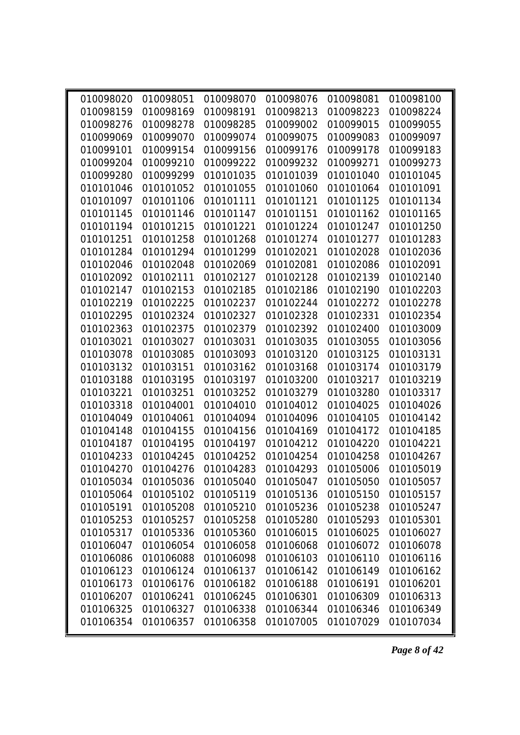| 010098020 | 010098051 | 010098070 | 010098076                                                   | 010098081 | 010098100 |
|-----------|-----------|-----------|-------------------------------------------------------------|-----------|-----------|
| 010098159 | 010098169 | 010098191 | 010098213                                                   | 010098223 | 010098224 |
| 010098276 | 010098278 | 010098285 | 010099002                                                   | 010099015 | 010099055 |
| 010099069 | 010099070 | 010099074 | 010099075                                                   | 010099083 | 010099097 |
| 010099101 | 010099154 | 010099156 | 010099176                                                   | 010099178 | 010099183 |
| 010099204 | 010099210 | 010099222 | 010099232                                                   | 010099271 | 010099273 |
| 010099280 | 010099299 | 010101035 | 010101039                                                   | 010101040 | 010101045 |
| 010101046 | 010101052 | 010101055 | 010101060                                                   | 010101064 | 010101091 |
| 010101097 | 010101106 | 010101111 | 010101121                                                   | 010101125 | 010101134 |
| 010101145 | 010101146 | 010101147 | 010101151                                                   | 010101162 | 010101165 |
| 010101194 | 010101215 | 010101221 | 010101224                                                   | 010101247 | 010101250 |
| 010101251 | 010101258 | 010101268 | 010101274                                                   | 010101277 | 010101283 |
| 010101284 | 010101294 | 010101299 | 010102021                                                   | 010102028 | 010102036 |
| 010102046 | 010102048 | 010102069 | 010102081                                                   | 010102086 | 010102091 |
| 010102092 | 010102111 | 010102127 | 010102128                                                   | 010102139 | 010102140 |
| 010102147 | 010102153 | 010102185 | 010102186                                                   | 010102190 | 010102203 |
| 010102219 | 010102225 | 010102237 | 010102244                                                   | 010102272 | 010102278 |
| 010102295 | 010102324 | 010102327 | 010102328                                                   | 010102331 | 010102354 |
| 010102363 | 010102375 | 010102379 | 010102392                                                   | 010102400 | 010103009 |
| 010103021 | 010103027 | 010103031 | 010103035                                                   | 010103055 | 010103056 |
| 010103078 | 010103085 | 010103093 | 010103120                                                   | 010103125 | 010103131 |
| 010103132 | 010103151 | 010103162 | 010103168                                                   | 010103174 | 010103179 |
| 010103188 | 010103195 | 010103197 | 010103200                                                   | 010103217 | 010103219 |
| 010103221 | 010103251 | 010103252 | 010103279                                                   | 010103280 | 010103317 |
| 010103318 | 010104001 | 010104010 | 010104012                                                   | 010104025 | 010104026 |
| 010104049 | 010104061 | 010104094 | 010104096                                                   | 010104105 | 010104142 |
| 010104148 | 010104155 | 010104156 | 010104169                                                   | 010104172 | 010104185 |
| 010104187 | 010104195 | 010104197 | 010104212                                                   | 010104220 | 010104221 |
| 010104233 | 010104245 | 010104252 | 010104254                                                   | 010104258 | 010104267 |
| 010104270 | 010104276 | 010104283 | 010104293                                                   | 010105006 | 010105019 |
|           |           |           | 010105034 010105036 010105040 010105047 010105050 010105057 |           |           |
| 010105064 | 010105102 | 010105119 | 010105136                                                   | 010105150 | 010105157 |
| 010105191 | 010105208 | 010105210 | 010105236                                                   | 010105238 | 010105247 |
| 010105253 | 010105257 | 010105258 | 010105280                                                   | 010105293 | 010105301 |
| 010105317 | 010105336 | 010105360 | 010106015                                                   | 010106025 | 010106027 |
| 010106047 | 010106054 | 010106058 | 010106068                                                   | 010106072 | 010106078 |
| 010106086 | 010106088 | 010106098 | 010106103                                                   | 010106110 | 010106116 |
| 010106123 | 010106124 | 010106137 | 010106142                                                   | 010106149 | 010106162 |
| 010106173 | 010106176 | 010106182 | 010106188                                                   | 010106191 | 010106201 |
| 010106207 | 010106241 | 010106245 | 010106301                                                   | 010106309 | 010106313 |
| 010106325 | 010106327 | 010106338 | 010106344                                                   | 010106346 | 010106349 |
| 010106354 | 010106357 | 010106358 | 010107005                                                   | 010107029 | 010107034 |
|           |           |           |                                                             |           |           |

*Page 8 of 42*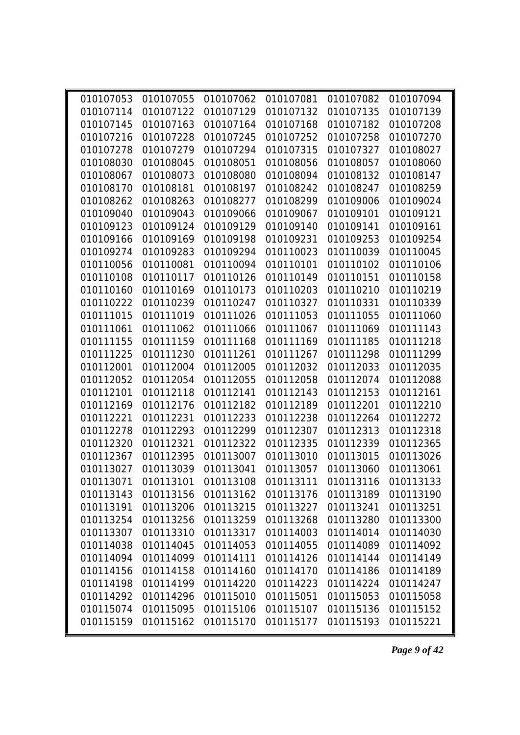|           | 010107053 010107055 010107062 010107081                          |           |           | 010107082 | 010107094 |
|-----------|------------------------------------------------------------------|-----------|-----------|-----------|-----------|
| 010107114 | 010107122                                                        | 010107129 | 010107132 | 010107135 | 010107139 |
| 010107145 | 010107163                                                        | 010107164 | 010107168 | 010107182 | 010107208 |
| 010107216 | 010107228                                                        | 010107245 | 010107252 | 010107258 | 010107270 |
| 010107278 | 010107279                                                        | 010107294 | 010107315 | 010107327 | 010108027 |
| 010108030 | 010108045                                                        | 010108051 | 010108056 | 010108057 | 010108060 |
| 010108067 | 010108073                                                        | 010108080 | 010108094 | 010108132 | 010108147 |
| 010108170 | 010108181                                                        | 010108197 | 010108242 | 010108247 | 010108259 |
| 010108262 | 010108263                                                        | 010108277 | 010108299 | 010109006 | 010109024 |
| 010109040 | 010109043                                                        | 010109066 | 010109067 | 010109101 | 010109121 |
| 010109123 | 010109124                                                        | 010109129 | 010109140 | 010109141 | 010109161 |
| 010109166 | 010109169                                                        | 010109198 | 010109231 | 010109253 | 010109254 |
| 010109274 | 010109283                                                        | 010109294 | 010110023 | 010110039 | 010110045 |
| 010110056 | 010110081                                                        | 010110094 | 010110101 | 010110102 | 010110106 |
| 010110108 | 010110117                                                        | 010110126 | 010110149 | 010110151 | 010110158 |
| 010110160 | 010110169                                                        | 010110173 | 010110203 | 010110210 | 010110219 |
| 010110222 | 010110239                                                        | 010110247 | 010110327 | 010110331 | 010110339 |
| 010111015 | 010111019                                                        | 010111026 | 010111053 | 010111055 | 010111060 |
| 010111061 | 010111062                                                        | 010111066 | 010111067 | 010111069 | 010111143 |
| 010111155 | 010111159                                                        | 010111168 | 010111169 | 010111185 | 010111218 |
| 010111225 | 010111230                                                        | 010111261 | 010111267 | 010111298 | 010111299 |
| 010112001 | 010112004                                                        | 010112005 | 010112032 | 010112033 | 010112035 |
| 010112052 | 010112054                                                        | 010112055 | 010112058 | 010112074 | 010112088 |
| 010112101 | 010112118                                                        | 010112141 | 010112143 | 010112153 | 010112161 |
| 010112169 | 010112176                                                        | 010112182 | 010112189 | 010112201 | 010112210 |
| 010112221 | 010112231                                                        | 010112233 | 010112238 | 010112264 | 010112272 |
| 010112278 | 010112293                                                        | 010112299 | 010112307 | 010112313 | 010112318 |
| 010112320 | 010112321                                                        | 010112322 | 010112335 | 010112339 | 010112365 |
| 010112367 | 010112395                                                        | 010113007 | 010113010 | 010113015 | 010113026 |
| 010113027 | 010113039                                                        | 010113041 | 010113057 | 010113060 | 010113061 |
|           | 010113071  010113101  010113108  010113111  010113116  010113133 |           |           |           |           |
| 010113143 | 010113156                                                        | 010113162 | 010113176 | 010113189 | 010113190 |
| 010113191 | 010113206                                                        | 010113215 | 010113227 | 010113241 | 010113251 |
| 010113254 | 010113256                                                        | 010113259 | 010113268 | 010113280 | 010113300 |
| 010113307 | 010113310                                                        | 010113317 | 010114003 | 010114014 | 010114030 |
| 010114038 | 010114045                                                        | 010114053 | 010114055 | 010114089 | 010114092 |
| 010114094 | 010114099                                                        | 010114111 | 010114126 | 010114144 | 010114149 |
| 010114156 | 010114158                                                        | 010114160 | 010114170 | 010114186 | 010114189 |
| 010114198 | 010114199                                                        | 010114220 | 010114223 | 010114224 | 010114247 |
| 010114292 | 010114296                                                        | 010115010 | 010115051 | 010115053 | 010115058 |
| 010115074 | 010115095                                                        | 010115106 | 010115107 | 010115136 | 010115152 |
| 010115159 | 010115162                                                        | 010115170 | 010115177 | 010115193 | 010115221 |

*Page 9 of 42*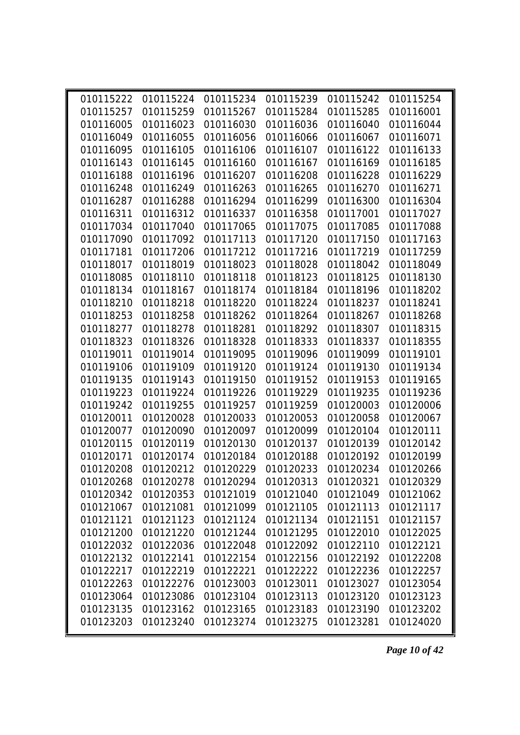|           | 010115222 010115224 |           | 010115234 010115239                                         |           | 010115242 010115254 |  |
|-----------|---------------------|-----------|-------------------------------------------------------------|-----------|---------------------|--|
| 010115257 | 010115259           | 010115267 | 010115284                                                   | 010115285 | 010116001           |  |
| 010116005 | 010116023           | 010116030 | 010116036                                                   | 010116040 | 010116044           |  |
| 010116049 | 010116055           | 010116056 | 010116066                                                   | 010116067 | 010116071           |  |
| 010116095 | 010116105           | 010116106 | 010116107                                                   | 010116122 | 010116133           |  |
| 010116143 | 010116145           | 010116160 | 010116167                                                   | 010116169 | 010116185           |  |
| 010116188 | 010116196           | 010116207 | 010116208                                                   | 010116228 | 010116229           |  |
| 010116248 | 010116249           | 010116263 | 010116265                                                   | 010116270 | 010116271           |  |
| 010116287 | 010116288           | 010116294 | 010116299                                                   | 010116300 | 010116304           |  |
| 010116311 | 010116312           | 010116337 | 010116358                                                   | 010117001 | 010117027           |  |
| 010117034 | 010117040           | 010117065 | 010117075                                                   | 010117085 | 010117088           |  |
| 010117090 | 010117092           | 010117113 | 010117120                                                   | 010117150 | 010117163           |  |
| 010117181 | 010117206           | 010117212 | 010117216                                                   | 010117219 | 010117259           |  |
| 010118017 | 010118019           | 010118023 | 010118028                                                   | 010118042 | 010118049           |  |
| 010118085 | 010118110           | 010118118 | 010118123                                                   | 010118125 | 010118130           |  |
| 010118134 | 010118167           | 010118174 | 010118184                                                   | 010118196 | 010118202           |  |
| 010118210 | 010118218           | 010118220 | 010118224                                                   | 010118237 | 010118241           |  |
| 010118253 | 010118258           | 010118262 | 010118264                                                   | 010118267 | 010118268           |  |
| 010118277 | 010118278           | 010118281 | 010118292                                                   | 010118307 | 010118315           |  |
| 010118323 | 010118326           | 010118328 | 010118333                                                   | 010118337 | 010118355           |  |
| 010119011 | 010119014           | 010119095 | 010119096                                                   | 010119099 | 010119101           |  |
| 010119106 | 010119109           | 010119120 | 010119124                                                   | 010119130 | 010119134           |  |
| 010119135 | 010119143           | 010119150 | 010119152                                                   | 010119153 | 010119165           |  |
| 010119223 | 010119224           | 010119226 | 010119229                                                   | 010119235 | 010119236           |  |
| 010119242 | 010119255           | 010119257 | 010119259                                                   | 010120003 | 010120006           |  |
| 010120011 | 010120028           | 010120033 | 010120053                                                   | 010120058 | 010120067           |  |
| 010120077 | 010120090           | 010120097 | 010120099                                                   | 010120104 | 010120111           |  |
| 010120115 | 010120119           | 010120130 | 010120137                                                   | 010120139 | 010120142           |  |
| 010120171 | 010120174           | 010120184 | 010120188                                                   | 010120192 | 010120199           |  |
| 010120208 | 010120212           | 010120229 | 010120233                                                   | 010120234 | 010120266           |  |
|           |                     |           | 010120268 010120278 010120294 010120313 010120321 010120329 |           |                     |  |
| 010120342 | 010120353           | 010121019 | 010121040                                                   | 010121049 | 010121062           |  |
| 010121067 | 010121081           | 010121099 | 010121105                                                   | 010121113 | 010121117           |  |
| 010121121 | 010121123           | 010121124 | 010121134                                                   | 010121151 | 010121157           |  |
| 010121200 | 010121220           | 010121244 | 010121295                                                   | 010122010 | 010122025           |  |
| 010122032 | 010122036           | 010122048 | 010122092                                                   | 010122110 | 010122121           |  |
| 010122132 | 010122141           | 010122154 | 010122156                                                   | 010122192 | 010122208           |  |
| 010122217 | 010122219           | 010122221 | 010122222                                                   | 010122236 | 010122257           |  |
| 010122263 | 010122276           | 010123003 | 010123011                                                   | 010123027 | 010123054           |  |
| 010123064 | 010123086           | 010123104 | 010123113                                                   | 010123120 | 010123123           |  |
| 010123135 | 010123162           | 010123165 | 010123183                                                   | 010123190 | 010123202           |  |
| 010123203 | 010123240           | 010123274 | 010123275                                                   | 010123281 | 010124020           |  |
|           |                     |           |                                                             |           |                     |  |

*Page 10 of 42*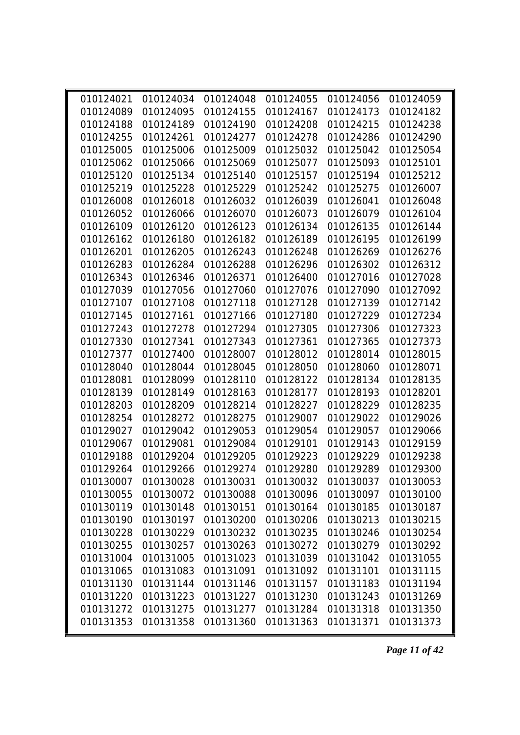| 010124021 |           | 010124034 010124048 010124055 |                                                                  |           | 010124056 010124059 |  |
|-----------|-----------|-------------------------------|------------------------------------------------------------------|-----------|---------------------|--|
| 010124089 | 010124095 | 010124155                     | 010124167                                                        | 010124173 | 010124182           |  |
| 010124188 | 010124189 | 010124190                     | 010124208                                                        | 010124215 | 010124238           |  |
| 010124255 | 010124261 | 010124277                     | 010124278                                                        | 010124286 | 010124290           |  |
| 010125005 | 010125006 | 010125009                     | 010125032                                                        | 010125042 | 010125054           |  |
| 010125062 | 010125066 | 010125069                     | 010125077                                                        | 010125093 | 010125101           |  |
| 010125120 | 010125134 | 010125140                     | 010125157                                                        | 010125194 | 010125212           |  |
| 010125219 | 010125228 | 010125229                     | 010125242                                                        | 010125275 | 010126007           |  |
| 010126008 | 010126018 | 010126032                     | 010126039                                                        | 010126041 | 010126048           |  |
| 010126052 | 010126066 | 010126070                     | 010126073                                                        | 010126079 | 010126104           |  |
| 010126109 | 010126120 | 010126123                     | 010126134                                                        | 010126135 | 010126144           |  |
| 010126162 | 010126180 | 010126182                     | 010126189                                                        | 010126195 | 010126199           |  |
| 010126201 | 010126205 | 010126243                     | 010126248                                                        | 010126269 | 010126276           |  |
| 010126283 | 010126284 | 010126288                     | 010126296                                                        | 010126302 | 010126312           |  |
| 010126343 | 010126346 | 010126371                     | 010126400                                                        | 010127016 | 010127028           |  |
| 010127039 | 010127056 | 010127060                     | 010127076                                                        | 010127090 | 010127092           |  |
| 010127107 | 010127108 | 010127118                     | 010127128                                                        | 010127139 | 010127142           |  |
| 010127145 | 010127161 | 010127166                     | 010127180                                                        | 010127229 | 010127234           |  |
| 010127243 | 010127278 | 010127294                     | 010127305                                                        | 010127306 | 010127323           |  |
| 010127330 | 010127341 | 010127343                     | 010127361                                                        | 010127365 | 010127373           |  |
| 010127377 | 010127400 | 010128007                     | 010128012                                                        | 010128014 | 010128015           |  |
| 010128040 | 010128044 | 010128045                     | 010128050                                                        | 010128060 | 010128071           |  |
| 010128081 | 010128099 | 010128110                     | 010128122                                                        | 010128134 | 010128135           |  |
| 010128139 | 010128149 | 010128163                     | 010128177                                                        | 010128193 | 010128201           |  |
| 010128203 | 010128209 | 010128214                     | 010128227                                                        | 010128229 | 010128235           |  |
| 010128254 | 010128272 | 010128275                     | 010129007                                                        | 010129022 | 010129026           |  |
| 010129027 | 010129042 | 010129053                     | 010129054                                                        | 010129057 | 010129066           |  |
| 010129067 | 010129081 | 010129084                     | 010129101                                                        | 010129143 | 010129159           |  |
| 010129188 | 010129204 | 010129205                     | 010129223                                                        | 010129229 | 010129238           |  |
| 010129264 | 010129266 | 010129274                     | 010129280                                                        | 010129289 | 010129300           |  |
|           |           |                               | 010130007  010130028  010130031  010130032  010130037  010130053 |           |                     |  |
| 010130055 | 010130072 | 010130088                     | 010130096                                                        | 010130097 | 010130100           |  |
| 010130119 | 010130148 | 010130151                     | 010130164                                                        | 010130185 | 010130187           |  |
| 010130190 | 010130197 | 010130200                     | 010130206                                                        | 010130213 | 010130215           |  |
| 010130228 | 010130229 | 010130232                     | 010130235                                                        | 010130246 | 010130254           |  |
| 010130255 | 010130257 | 010130263                     | 010130272                                                        | 010130279 | 010130292           |  |
| 010131004 | 010131005 | 010131023                     | 010131039                                                        | 010131042 | 010131055           |  |
| 010131065 | 010131083 | 010131091                     | 010131092                                                        | 010131101 | 010131115           |  |
| 010131130 | 010131144 | 010131146                     | 010131157                                                        | 010131183 | 010131194           |  |
| 010131220 | 010131223 | 010131227                     | 010131230                                                        | 010131243 | 010131269           |  |
| 010131272 | 010131275 | 010131277                     | 010131284                                                        | 010131318 | 010131350           |  |
| 010131353 | 010131358 | 010131360                     | 010131363                                                        | 010131371 | 010131373           |  |

*Page 11 of 42*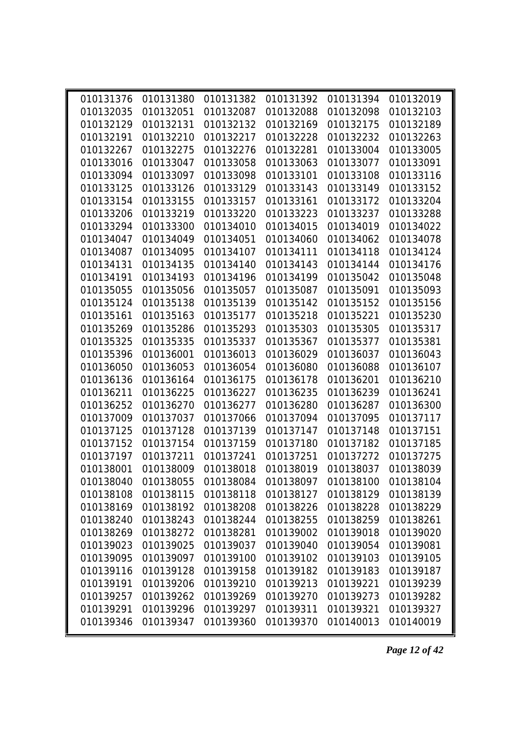| 010131376 | 010131380 | 010131382 | 010131392                                                        | 010131394 | 010132019 |  |
|-----------|-----------|-----------|------------------------------------------------------------------|-----------|-----------|--|
| 010132035 | 010132051 | 010132087 | 010132088                                                        | 010132098 | 010132103 |  |
| 010132129 | 010132131 | 010132132 | 010132169                                                        | 010132175 | 010132189 |  |
| 010132191 | 010132210 | 010132217 | 010132228                                                        | 010132232 | 010132263 |  |
| 010132267 | 010132275 | 010132276 | 010132281                                                        | 010133004 | 010133005 |  |
| 010133016 | 010133047 | 010133058 | 010133063                                                        | 010133077 | 010133091 |  |
| 010133094 | 010133097 | 010133098 | 010133101                                                        | 010133108 | 010133116 |  |
| 010133125 | 010133126 | 010133129 | 010133143                                                        | 010133149 | 010133152 |  |
| 010133154 | 010133155 | 010133157 | 010133161                                                        | 010133172 | 010133204 |  |
| 010133206 | 010133219 | 010133220 | 010133223                                                        | 010133237 | 010133288 |  |
| 010133294 | 010133300 | 010134010 | 010134015                                                        | 010134019 | 010134022 |  |
| 010134047 | 010134049 | 010134051 | 010134060                                                        | 010134062 | 010134078 |  |
| 010134087 | 010134095 | 010134107 | 010134111                                                        | 010134118 | 010134124 |  |
| 010134131 | 010134135 | 010134140 | 010134143                                                        | 010134144 | 010134176 |  |
| 010134191 | 010134193 | 010134196 | 010134199                                                        | 010135042 | 010135048 |  |
| 010135055 | 010135056 | 010135057 | 010135087                                                        | 010135091 | 010135093 |  |
| 010135124 | 010135138 | 010135139 | 010135142                                                        | 010135152 | 010135156 |  |
| 010135161 | 010135163 | 010135177 | 010135218                                                        | 010135221 | 010135230 |  |
| 010135269 | 010135286 | 010135293 | 010135303                                                        | 010135305 | 010135317 |  |
| 010135325 | 010135335 | 010135337 | 010135367                                                        | 010135377 | 010135381 |  |
| 010135396 | 010136001 | 010136013 | 010136029                                                        | 010136037 | 010136043 |  |
| 010136050 | 010136053 | 010136054 | 010136080                                                        | 010136088 | 010136107 |  |
| 010136136 | 010136164 | 010136175 | 010136178                                                        | 010136201 | 010136210 |  |
| 010136211 | 010136225 | 010136227 | 010136235                                                        | 010136239 | 010136241 |  |
| 010136252 | 010136270 | 010136277 | 010136280                                                        | 010136287 | 010136300 |  |
| 010137009 | 010137037 | 010137066 | 010137094                                                        | 010137095 | 010137117 |  |
| 010137125 | 010137128 | 010137139 | 010137147                                                        | 010137148 | 010137151 |  |
| 010137152 | 010137154 | 010137159 | 010137180                                                        | 010137182 | 010137185 |  |
| 010137197 | 010137211 | 010137241 | 010137251                                                        | 010137272 | 010137275 |  |
| 010138001 | 010138009 | 010138018 | 010138019                                                        | 010138037 | 010138039 |  |
|           |           |           | 010138040  010138055  010138084  010138097  010138100  010138104 |           |           |  |
| 010138108 | 010138115 | 010138118 | 010138127                                                        | 010138129 | 010138139 |  |
| 010138169 | 010138192 | 010138208 | 010138226                                                        | 010138228 | 010138229 |  |
| 010138240 | 010138243 | 010138244 | 010138255                                                        | 010138259 | 010138261 |  |
| 010138269 | 010138272 | 010138281 | 010139002                                                        | 010139018 | 010139020 |  |
| 010139023 | 010139025 | 010139037 | 010139040                                                        | 010139054 | 010139081 |  |
| 010139095 | 010139097 | 010139100 | 010139102                                                        | 010139103 | 010139105 |  |
| 010139116 | 010139128 | 010139158 | 010139182                                                        | 010139183 | 010139187 |  |
| 010139191 | 010139206 | 010139210 | 010139213                                                        | 010139221 | 010139239 |  |
| 010139257 | 010139262 | 010139269 | 010139270                                                        | 010139273 | 010139282 |  |
| 010139291 | 010139296 | 010139297 | 010139311                                                        | 010139321 | 010139327 |  |
| 010139346 | 010139347 | 010139360 | 010139370                                                        | 010140013 | 010140019 |  |
|           |           |           |                                                                  |           |           |  |

*Page 12 of 42*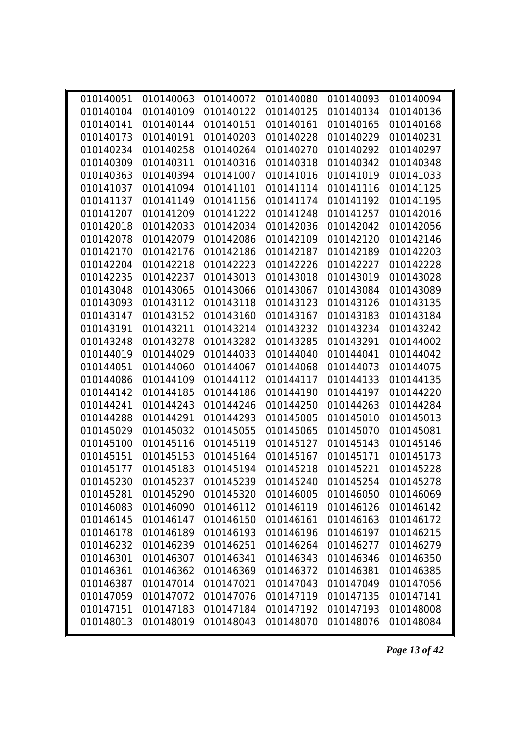|                        | 010140063 |           | 010140072 010140080                                         | 010140093 | 010140094 |
|------------------------|-----------|-----------|-------------------------------------------------------------|-----------|-----------|
| 010140051<br>010140104 | 010140109 | 010140122 | 010140125                                                   | 010140134 | 010140136 |
| 010140141              | 010140144 | 010140151 | 010140161                                                   | 010140165 | 010140168 |
| 010140173              | 010140191 | 010140203 | 010140228                                                   | 010140229 | 010140231 |
| 010140234              | 010140258 | 010140264 | 010140270                                                   | 010140292 | 010140297 |
| 010140309              | 010140311 | 010140316 | 010140318                                                   | 010140342 | 010140348 |
| 010140363              | 010140394 | 010141007 | 010141016                                                   | 010141019 | 010141033 |
| 010141037              | 010141094 | 010141101 | 010141114                                                   | 010141116 | 010141125 |
| 010141137              | 010141149 | 010141156 | 010141174                                                   | 010141192 | 010141195 |
| 010141207              | 010141209 | 010141222 | 010141248                                                   | 010141257 | 010142016 |
| 010142018              | 010142033 | 010142034 | 010142036                                                   | 010142042 | 010142056 |
| 010142078              | 010142079 | 010142086 | 010142109                                                   | 010142120 | 010142146 |
| 010142170              | 010142176 | 010142186 | 010142187                                                   | 010142189 | 010142203 |
| 010142204              | 010142218 | 010142223 | 010142226                                                   | 010142227 | 010142228 |
| 010142235              | 010142237 | 010143013 | 010143018                                                   | 010143019 | 010143028 |
| 010143048              | 010143065 | 010143066 | 010143067                                                   | 010143084 | 010143089 |
| 010143093              | 010143112 | 010143118 | 010143123                                                   | 010143126 | 010143135 |
| 010143147              | 010143152 | 010143160 | 010143167                                                   | 010143183 | 010143184 |
| 010143191              | 010143211 | 010143214 | 010143232                                                   | 010143234 | 010143242 |
| 010143248              | 010143278 | 010143282 | 010143285                                                   | 010143291 | 010144002 |
| 010144019              | 010144029 | 010144033 | 010144040                                                   | 010144041 | 010144042 |
| 010144051              | 010144060 | 010144067 | 010144068                                                   | 010144073 | 010144075 |
| 010144086              | 010144109 | 010144112 | 010144117                                                   | 010144133 | 010144135 |
| 010144142              | 010144185 | 010144186 | 010144190                                                   | 010144197 | 010144220 |
| 010144241              | 010144243 | 010144246 | 010144250                                                   | 010144263 | 010144284 |
| 010144288              | 010144291 | 010144293 | 010145005                                                   | 010145010 | 010145013 |
| 010145029              | 010145032 | 010145055 | 010145065                                                   | 010145070 | 010145081 |
| 010145100              | 010145116 | 010145119 | 010145127                                                   | 010145143 | 010145146 |
| 010145151              | 010145153 | 010145164 | 010145167                                                   | 010145171 | 010145173 |
| 010145177              | 010145183 | 010145194 | 010145218                                                   | 010145221 | 010145228 |
|                        |           |           | 010145230 010145237 010145239 010145240 010145254 010145278 |           |           |
| 010145281              | 010145290 | 010145320 | 010146005                                                   | 010146050 | 010146069 |
| 010146083              | 010146090 | 010146112 | 010146119                                                   | 010146126 | 010146142 |
| 010146145              | 010146147 | 010146150 | 010146161                                                   | 010146163 | 010146172 |
| 010146178              | 010146189 | 010146193 | 010146196                                                   | 010146197 | 010146215 |
| 010146232              | 010146239 | 010146251 | 010146264                                                   | 010146277 | 010146279 |
| 010146301              | 010146307 | 010146341 | 010146343                                                   | 010146346 | 010146350 |
| 010146361              | 010146362 | 010146369 | 010146372                                                   | 010146381 | 010146385 |
| 010146387              | 010147014 | 010147021 | 010147043                                                   | 010147049 | 010147056 |
| 010147059              | 010147072 | 010147076 | 010147119                                                   | 010147135 | 010147141 |
| 010147151              | 010147183 | 010147184 | 010147192                                                   | 010147193 | 010148008 |
| 010148013              | 010148019 | 010148043 | 010148070                                                   | 010148076 | 010148084 |
|                        |           |           |                                                             |           |           |

*Page 13 of 42*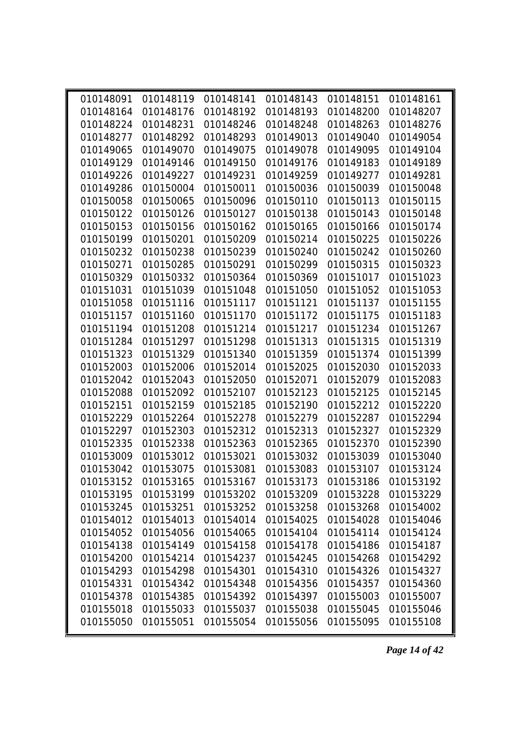| 010148091 | 010148119 | 010148141 | 010148143                                                   | 010148151 | 010148161 |
|-----------|-----------|-----------|-------------------------------------------------------------|-----------|-----------|
| 010148164 | 010148176 | 010148192 | 010148193                                                   | 010148200 | 010148207 |
| 010148224 | 010148231 | 010148246 | 010148248                                                   | 010148263 | 010148276 |
| 010148277 | 010148292 | 010148293 | 010149013                                                   | 010149040 | 010149054 |
| 010149065 | 010149070 | 010149075 | 010149078                                                   | 010149095 | 010149104 |
| 010149129 | 010149146 | 010149150 | 010149176                                                   | 010149183 | 010149189 |
| 010149226 | 010149227 | 010149231 | 010149259                                                   | 010149277 | 010149281 |
| 010149286 | 010150004 | 010150011 | 010150036                                                   | 010150039 | 010150048 |
| 010150058 | 010150065 | 010150096 | 010150110                                                   | 010150113 | 010150115 |
| 010150122 | 010150126 | 010150127 | 010150138                                                   | 010150143 | 010150148 |
| 010150153 | 010150156 | 010150162 | 010150165                                                   | 010150166 | 010150174 |
| 010150199 | 010150201 | 010150209 | 010150214                                                   | 010150225 | 010150226 |
| 010150232 | 010150238 | 010150239 | 010150240                                                   | 010150242 | 010150260 |
| 010150271 | 010150285 | 010150291 | 010150299                                                   | 010150315 | 010150323 |
| 010150329 | 010150332 | 010150364 | 010150369                                                   | 010151017 | 010151023 |
| 010151031 | 010151039 | 010151048 | 010151050                                                   | 010151052 | 010151053 |
| 010151058 | 010151116 | 010151117 | 010151121                                                   | 010151137 | 010151155 |
| 010151157 | 010151160 | 010151170 | 010151172                                                   | 010151175 | 010151183 |
| 010151194 | 010151208 | 010151214 | 010151217                                                   | 010151234 | 010151267 |
| 010151284 | 010151297 | 010151298 | 010151313                                                   | 010151315 | 010151319 |
| 010151323 | 010151329 | 010151340 | 010151359                                                   | 010151374 | 010151399 |
| 010152003 | 010152006 | 010152014 | 010152025                                                   | 010152030 | 010152033 |
| 010152042 | 010152043 | 010152050 | 010152071                                                   | 010152079 | 010152083 |
| 010152088 | 010152092 | 010152107 | 010152123                                                   | 010152125 | 010152145 |
| 010152151 | 010152159 | 010152185 | 010152190                                                   | 010152212 | 010152220 |
| 010152229 | 010152264 | 010152278 | 010152279                                                   | 010152287 | 010152294 |
| 010152297 | 010152303 | 010152312 | 010152313                                                   | 010152327 | 010152329 |
| 010152335 | 010152338 | 010152363 | 010152365                                                   | 010152370 | 010152390 |
| 010153009 | 010153012 | 010153021 | 010153032                                                   | 010153039 | 010153040 |
| 010153042 | 010153075 | 010153081 | 010153083                                                   | 010153107 | 010153124 |
|           |           |           | 010153152 010153165 010153167 010153173 010153186 010153192 |           |           |
| 010153195 | 010153199 | 010153202 | 010153209                                                   | 010153228 | 010153229 |
| 010153245 | 010153251 | 010153252 | 010153258                                                   | 010153268 | 010154002 |
| 010154012 | 010154013 | 010154014 | 010154025                                                   | 010154028 | 010154046 |
| 010154052 | 010154056 | 010154065 | 010154104                                                   | 010154114 | 010154124 |
| 010154138 | 010154149 | 010154158 | 010154178                                                   | 010154186 | 010154187 |
| 010154200 | 010154214 | 010154237 | 010154245                                                   | 010154268 | 010154292 |
| 010154293 | 010154298 | 010154301 | 010154310                                                   | 010154326 | 010154327 |
| 010154331 | 010154342 | 010154348 | 010154356                                                   | 010154357 | 010154360 |
| 010154378 | 010154385 | 010154392 | 010154397                                                   | 010155003 | 010155007 |
| 010155018 | 010155033 | 010155037 | 010155038                                                   | 010155045 | 010155046 |
| 010155050 | 010155051 | 010155054 | 010155056                                                   | 010155095 | 010155108 |
|           |           |           |                                                             |           |           |

*Page 14 of 42*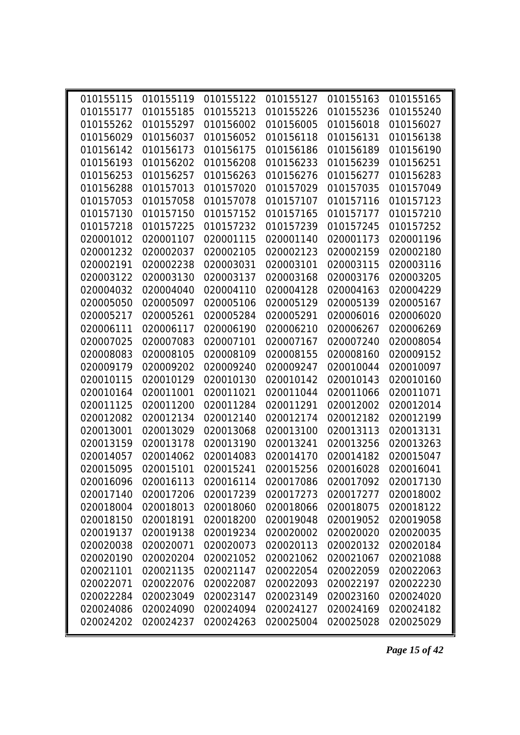| 010155115 | 010155119 | 010155122 | 010155127                                                        | 010155163 | 010155165 |  |
|-----------|-----------|-----------|------------------------------------------------------------------|-----------|-----------|--|
| 010155177 | 010155185 | 010155213 | 010155226                                                        | 010155236 | 010155240 |  |
| 010155262 | 010155297 | 010156002 | 010156005                                                        | 010156018 | 010156027 |  |
| 010156029 | 010156037 | 010156052 | 010156118                                                        | 010156131 | 010156138 |  |
| 010156142 | 010156173 | 010156175 | 010156186                                                        | 010156189 | 010156190 |  |
| 010156193 | 010156202 | 010156208 | 010156233                                                        | 010156239 | 010156251 |  |
| 010156253 | 010156257 | 010156263 | 010156276                                                        | 010156277 | 010156283 |  |
| 010156288 | 010157013 | 010157020 | 010157029                                                        | 010157035 | 010157049 |  |
| 010157053 | 010157058 | 010157078 | 010157107                                                        | 010157116 | 010157123 |  |
| 010157130 | 010157150 | 010157152 | 010157165                                                        | 010157177 | 010157210 |  |
| 010157218 | 010157225 | 010157232 | 010157239                                                        | 010157245 | 010157252 |  |
| 020001012 | 020001107 | 020001115 | 020001140                                                        | 020001173 | 020001196 |  |
| 020001232 | 020002037 | 020002105 | 020002123                                                        | 020002159 | 020002180 |  |
| 020002191 | 020002238 | 020003031 | 020003101                                                        | 020003115 | 020003116 |  |
| 020003122 | 020003130 | 020003137 | 020003168                                                        | 020003176 | 020003205 |  |
| 020004032 | 020004040 | 020004110 | 020004128                                                        | 020004163 | 020004229 |  |
| 020005050 | 020005097 | 020005106 | 020005129                                                        | 020005139 | 020005167 |  |
| 020005217 | 020005261 | 020005284 | 020005291                                                        | 020006016 | 020006020 |  |
| 020006111 | 020006117 | 020006190 | 020006210                                                        | 020006267 | 020006269 |  |
| 020007025 | 020007083 | 020007101 | 020007167                                                        | 020007240 | 020008054 |  |
| 020008083 | 020008105 | 020008109 | 020008155                                                        | 020008160 | 020009152 |  |
| 020009179 | 020009202 | 020009240 | 020009247                                                        | 020010044 | 020010097 |  |
| 020010115 | 020010129 | 020010130 | 020010142                                                        | 020010143 | 020010160 |  |
| 020010164 | 020011001 | 020011021 | 020011044                                                        | 020011066 | 020011071 |  |
| 020011125 | 020011200 | 020011284 | 020011291                                                        | 020012002 | 020012014 |  |
| 020012082 | 020012134 | 020012140 | 020012174                                                        | 020012182 | 020012199 |  |
| 020013001 | 020013029 | 020013068 | 020013100                                                        | 020013113 | 020013131 |  |
| 020013159 | 020013178 | 020013190 | 020013241                                                        | 020013256 | 020013263 |  |
| 020014057 | 020014062 | 020014083 | 020014170                                                        | 020014182 | 020015047 |  |
| 020015095 | 020015101 | 020015241 | 020015256                                                        | 020016028 | 020016041 |  |
|           |           |           | 020016096  020016113  020016114  020017086  020017092  020017130 |           |           |  |
| 020017140 | 020017206 | 020017239 | 020017273                                                        | 020017277 | 020018002 |  |
| 020018004 | 020018013 | 020018060 | 020018066                                                        | 020018075 | 020018122 |  |
| 020018150 | 020018191 | 020018200 | 020019048                                                        | 020019052 | 020019058 |  |
| 020019137 | 020019138 | 020019234 | 020020002                                                        | 020020020 | 020020035 |  |
| 020020038 | 020020071 | 020020073 | 020020113                                                        | 020020132 | 020020184 |  |
| 020020190 | 020020204 | 020021052 | 020021062                                                        | 020021067 | 020021088 |  |
| 020021101 | 020021135 | 020021147 | 020022054                                                        | 020022059 | 020022063 |  |
| 020022071 | 020022076 | 020022087 | 020022093                                                        | 020022197 | 020022230 |  |
| 020022284 | 020023049 | 020023147 | 020023149                                                        | 020023160 | 020024020 |  |
| 020024086 | 020024090 | 020024094 | 020024127                                                        | 020024169 | 020024182 |  |
| 020024202 | 020024237 | 020024263 | 020025004                                                        | 020025028 | 020025029 |  |
|           |           |           |                                                                  |           |           |  |

*Page 15 of 42*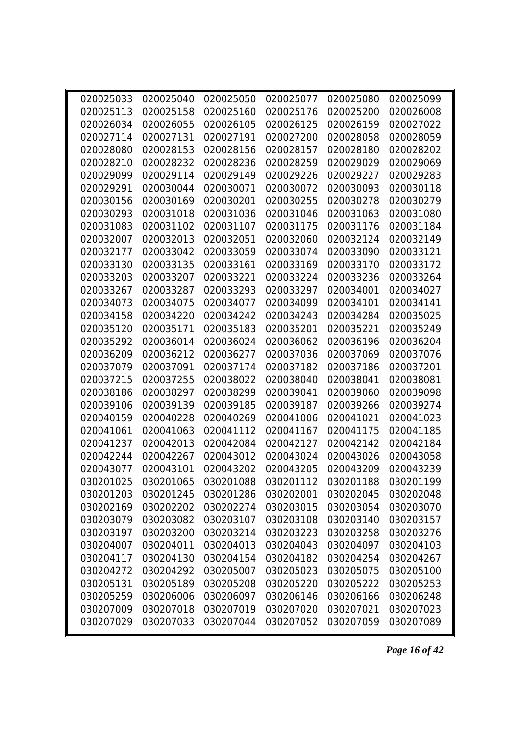| 020025033 | 020025040 | 020025050 | 020025077                                  | 020025080 | 020025099 |
|-----------|-----------|-----------|--------------------------------------------|-----------|-----------|
| 020025113 | 020025158 | 020025160 | 020025176                                  | 020025200 | 020026008 |
| 020026034 | 020026055 | 020026105 | 020026125                                  | 020026159 | 020027022 |
| 020027114 | 020027131 | 020027191 | 020027200                                  | 020028058 | 020028059 |
| 020028080 | 020028153 | 020028156 | 020028157                                  | 020028180 | 020028202 |
| 020028210 | 020028232 | 020028236 | 020028259                                  | 020029029 | 020029069 |
| 020029099 | 020029114 | 020029149 | 020029226                                  | 020029227 | 020029283 |
| 020029291 | 020030044 | 020030071 | 020030072                                  | 020030093 | 020030118 |
| 020030156 | 020030169 | 020030201 | 020030255                                  | 020030278 | 020030279 |
| 020030293 | 020031018 | 020031036 | 020031046                                  | 020031063 | 020031080 |
| 020031083 | 020031102 | 020031107 | 020031175                                  | 020031176 | 020031184 |
| 020032007 | 020032013 | 020032051 | 020032060                                  | 020032124 | 020032149 |
| 020032177 | 020033042 | 020033059 | 020033074                                  | 020033090 | 020033121 |
| 020033130 | 020033135 | 020033161 | 020033169                                  | 020033170 | 020033172 |
| 020033203 | 020033207 | 020033221 | 020033224                                  | 020033236 | 020033264 |
| 020033267 | 020033287 | 020033293 | 020033297                                  | 020034001 | 020034027 |
| 020034073 | 020034075 | 020034077 | 020034099                                  | 020034101 | 020034141 |
| 020034158 | 020034220 | 020034242 | 020034243                                  | 020034284 | 020035025 |
| 020035120 | 020035171 | 020035183 | 020035201                                  | 020035221 | 020035249 |
| 020035292 | 020036014 | 020036024 | 020036062                                  | 020036196 | 020036204 |
| 020036209 | 020036212 | 020036277 | 020037036                                  | 020037069 | 020037076 |
| 020037079 | 020037091 | 020037174 | 020037182                                  | 020037186 | 020037201 |
| 020037215 | 020037255 | 020038022 | 020038040                                  | 020038041 | 020038081 |
| 020038186 | 020038297 | 020038299 | 020039041                                  | 020039060 | 020039098 |
| 020039106 | 020039139 | 020039185 | 020039187                                  | 020039266 | 020039274 |
| 020040159 | 020040228 | 020040269 | 020041006                                  | 020041021 | 020041023 |
| 020041061 | 020041063 | 020041112 | 020041167                                  | 020041175 | 020041185 |
| 020041237 | 020042013 | 020042084 | 020042127                                  | 020042142 | 020042184 |
| 020042244 | 020042267 | 020043012 | 020043024                                  | 020043026 | 020043058 |
| 020043077 | 020043101 | 020043202 | 020043205                                  | 020043209 | 020043239 |
|           |           |           | 030201025  030201065  030201088  030201112 | 030201188 | 030201199 |
| 030201203 | 030201245 | 030201286 | 030202001                                  | 030202045 | 030202048 |
| 030202169 | 030202202 | 030202274 | 030203015                                  | 030203054 | 030203070 |
| 030203079 | 030203082 | 030203107 | 030203108                                  | 030203140 | 030203157 |
| 030203197 | 030203200 | 030203214 | 030203223                                  | 030203258 | 030203276 |
| 030204007 | 030204011 | 030204013 | 030204043                                  | 030204097 | 030204103 |
| 030204117 | 030204130 | 030204154 | 030204182                                  | 030204254 | 030204267 |
| 030204272 | 030204292 | 030205007 | 030205023                                  | 030205075 | 030205100 |
| 030205131 | 030205189 | 030205208 | 030205220                                  | 030205222 | 030205253 |
| 030205259 | 030206006 | 030206097 | 030206146                                  | 030206166 | 030206248 |
| 030207009 | 030207018 | 030207019 | 030207020                                  | 030207021 | 030207023 |
| 030207029 | 030207033 | 030207044 | 030207052                                  | 030207059 | 030207089 |

*Page 16 of 42*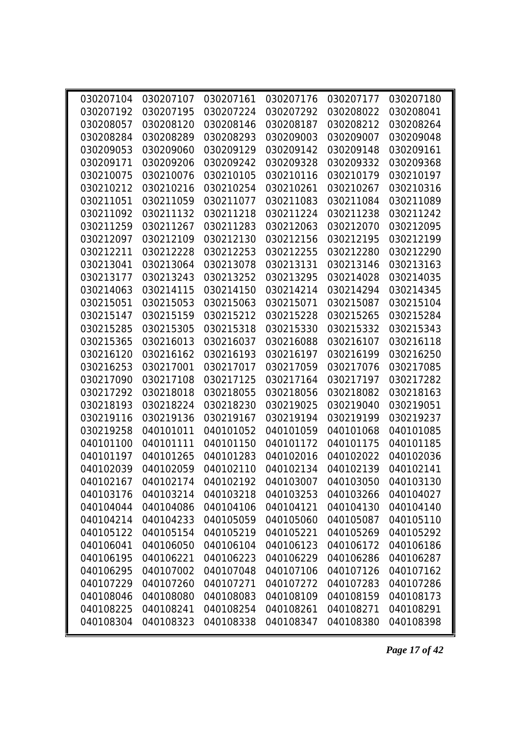| 030207104 | 030207107 | 030207161 | 030207176                                                        | 030207177 | 030207180 |
|-----------|-----------|-----------|------------------------------------------------------------------|-----------|-----------|
| 030207192 | 030207195 | 030207224 | 030207292                                                        | 030208022 | 030208041 |
| 030208057 | 030208120 | 030208146 | 030208187                                                        | 030208212 | 030208264 |
| 030208284 | 030208289 | 030208293 | 030209003                                                        | 030209007 | 030209048 |
| 030209053 | 030209060 | 030209129 | 030209142                                                        | 030209148 | 030209161 |
| 030209171 | 030209206 | 030209242 | 030209328                                                        | 030209332 | 030209368 |
| 030210075 | 030210076 | 030210105 | 030210116                                                        | 030210179 | 030210197 |
| 030210212 | 030210216 | 030210254 | 030210261                                                        | 030210267 | 030210316 |
| 030211051 | 030211059 | 030211077 | 030211083                                                        | 030211084 | 030211089 |
| 030211092 | 030211132 | 030211218 | 030211224                                                        | 030211238 | 030211242 |
| 030211259 | 030211267 | 030211283 | 030212063                                                        | 030212070 | 030212095 |
| 030212097 | 030212109 | 030212130 | 030212156                                                        | 030212195 | 030212199 |
| 030212211 | 030212228 | 030212253 | 030212255                                                        | 030212280 | 030212290 |
| 030213041 | 030213064 | 030213078 | 030213131                                                        | 030213146 | 030213163 |
| 030213177 | 030213243 | 030213252 | 030213295                                                        | 030214028 | 030214035 |
| 030214063 | 030214115 | 030214150 | 030214214                                                        | 030214294 | 030214345 |
| 030215051 | 030215053 | 030215063 | 030215071                                                        | 030215087 | 030215104 |
| 030215147 | 030215159 | 030215212 | 030215228                                                        | 030215265 | 030215284 |
| 030215285 | 030215305 | 030215318 | 030215330                                                        | 030215332 | 030215343 |
| 030215365 | 030216013 | 030216037 | 030216088                                                        | 030216107 | 030216118 |
| 030216120 | 030216162 | 030216193 | 030216197                                                        | 030216199 | 030216250 |
| 030216253 | 030217001 | 030217017 | 030217059                                                        | 030217076 | 030217085 |
| 030217090 | 030217108 | 030217125 | 030217164                                                        | 030217197 | 030217282 |
| 030217292 | 030218018 | 030218055 | 030218056                                                        | 030218082 | 030218163 |
| 030218193 | 030218224 | 030218230 | 030219025                                                        | 030219040 | 030219051 |
| 030219116 | 030219136 | 030219167 | 030219194                                                        | 030219199 | 030219237 |
| 030219258 | 040101011 | 040101052 | 040101059                                                        | 040101068 | 040101085 |
| 040101100 | 040101111 | 040101150 | 040101172                                                        | 040101175 | 040101185 |
| 040101197 | 040101265 | 040101283 | 040102016                                                        | 040102022 | 040102036 |
| 040102039 | 040102059 | 040102110 | 040102134                                                        | 040102139 | 040102141 |
|           |           |           | 040102167  040102174  040102192  040103007  040103050  040103130 |           |           |
| 040103176 | 040103214 | 040103218 | 040103253                                                        | 040103266 | 040104027 |
| 040104044 | 040104086 | 040104106 | 040104121                                                        | 040104130 | 040104140 |
| 040104214 | 040104233 | 040105059 | 040105060                                                        | 040105087 | 040105110 |
| 040105122 | 040105154 | 040105219 | 040105221                                                        | 040105269 | 040105292 |
| 040106041 | 040106050 | 040106104 | 040106123                                                        | 040106172 | 040106186 |
| 040106195 | 040106221 | 040106223 | 040106229                                                        | 040106286 | 040106287 |
| 040106295 | 040107002 | 040107048 | 040107106                                                        | 040107126 | 040107162 |
| 040107229 | 040107260 | 040107271 | 040107272                                                        | 040107283 | 040107286 |
| 040108046 | 040108080 | 040108083 | 040108109                                                        | 040108159 | 040108173 |
| 040108225 | 040108241 | 040108254 | 040108261                                                        | 040108271 | 040108291 |
| 040108304 | 040108323 | 040108338 | 040108347                                                        | 040108380 | 040108398 |
|           |           |           |                                                                  |           |           |

*Page 17 of 42*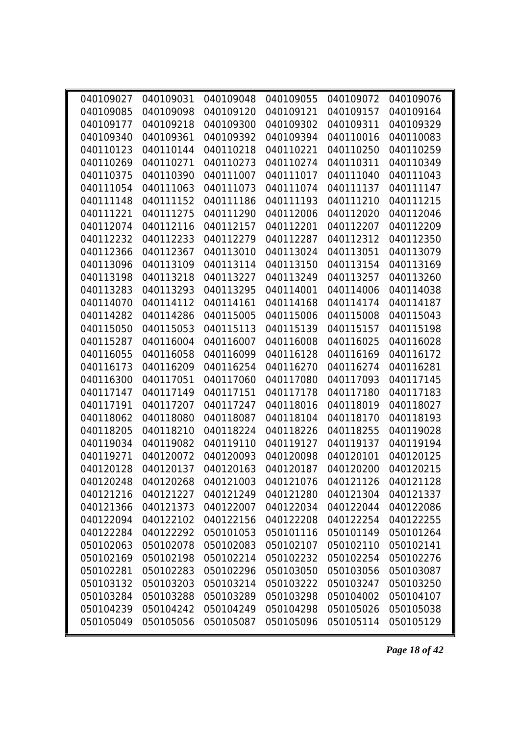| 040109027 | 040109031 |           | 040109048 040109055                                              | 040109072 | 040109076 |
|-----------|-----------|-----------|------------------------------------------------------------------|-----------|-----------|
| 040109085 | 040109098 | 040109120 | 040109121                                                        | 040109157 | 040109164 |
| 040109177 | 040109218 | 040109300 | 040109302                                                        | 040109311 | 040109329 |
| 040109340 | 040109361 | 040109392 | 040109394                                                        | 040110016 | 040110083 |
| 040110123 | 040110144 | 040110218 | 040110221                                                        | 040110250 | 040110259 |
| 040110269 | 040110271 | 040110273 | 040110274                                                        | 040110311 | 040110349 |
| 040110375 | 040110390 | 040111007 | 040111017                                                        | 040111040 | 040111043 |
| 040111054 | 040111063 | 040111073 | 040111074                                                        | 040111137 | 040111147 |
| 040111148 | 040111152 | 040111186 | 040111193                                                        | 040111210 | 040111215 |
| 040111221 | 040111275 | 040111290 | 040112006                                                        | 040112020 | 040112046 |
| 040112074 | 040112116 | 040112157 | 040112201                                                        | 040112207 | 040112209 |
| 040112232 | 040112233 | 040112279 | 040112287                                                        | 040112312 | 040112350 |
| 040112366 | 040112367 | 040113010 | 040113024                                                        | 040113051 | 040113079 |
| 040113096 | 040113109 | 040113114 | 040113150                                                        | 040113154 | 040113169 |
| 040113198 | 040113218 | 040113227 | 040113249                                                        | 040113257 | 040113260 |
| 040113283 | 040113293 | 040113295 | 040114001                                                        | 040114006 | 040114038 |
| 040114070 | 040114112 | 040114161 | 040114168                                                        | 040114174 | 040114187 |
| 040114282 | 040114286 | 040115005 | 040115006                                                        | 040115008 | 040115043 |
| 040115050 | 040115053 | 040115113 | 040115139                                                        | 040115157 | 040115198 |
| 040115287 | 040116004 | 040116007 | 040116008                                                        | 040116025 | 040116028 |
| 040116055 | 040116058 | 040116099 | 040116128                                                        | 040116169 | 040116172 |
| 040116173 | 040116209 | 040116254 | 040116270                                                        | 040116274 | 040116281 |
| 040116300 | 040117051 | 040117060 | 040117080                                                        | 040117093 | 040117145 |
| 040117147 | 040117149 | 040117151 | 040117178                                                        | 040117180 | 040117183 |
| 040117191 | 040117207 | 040117247 | 040118016                                                        | 040118019 | 040118027 |
| 040118062 | 040118080 | 040118087 | 040118104                                                        | 040118170 | 040118193 |
| 040118205 | 040118210 | 040118224 | 040118226                                                        | 040118255 | 040119028 |
| 040119034 | 040119082 | 040119110 | 040119127                                                        | 040119137 | 040119194 |
| 040119271 | 040120072 | 040120093 | 040120098                                                        | 040120101 | 040120125 |
| 040120128 | 040120137 | 040120163 | 040120187                                                        | 040120200 | 040120215 |
|           |           |           | 040120248  040120268  040121003  040121076  040121126  040121128 |           |           |
| 040121216 | 040121227 | 040121249 | 040121280                                                        | 040121304 | 040121337 |
| 040121366 | 040121373 | 040122007 | 040122034                                                        | 040122044 | 040122086 |
| 040122094 | 040122102 | 040122156 | 040122208                                                        | 040122254 | 040122255 |
| 040122284 | 040122292 | 050101053 | 050101116                                                        | 050101149 | 050101264 |
| 050102063 | 050102078 | 050102083 | 050102107                                                        | 050102110 | 050102141 |
| 050102169 | 050102198 | 050102214 | 050102232                                                        | 050102254 | 050102276 |
| 050102281 | 050102283 | 050102296 | 050103050                                                        | 050103056 | 050103087 |
| 050103132 | 050103203 | 050103214 | 050103222                                                        | 050103247 | 050103250 |
| 050103284 | 050103288 | 050103289 | 050103298                                                        | 050104002 | 050104107 |
| 050104239 | 050104242 | 050104249 | 050104298                                                        | 050105026 | 050105038 |
| 050105049 | 050105056 | 050105087 | 050105096                                                        | 050105114 | 050105129 |

*Page 18 of 42*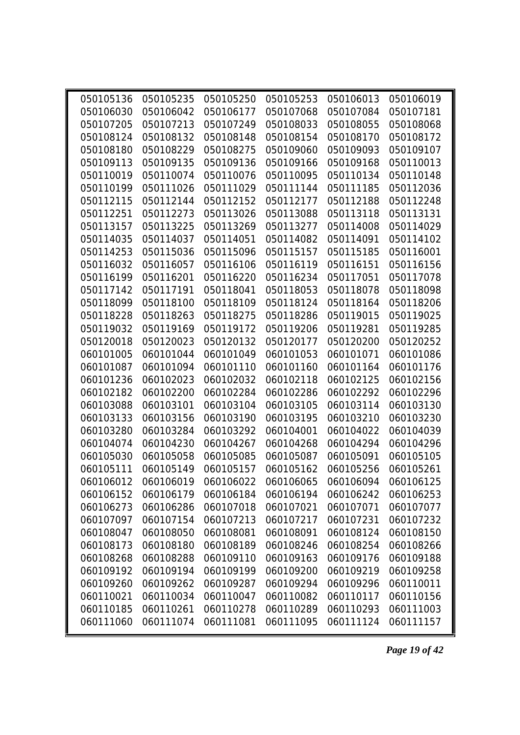| 050105136 | 050105235 | 050105250 | 050105253                                         | 050106013 | 050106019 |
|-----------|-----------|-----------|---------------------------------------------------|-----------|-----------|
| 050106030 | 050106042 | 050106177 | 050107068                                         | 050107084 | 050107181 |
| 050107205 | 050107213 | 050107249 | 050108033                                         | 050108055 | 050108068 |
| 050108124 | 050108132 | 050108148 | 050108154                                         | 050108170 | 050108172 |
| 050108180 | 050108229 | 050108275 | 050109060                                         | 050109093 | 050109107 |
| 050109113 | 050109135 | 050109136 | 050109166                                         | 050109168 | 050110013 |
| 050110019 | 050110074 | 050110076 | 050110095                                         | 050110134 | 050110148 |
| 050110199 | 050111026 | 050111029 | 050111144                                         | 050111185 | 050112036 |
| 050112115 | 050112144 | 050112152 | 050112177                                         | 050112188 | 050112248 |
| 050112251 | 050112273 | 050113026 | 050113088                                         | 050113118 | 050113131 |
| 050113157 | 050113225 | 050113269 | 050113277                                         | 050114008 | 050114029 |
| 050114035 | 050114037 | 050114051 | 050114082                                         | 050114091 | 050114102 |
| 050114253 | 050115036 | 050115096 | 050115157                                         | 050115185 | 050116001 |
| 050116032 | 050116057 | 050116106 | 050116119                                         | 050116151 | 050116156 |
| 050116199 | 050116201 | 050116220 | 050116234                                         | 050117051 | 050117078 |
| 050117142 | 050117191 | 050118041 | 050118053                                         | 050118078 | 050118098 |
| 050118099 | 050118100 | 050118109 | 050118124                                         | 050118164 | 050118206 |
| 050118228 | 050118263 | 050118275 | 050118286                                         | 050119015 | 050119025 |
| 050119032 | 050119169 | 050119172 | 050119206                                         | 050119281 | 050119285 |
| 050120018 | 050120023 | 050120132 | 050120177                                         | 050120200 | 050120252 |
| 060101005 | 060101044 | 060101049 | 060101053                                         | 060101071 | 060101086 |
| 060101087 | 060101094 | 060101110 | 060101160                                         | 060101164 | 060101176 |
| 060101236 | 060102023 | 060102032 | 060102118                                         | 060102125 | 060102156 |
| 060102182 | 060102200 | 060102284 | 060102286                                         | 060102292 | 060102296 |
| 060103088 | 060103101 | 060103104 | 060103105                                         | 060103114 | 060103130 |
| 060103133 | 060103156 | 060103190 | 060103195                                         | 060103210 | 060103230 |
| 060103280 | 060103284 | 060103292 | 060104001                                         | 060104022 | 060104039 |
| 060104074 | 060104230 | 060104267 | 060104268                                         | 060104294 | 060104296 |
| 060105030 | 060105058 | 060105085 | 060105087                                         | 060105091 | 060105105 |
| 060105111 | 060105149 | 060105157 | 060105162                                         | 060105256 | 060105261 |
|           |           |           | 060106012 060106019 060106022 060106065 060106094 |           | 060106125 |
| 060106152 | 060106179 | 060106184 | 060106194                                         | 060106242 | 060106253 |
| 060106273 | 060106286 | 060107018 | 060107021                                         | 060107071 | 060107077 |
| 060107097 | 060107154 | 060107213 | 060107217                                         | 060107231 | 060107232 |
| 060108047 | 060108050 | 060108081 | 060108091                                         | 060108124 | 060108150 |
| 060108173 | 060108180 | 060108189 | 060108246                                         | 060108254 | 060108266 |
| 060108268 | 060108288 | 060109110 | 060109163                                         | 060109176 | 060109188 |
| 060109192 | 060109194 | 060109199 | 060109200                                         | 060109219 | 060109258 |
| 060109260 | 060109262 | 060109287 | 060109294                                         | 060109296 | 060110011 |
| 060110021 | 060110034 | 060110047 | 060110082                                         | 060110117 | 060110156 |
| 060110185 | 060110261 | 060110278 | 060110289                                         | 060110293 | 060111003 |
| 060111060 | 060111074 | 060111081 | 060111095                                         | 060111124 | 060111157 |
|           |           |           |                                                   |           |           |

*Page 19 of 42*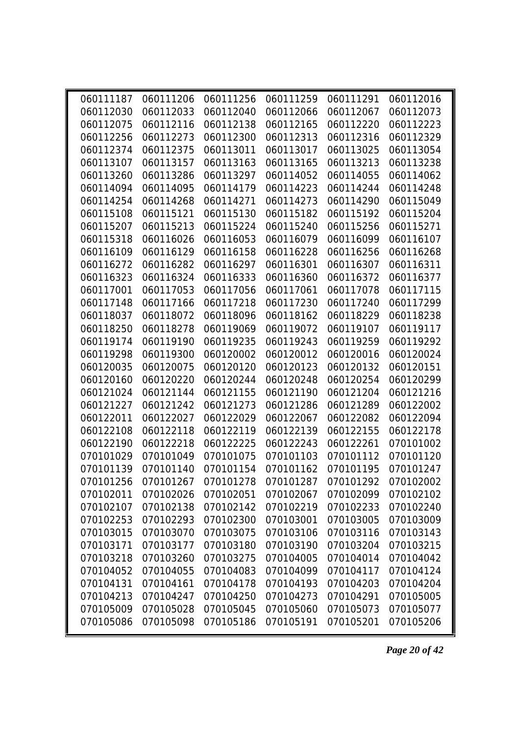| 060111187 |                                                                  |           | 060111206 060111256 060111259 | 060111291 | 060112016 |
|-----------|------------------------------------------------------------------|-----------|-------------------------------|-----------|-----------|
| 060112030 | 060112033                                                        | 060112040 | 060112066                     | 060112067 | 060112073 |
| 060112075 | 060112116                                                        | 060112138 | 060112165                     | 060112220 | 060112223 |
| 060112256 | 060112273                                                        | 060112300 | 060112313                     | 060112316 | 060112329 |
| 060112374 | 060112375                                                        | 060113011 | 060113017                     | 060113025 | 060113054 |
| 060113107 | 060113157                                                        | 060113163 | 060113165                     | 060113213 | 060113238 |
| 060113260 | 060113286                                                        | 060113297 | 060114052                     | 060114055 | 060114062 |
| 060114094 | 060114095                                                        | 060114179 | 060114223                     | 060114244 | 060114248 |
| 060114254 | 060114268                                                        | 060114271 | 060114273                     | 060114290 | 060115049 |
| 060115108 | 060115121                                                        | 060115130 | 060115182                     | 060115192 | 060115204 |
| 060115207 | 060115213                                                        | 060115224 | 060115240                     | 060115256 | 060115271 |
| 060115318 | 060116026                                                        | 060116053 | 060116079                     | 060116099 | 060116107 |
| 060116109 | 060116129                                                        | 060116158 | 060116228                     | 060116256 | 060116268 |
| 060116272 | 060116282                                                        | 060116297 | 060116301                     | 060116307 | 060116311 |
| 060116323 | 060116324                                                        | 060116333 | 060116360                     | 060116372 | 060116377 |
| 060117001 | 060117053                                                        | 060117056 | 060117061                     | 060117078 | 060117115 |
| 060117148 | 060117166                                                        | 060117218 | 060117230                     | 060117240 | 060117299 |
| 060118037 | 060118072                                                        | 060118096 | 060118162                     | 060118229 | 060118238 |
| 060118250 | 060118278                                                        | 060119069 | 060119072                     | 060119107 | 060119117 |
| 060119174 | 060119190                                                        | 060119235 | 060119243                     | 060119259 | 060119292 |
| 060119298 | 060119300                                                        | 060120002 | 060120012                     | 060120016 | 060120024 |
| 060120035 | 060120075                                                        | 060120120 | 060120123                     | 060120132 | 060120151 |
| 060120160 | 060120220                                                        | 060120244 | 060120248                     | 060120254 | 060120299 |
| 060121024 | 060121144                                                        | 060121155 | 060121190                     | 060121204 | 060121216 |
| 060121227 | 060121242                                                        | 060121273 | 060121286                     | 060121289 | 060122002 |
| 060122011 | 060122027                                                        | 060122029 | 060122067                     | 060122082 | 060122094 |
| 060122108 | 060122118                                                        | 060122119 | 060122139                     | 060122155 | 060122178 |
| 060122190 | 060122218                                                        | 060122225 | 060122243                     | 060122261 | 070101002 |
| 070101029 | 070101049                                                        | 070101075 | 070101103                     | 070101112 | 070101120 |
| 070101139 | 070101140                                                        | 070101154 | 070101162                     | 070101195 | 070101247 |
|           | 070101256  070101267  070101278  070101287  070101292  070102002 |           |                               |           |           |
| 070102011 | 070102026                                                        | 070102051 | 070102067                     | 070102099 | 070102102 |
| 070102107 | 070102138                                                        | 070102142 | 070102219                     | 070102233 | 070102240 |
| 070102253 | 070102293                                                        | 070102300 | 070103001                     | 070103005 | 070103009 |
| 070103015 | 070103070                                                        | 070103075 | 070103106                     | 070103116 | 070103143 |
| 070103171 | 070103177                                                        | 070103180 | 070103190                     | 070103204 | 070103215 |
| 070103218 | 070103260                                                        | 070103275 | 070104005                     | 070104014 | 070104042 |
| 070104052 | 070104055                                                        | 070104083 | 070104099                     | 070104117 | 070104124 |
| 070104131 | 070104161                                                        | 070104178 | 070104193                     | 070104203 | 070104204 |
| 070104213 | 070104247                                                        | 070104250 | 070104273                     | 070104291 | 070105005 |
| 070105009 | 070105028                                                        | 070105045 | 070105060                     | 070105073 | 070105077 |
| 070105086 | 070105098                                                        | 070105186 | 070105191                     | 070105201 | 070105206 |

*Page 20 of 42*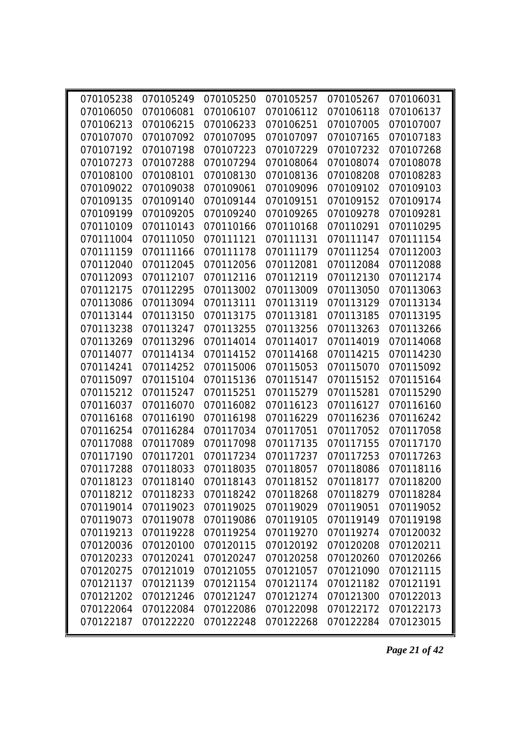| 070106050 | 070106081 | 070106107 | 070105238 070105249 070105250 070105257<br>070106112             | 070105267<br>070106118 | 070106031<br>070106137 |
|-----------|-----------|-----------|------------------------------------------------------------------|------------------------|------------------------|
| 070106213 | 070106215 | 070106233 | 070106251                                                        | 070107005              | 070107007              |
| 070107070 | 070107092 | 070107095 | 070107097                                                        | 070107165              | 070107183              |
| 070107192 | 070107198 | 070107223 | 070107229                                                        | 070107232              | 070107268              |
| 070107273 | 070107288 | 070107294 | 070108064                                                        | 070108074              | 070108078              |
| 070108100 | 070108101 | 070108130 | 070108136                                                        | 070108208              | 070108283              |
| 070109022 | 070109038 | 070109061 | 070109096                                                        | 070109102              | 070109103              |
| 070109135 | 070109140 | 070109144 | 070109151                                                        | 070109152              | 070109174              |
| 070109199 | 070109205 | 070109240 | 070109265                                                        | 070109278              | 070109281              |
| 070110109 | 070110143 | 070110166 | 070110168                                                        | 070110291              | 070110295              |
| 070111004 | 070111050 | 070111121 | 070111131                                                        | 070111147              | 070111154              |
| 070111159 | 070111166 | 070111178 | 070111179                                                        | 070111254              | 070112003              |
| 070112040 | 070112045 | 070112056 | 070112081                                                        | 070112084              | 070112088              |
| 070112093 | 070112107 | 070112116 | 070112119                                                        | 070112130              | 070112174              |
| 070112175 | 070112295 | 070113002 | 070113009                                                        | 070113050              | 070113063              |
| 070113086 | 070113094 | 070113111 | 070113119                                                        | 070113129              | 070113134              |
| 070113144 | 070113150 | 070113175 | 070113181                                                        | 070113185              | 070113195              |
| 070113238 | 070113247 | 070113255 | 070113256                                                        | 070113263              | 070113266              |
| 070113269 | 070113296 | 070114014 | 070114017                                                        | 070114019              | 070114068              |
| 070114077 | 070114134 | 070114152 | 070114168                                                        | 070114215              | 070114230              |
| 070114241 | 070114252 | 070115006 | 070115053                                                        | 070115070              | 070115092              |
| 070115097 | 070115104 | 070115136 | 070115147                                                        | 070115152              | 070115164              |
| 070115212 | 070115247 | 070115251 | 070115279                                                        | 070115281              | 070115290              |
| 070116037 | 070116070 | 070116082 | 070116123                                                        | 070116127              | 070116160              |
| 070116168 | 070116190 | 070116198 | 070116229                                                        | 070116236              | 070116242              |
| 070116254 | 070116284 | 070117034 | 070117051                                                        | 070117052              | 070117058              |
| 070117088 | 070117089 | 070117098 | 070117135                                                        | 070117155              | 070117170              |
| 070117190 | 070117201 | 070117234 | 070117237                                                        | 070117253              | 070117263              |
| 070117288 | 070118033 | 070118035 | 070118057                                                        | 070118086              | 070118116              |
|           |           |           | 070118123  070118140  070118143  070118152  070118177  070118200 |                        |                        |
| 070118212 | 070118233 | 070118242 | 070118268                                                        | 070118279              | 070118284              |
| 070119014 | 070119023 | 070119025 | 070119029                                                        | 070119051              | 070119052              |
| 070119073 | 070119078 | 070119086 | 070119105                                                        | 070119149              | 070119198              |
| 070119213 | 070119228 | 070119254 | 070119270                                                        | 070119274              | 070120032              |
| 070120036 | 070120100 | 070120115 | 070120192                                                        | 070120208              | 070120211              |
| 070120233 | 070120241 | 070120247 | 070120258                                                        | 070120260              | 070120266              |
| 070120275 | 070121019 | 070121055 | 070121057                                                        | 070121090              | 070121115              |
| 070121137 | 070121139 | 070121154 | 070121174                                                        | 070121182              | 070121191              |
| 070121202 | 070121246 | 070121247 | 070121274                                                        | 070121300              | 070122013              |
| 070122064 | 070122084 | 070122086 | 070122098                                                        | 070122172              | 070122173              |
| 070122187 | 070122220 | 070122248 | 070122268                                                        | 070122284              | 070123015              |
|           |           |           |                                                                  |                        |                        |

*Page 21 of 42*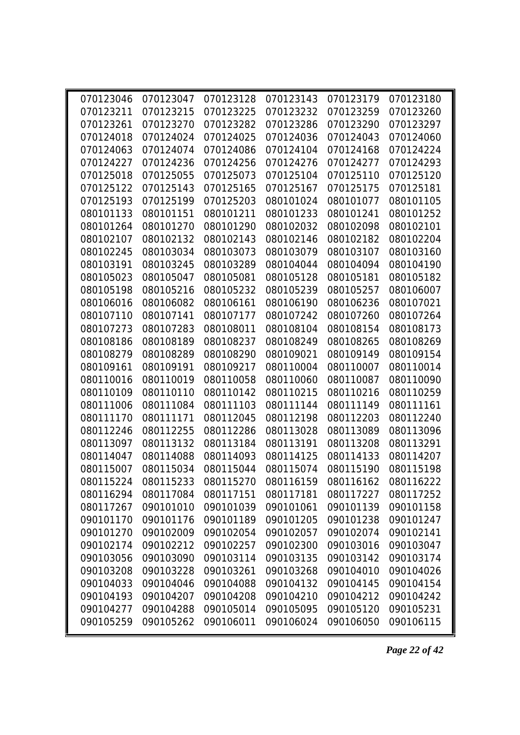| 070123046 | 070123047 |           | 070123128 070123143                                         | 070123179 | 070123180 |
|-----------|-----------|-----------|-------------------------------------------------------------|-----------|-----------|
| 070123211 | 070123215 | 070123225 | 070123232                                                   | 070123259 | 070123260 |
| 070123261 | 070123270 | 070123282 | 070123286                                                   | 070123290 | 070123297 |
| 070124018 | 070124024 | 070124025 | 070124036                                                   | 070124043 | 070124060 |
| 070124063 | 070124074 | 070124086 | 070124104                                                   | 070124168 | 070124224 |
| 070124227 | 070124236 | 070124256 | 070124276                                                   | 070124277 | 070124293 |
| 070125018 | 070125055 | 070125073 | 070125104                                                   | 070125110 | 070125120 |
| 070125122 | 070125143 | 070125165 | 070125167                                                   | 070125175 | 070125181 |
| 070125193 | 070125199 | 070125203 | 080101024                                                   | 080101077 | 080101105 |
| 080101133 | 080101151 | 080101211 | 080101233                                                   | 080101241 | 080101252 |
| 080101264 | 080101270 | 080101290 | 080102032                                                   | 080102098 | 080102101 |
| 080102107 | 080102132 | 080102143 | 080102146                                                   | 080102182 | 080102204 |
| 080102245 | 080103034 | 080103073 | 080103079                                                   | 080103107 | 080103160 |
| 080103191 | 080103245 | 080103289 | 080104044                                                   | 080104094 | 080104190 |
| 080105023 | 080105047 | 080105081 | 080105128                                                   | 080105181 | 080105182 |
| 080105198 | 080105216 | 080105232 | 080105239                                                   | 080105257 | 080106007 |
| 080106016 | 080106082 | 080106161 | 080106190                                                   | 080106236 | 080107021 |
| 080107110 | 080107141 | 080107177 | 080107242                                                   | 080107260 | 080107264 |
| 080107273 | 080107283 | 080108011 | 080108104                                                   | 080108154 | 080108173 |
| 080108186 | 080108189 | 080108237 | 080108249                                                   | 080108265 | 080108269 |
| 080108279 | 080108289 | 080108290 | 080109021                                                   | 080109149 | 080109154 |
| 080109161 | 080109191 | 080109217 | 080110004                                                   | 080110007 | 080110014 |
| 080110016 | 080110019 | 080110058 | 080110060                                                   | 080110087 | 080110090 |
| 080110109 | 080110110 | 080110142 | 080110215                                                   | 080110216 | 080110259 |
| 080111006 | 080111084 | 080111103 | 080111144                                                   | 080111149 | 080111161 |
| 080111170 | 080111171 | 080112045 | 080112198                                                   | 080112203 | 080112240 |
| 080112246 | 080112255 | 080112286 | 080113028                                                   | 080113089 | 080113096 |
| 080113097 | 080113132 | 080113184 | 080113191                                                   | 080113208 | 080113291 |
| 080114047 | 080114088 | 080114093 | 080114125                                                   | 080114133 | 080114207 |
| 080115007 | 080115034 | 080115044 | 080115074                                                   | 080115190 | 080115198 |
|           |           |           | 080115224 080115233 080115270 080116159 080116162 080116222 |           |           |
| 080116294 | 080117084 | 080117151 | 080117181                                                   | 080117227 | 080117252 |
| 080117267 | 090101010 | 090101039 | 090101061                                                   | 090101139 | 090101158 |
| 090101170 | 090101176 | 090101189 | 090101205                                                   | 090101238 | 090101247 |
| 090101270 | 090102009 | 090102054 | 090102057                                                   | 090102074 | 090102141 |
| 090102174 | 090102212 | 090102257 | 090102300                                                   | 090103016 | 090103047 |
| 090103056 | 090103090 | 090103114 | 090103135                                                   | 090103142 | 090103174 |
| 090103208 | 090103228 | 090103261 | 090103268                                                   | 090104010 | 090104026 |
| 090104033 | 090104046 | 090104088 | 090104132                                                   | 090104145 | 090104154 |
| 090104193 | 090104207 | 090104208 | 090104210                                                   | 090104212 | 090104242 |
| 090104277 | 090104288 | 090105014 | 090105095                                                   | 090105120 | 090105231 |
| 090105259 | 090105262 | 090106011 | 090106024                                                   | 090106050 | 090106115 |

*Page 22 of 42*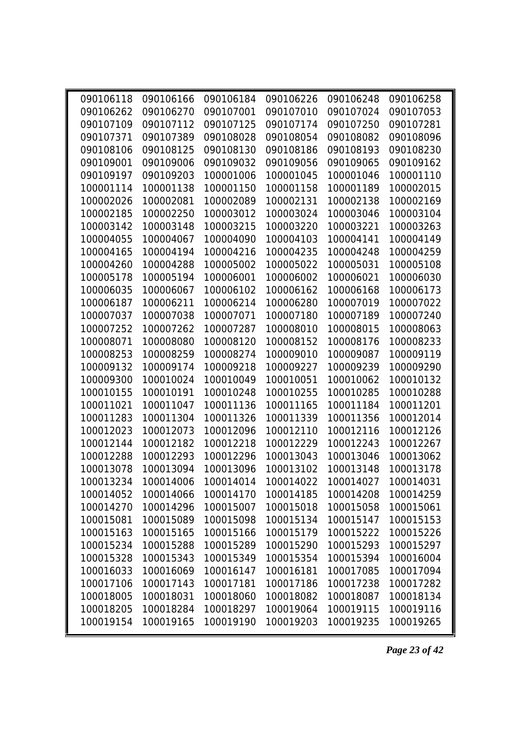| 090106118 | 090106166 | 090106184 | 090106226 | 090106248 | 090106258 |
|-----------|-----------|-----------|-----------|-----------|-----------|
| 090106262 | 090106270 | 090107001 | 090107010 | 090107024 | 090107053 |
| 090107109 | 090107112 | 090107125 | 090107174 | 090107250 | 090107281 |
| 090107371 | 090107389 | 090108028 | 090108054 | 090108082 | 090108096 |
| 090108106 | 090108125 | 090108130 | 090108186 | 090108193 | 090108230 |
| 090109001 | 090109006 | 090109032 | 090109056 | 090109065 | 090109162 |
| 090109197 | 090109203 | 100001006 | 100001045 | 100001046 | 100001110 |
| 100001114 | 100001138 | 100001150 | 100001158 | 100001189 | 100002015 |
| 100002026 | 100002081 | 100002089 | 100002131 | 100002138 | 100002169 |
| 100002185 | 100002250 | 100003012 | 100003024 | 100003046 | 100003104 |
| 100003142 | 100003148 | 100003215 | 100003220 | 100003221 | 100003263 |
| 100004055 | 100004067 | 100004090 | 100004103 | 100004141 | 100004149 |
| 100004165 | 100004194 | 100004216 | 100004235 | 100004248 | 100004259 |
| 100004260 | 100004288 | 100005002 | 100005022 | 100005031 | 100005108 |
| 100005178 | 100005194 | 100006001 | 100006002 | 100006021 | 100006030 |
| 100006035 | 100006067 | 100006102 | 100006162 | 100006168 | 100006173 |
| 100006187 | 100006211 | 100006214 | 100006280 | 100007019 | 100007022 |
| 100007037 | 100007038 | 100007071 | 100007180 | 100007189 | 100007240 |
| 100007252 | 100007262 | 100007287 | 100008010 | 100008015 | 100008063 |
| 100008071 | 100008080 | 100008120 | 100008152 | 100008176 | 100008233 |
| 100008253 | 100008259 | 100008274 | 100009010 | 100009087 | 100009119 |
| 100009132 | 100009174 | 100009218 | 100009227 | 100009239 | 100009290 |
| 100009300 | 100010024 | 100010049 | 100010051 | 100010062 | 100010132 |
| 100010155 | 100010191 | 100010248 | 100010255 | 100010285 | 100010288 |
| 100011021 | 100011047 | 100011136 | 100011165 | 100011184 | 100011201 |
| 100011283 | 100011304 | 100011326 | 100011339 | 100011356 | 100012014 |
| 100012023 | 100012073 | 100012096 | 100012110 | 100012116 | 100012126 |
| 100012144 | 100012182 | 100012218 | 100012229 | 100012243 | 100012267 |
| 100012288 | 100012293 | 100012296 | 100013043 | 100013046 | 100013062 |
| 100013078 | 100013094 | 100013096 | 100013102 | 100013148 | 100013178 |
| 100013234 | 100014006 | 100014014 | 100014022 | 100014027 | 100014031 |
| 100014052 | 100014066 | 100014170 | 100014185 | 100014208 | 100014259 |
| 100014270 | 100014296 | 100015007 | 100015018 | 100015058 | 100015061 |
| 100015081 | 100015089 | 100015098 | 100015134 | 100015147 | 100015153 |
| 100015163 | 100015165 | 100015166 | 100015179 | 100015222 | 100015226 |
| 100015234 | 100015288 | 100015289 | 100015290 | 100015293 | 100015297 |
| 100015328 | 100015343 | 100015349 | 100015354 | 100015394 | 100016004 |
| 100016033 | 100016069 | 100016147 | 100016181 | 100017085 | 100017094 |
| 100017106 | 100017143 | 100017181 | 100017186 | 100017238 | 100017282 |
| 100018005 | 100018031 | 100018060 | 100018082 | 100018087 | 100018134 |
| 100018205 | 100018284 | 100018297 | 100019064 | 100019115 | 100019116 |
| 100019154 | 100019165 | 100019190 | 100019203 | 100019235 | 100019265 |

*Page 23 of 42*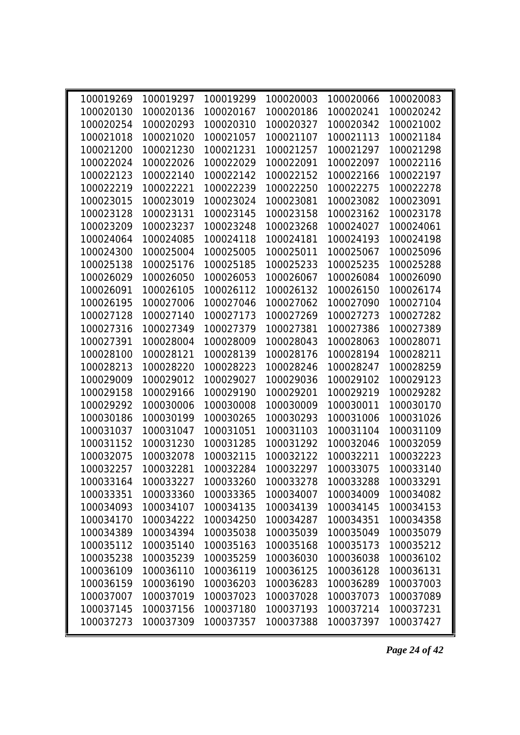| 100019269 | 100019297 | 100019299 | 100020003 | 100020066 | 100020083 |
|-----------|-----------|-----------|-----------|-----------|-----------|
| 100020130 | 100020136 | 100020167 | 100020186 | 100020241 | 100020242 |
| 100020254 | 100020293 | 100020310 | 100020327 | 100020342 | 100021002 |
| 100021018 | 100021020 | 100021057 | 100021107 | 100021113 | 100021184 |
| 100021200 | 100021230 | 100021231 | 100021257 | 100021297 | 100021298 |
| 100022024 | 100022026 | 100022029 | 100022091 | 100022097 | 100022116 |
| 100022123 | 100022140 | 100022142 | 100022152 | 100022166 | 100022197 |
| 100022219 | 100022221 | 100022239 | 100022250 | 100022275 | 100022278 |
| 100023015 | 100023019 | 100023024 | 100023081 | 100023082 | 100023091 |
| 100023128 | 100023131 | 100023145 | 100023158 | 100023162 | 100023178 |
| 100023209 | 100023237 | 100023248 | 100023268 | 100024027 | 100024061 |
| 100024064 | 100024085 | 100024118 | 100024181 | 100024193 | 100024198 |
| 100024300 | 100025004 | 100025005 | 100025011 | 100025067 | 100025096 |
| 100025138 | 100025176 | 100025185 | 100025233 | 100025235 | 100025288 |
| 100026029 | 100026050 | 100026053 | 100026067 | 100026084 | 100026090 |
| 100026091 | 100026105 | 100026112 | 100026132 | 100026150 | 100026174 |
| 100026195 | 100027006 | 100027046 | 100027062 | 100027090 | 100027104 |
| 100027128 | 100027140 | 100027173 | 100027269 | 100027273 | 100027282 |
| 100027316 | 100027349 | 100027379 | 100027381 | 100027386 | 100027389 |
| 100027391 | 100028004 | 100028009 | 100028043 | 100028063 | 100028071 |
| 100028100 | 100028121 | 100028139 | 100028176 | 100028194 | 100028211 |
| 100028213 | 100028220 | 100028223 | 100028246 | 100028247 | 100028259 |
| 100029009 | 100029012 | 100029027 | 100029036 | 100029102 | 100029123 |
| 100029158 | 100029166 | 100029190 | 100029201 | 100029219 | 100029282 |
| 100029292 | 100030006 | 100030008 | 100030009 | 100030011 | 100030170 |
| 100030186 | 100030199 | 100030265 | 100030293 | 100031006 | 100031026 |
| 100031037 | 100031047 | 100031051 | 100031103 | 100031104 | 100031109 |
| 100031152 | 100031230 | 100031285 | 100031292 | 100032046 | 100032059 |
| 100032075 | 100032078 | 100032115 | 100032122 | 100032211 | 100032223 |
| 100032257 | 100032281 | 100032284 | 100032297 | 100033075 | 100033140 |
| 100033164 | 100033227 | 100033260 | 100033278 | 100033288 | 100033291 |
| 100033351 | 100033360 | 100033365 | 100034007 | 100034009 | 100034082 |
| 100034093 | 100034107 | 100034135 | 100034139 | 100034145 | 100034153 |
| 100034170 | 100034222 | 100034250 | 100034287 | 100034351 | 100034358 |
| 100034389 | 100034394 | 100035038 | 100035039 | 100035049 | 100035079 |
| 100035112 | 100035140 | 100035163 | 100035168 | 100035173 | 100035212 |
| 100035238 | 100035239 | 100035259 | 100036030 | 100036038 | 100036102 |
| 100036109 | 100036110 | 100036119 | 100036125 | 100036128 | 100036131 |
| 100036159 | 100036190 | 100036203 | 100036283 | 100036289 | 100037003 |
| 100037007 | 100037019 | 100037023 | 100037028 | 100037073 | 100037089 |
| 100037145 | 100037156 | 100037180 | 100037193 | 100037214 | 100037231 |
| 100037273 | 100037309 | 100037357 | 100037388 | 100037397 | 100037427 |

*Page 24 of 42*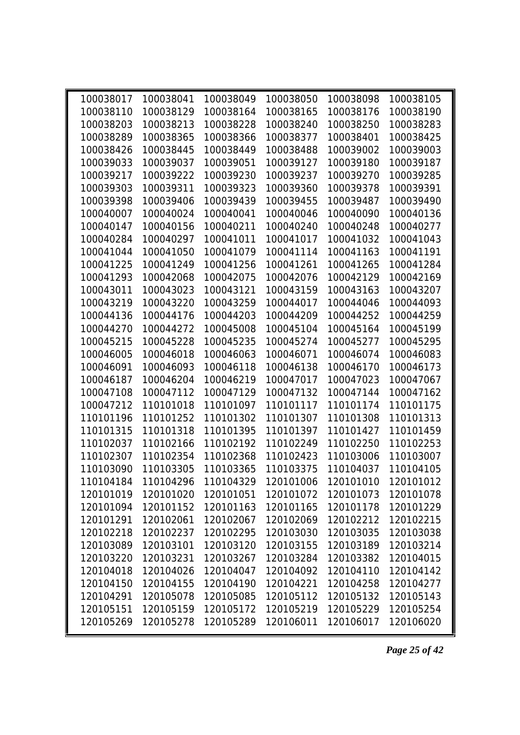| 100038017 | 100038041 | 100038049 | 100038050 | 100038098 | 100038105 |
|-----------|-----------|-----------|-----------|-----------|-----------|
| 100038110 | 100038129 | 100038164 | 100038165 | 100038176 | 100038190 |
| 100038203 | 100038213 | 100038228 | 100038240 | 100038250 | 100038283 |
| 100038289 | 100038365 | 100038366 | 100038377 | 100038401 | 100038425 |
| 100038426 | 100038445 | 100038449 | 100038488 | 100039002 | 100039003 |
| 100039033 | 100039037 | 100039051 | 100039127 | 100039180 | 100039187 |
| 100039217 | 100039222 | 100039230 | 100039237 | 100039270 | 100039285 |
| 100039303 | 100039311 | 100039323 | 100039360 | 100039378 | 100039391 |
| 100039398 | 100039406 | 100039439 | 100039455 | 100039487 | 100039490 |
| 100040007 | 100040024 | 100040041 | 100040046 | 100040090 | 100040136 |
| 100040147 | 100040156 | 100040211 | 100040240 | 100040248 | 100040277 |
| 100040284 | 100040297 | 100041011 | 100041017 | 100041032 | 100041043 |
| 100041044 | 100041050 | 100041079 | 100041114 | 100041163 | 100041191 |
| 100041225 | 100041249 | 100041256 | 100041261 | 100041265 | 100041284 |
| 100041293 | 100042068 | 100042075 | 100042076 | 100042129 | 100042169 |
| 100043011 | 100043023 | 100043121 | 100043159 | 100043163 | 100043207 |
| 100043219 | 100043220 | 100043259 | 100044017 | 100044046 | 100044093 |
| 100044136 | 100044176 | 100044203 | 100044209 | 100044252 | 100044259 |
| 100044270 | 100044272 | 100045008 | 100045104 | 100045164 | 100045199 |
| 100045215 | 100045228 | 100045235 | 100045274 | 100045277 | 100045295 |
| 100046005 | 100046018 | 100046063 | 100046071 | 100046074 | 100046083 |
| 100046091 | 100046093 | 100046118 | 100046138 | 100046170 | 100046173 |
| 100046187 | 100046204 | 100046219 | 100047017 | 100047023 | 100047067 |
| 100047108 | 100047112 | 100047129 | 100047132 | 100047144 | 100047162 |
| 100047212 | 110101018 | 110101097 | 110101117 | 110101174 | 110101175 |
| 110101196 | 110101252 | 110101302 | 110101307 | 110101308 | 110101313 |
| 110101315 | 110101318 | 110101395 | 110101397 | 110101427 | 110101459 |
| 110102037 | 110102166 | 110102192 | 110102249 | 110102250 | 110102253 |
| 110102307 | 110102354 | 110102368 | 110102423 | 110103006 | 110103007 |
| 110103090 | 110103305 | 110103365 | 110103375 | 110104037 | 110104105 |
| 110104184 | 110104296 | 110104329 | 120101006 | 120101010 | 120101012 |
| 120101019 | 120101020 | 120101051 | 120101072 | 120101073 | 120101078 |
| 120101094 | 120101152 | 120101163 | 120101165 | 120101178 | 120101229 |
| 120101291 | 120102061 | 120102067 | 120102069 | 120102212 | 120102215 |
| 120102218 | 120102237 | 120102295 | 120103030 | 120103035 | 120103038 |
| 120103089 | 120103101 | 120103120 | 120103155 | 120103189 | 120103214 |
| 120103220 | 120103231 | 120103267 | 120103284 | 120103382 | 120104015 |
| 120104018 | 120104026 | 120104047 | 120104092 | 120104110 | 120104142 |
| 120104150 | 120104155 | 120104190 | 120104221 | 120104258 | 120104277 |
| 120104291 | 120105078 | 120105085 | 120105112 | 120105132 | 120105143 |
| 120105151 | 120105159 | 120105172 | 120105219 | 120105229 | 120105254 |
| 120105269 | 120105278 | 120105289 | 120106011 | 120106017 | 120106020 |

*Page 25 of 42*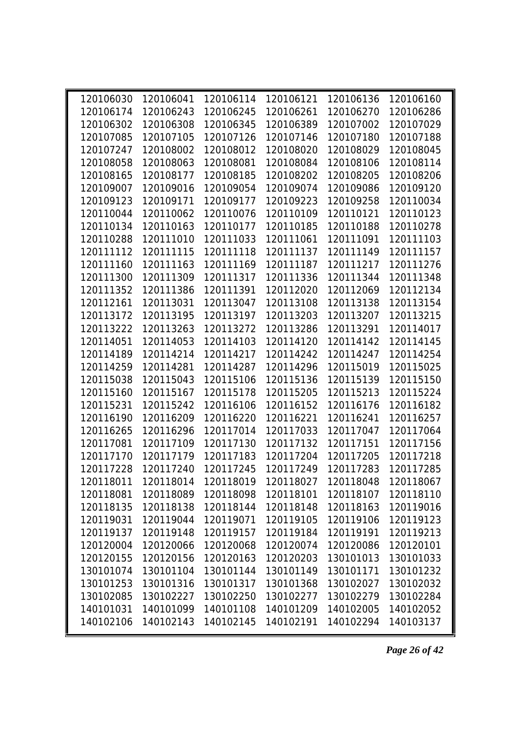| 120106030 | 120106041 |           | 120106114 120106121                               |           | 120106136 120106160 |  |
|-----------|-----------|-----------|---------------------------------------------------|-----------|---------------------|--|
| 120106174 | 120106243 | 120106245 | 120106261                                         | 120106270 | 120106286           |  |
| 120106302 | 120106308 | 120106345 | 120106389                                         | 120107002 | 120107029           |  |
| 120107085 | 120107105 | 120107126 | 120107146                                         | 120107180 | 120107188           |  |
| 120107247 | 120108002 | 120108012 | 120108020                                         | 120108029 | 120108045           |  |
| 120108058 | 120108063 | 120108081 | 120108084                                         | 120108106 | 120108114           |  |
| 120108165 | 120108177 | 120108185 | 120108202                                         | 120108205 | 120108206           |  |
| 120109007 | 120109016 | 120109054 | 120109074                                         | 120109086 | 120109120           |  |
| 120109123 | 120109171 | 120109177 | 120109223                                         | 120109258 | 120110034           |  |
| 120110044 | 120110062 | 120110076 | 120110109                                         | 120110121 | 120110123           |  |
| 120110134 | 120110163 | 120110177 | 120110185                                         | 120110188 | 120110278           |  |
| 120110288 | 120111010 | 120111033 | 120111061                                         | 120111091 | 120111103           |  |
| 120111112 | 120111115 | 120111118 | 120111137                                         | 120111149 | 120111157           |  |
| 120111160 | 120111163 | 120111169 | 120111187                                         | 120111217 | 120111276           |  |
| 120111300 | 120111309 | 120111317 | 120111336                                         | 120111344 | 120111348           |  |
| 120111352 | 120111386 | 120111391 | 120112020                                         | 120112069 | 120112134           |  |
| 120112161 | 120113031 | 120113047 | 120113108                                         | 120113138 | 120113154           |  |
| 120113172 | 120113195 | 120113197 | 120113203                                         | 120113207 | 120113215           |  |
| 120113222 | 120113263 | 120113272 | 120113286                                         | 120113291 | 120114017           |  |
| 120114051 | 120114053 | 120114103 | 120114120                                         | 120114142 | 120114145           |  |
| 120114189 | 120114214 | 120114217 | 120114242                                         | 120114247 | 120114254           |  |
| 120114259 | 120114281 | 120114287 | 120114296                                         | 120115019 | 120115025           |  |
| 120115038 | 120115043 | 120115106 | 120115136                                         | 120115139 | 120115150           |  |
| 120115160 | 120115167 | 120115178 | 120115205                                         | 120115213 | 120115224           |  |
| 120115231 | 120115242 | 120116106 | 120116152                                         | 120116176 | 120116182           |  |
| 120116190 | 120116209 | 120116220 | 120116221                                         | 120116241 | 120116257           |  |
| 120116265 | 120116296 | 120117014 | 120117033                                         | 120117047 | 120117064           |  |
| 120117081 | 120117109 | 120117130 | 120117132                                         | 120117151 | 120117156           |  |
| 120117170 | 120117179 | 120117183 | 120117204                                         | 120117205 | 120117218           |  |
| 120117228 | 120117240 | 120117245 | 120117249                                         | 120117283 | 120117285           |  |
| 120118011 |           |           | 120118014 120118019 120118027 120118048 120118067 |           |                     |  |
| 120118081 | 120118089 | 120118098 | 120118101                                         | 120118107 | 120118110           |  |
| 120118135 | 120118138 | 120118144 | 120118148                                         | 120118163 | 120119016           |  |
| 120119031 | 120119044 | 120119071 | 120119105                                         | 120119106 | 120119123           |  |
| 120119137 | 120119148 | 120119157 | 120119184                                         | 120119191 | 120119213           |  |
| 120120004 | 120120066 | 120120068 | 120120074                                         | 120120086 | 120120101           |  |
| 120120155 | 120120156 | 120120163 | 120120203                                         | 130101013 | 130101033           |  |
| 130101074 | 130101104 | 130101144 | 130101149                                         | 130101171 | 130101232           |  |
| 130101253 | 130101316 | 130101317 | 130101368                                         | 130102027 | 130102032           |  |
| 130102085 | 130102227 | 130102250 | 130102277                                         | 130102279 | 130102284           |  |
| 140101031 | 140101099 | 140101108 | 140101209                                         | 140102005 | 140102052           |  |
| 140102106 | 140102143 | 140102145 | 140102191                                         | 140102294 | 140103137           |  |

*Page 26 of 42*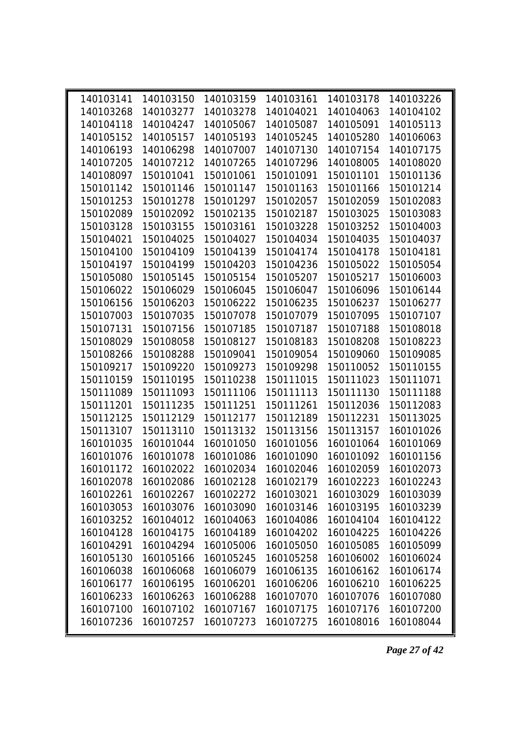| 140103141 |           |           | 140103150 140103159 140103161                     |           | 140103178 140103226 |
|-----------|-----------|-----------|---------------------------------------------------|-----------|---------------------|
| 140103268 | 140103277 | 140103278 | 140104021                                         | 140104063 | 140104102           |
| 140104118 | 140104247 | 140105067 | 140105087                                         | 140105091 | 140105113           |
| 140105152 | 140105157 | 140105193 | 140105245                                         | 140105280 | 140106063           |
| 140106193 | 140106298 | 140107007 | 140107130                                         | 140107154 | 140107175           |
| 140107205 | 140107212 | 140107265 | 140107296                                         | 140108005 | 140108020           |
| 140108097 | 150101041 | 150101061 | 150101091                                         | 150101101 | 150101136           |
| 150101142 | 150101146 | 150101147 | 150101163                                         | 150101166 | 150101214           |
| 150101253 | 150101278 | 150101297 | 150102057                                         | 150102059 | 150102083           |
| 150102089 | 150102092 | 150102135 | 150102187                                         | 150103025 | 150103083           |
| 150103128 | 150103155 | 150103161 | 150103228                                         | 150103252 | 150104003           |
| 150104021 | 150104025 | 150104027 | 150104034                                         | 150104035 | 150104037           |
| 150104100 | 150104109 | 150104139 | 150104174                                         | 150104178 | 150104181           |
| 150104197 | 150104199 | 150104203 | 150104236                                         | 150105022 | 150105054           |
| 150105080 | 150105145 | 150105154 | 150105207                                         | 150105217 | 150106003           |
| 150106022 | 150106029 | 150106045 | 150106047                                         | 150106096 | 150106144           |
| 150106156 | 150106203 | 150106222 | 150106235                                         | 150106237 | 150106277           |
| 150107003 | 150107035 | 150107078 | 150107079                                         | 150107095 | 150107107           |
| 150107131 | 150107156 | 150107185 | 150107187                                         | 150107188 | 150108018           |
| 150108029 | 150108058 | 150108127 | 150108183                                         | 150108208 | 150108223           |
| 150108266 | 150108288 | 150109041 | 150109054                                         | 150109060 | 150109085           |
| 150109217 | 150109220 | 150109273 | 150109298                                         | 150110052 | 150110155           |
| 150110159 | 150110195 | 150110238 | 150111015                                         | 150111023 | 150111071           |
| 150111089 | 150111093 | 150111106 | 150111113                                         | 150111130 | 150111188           |
| 150111201 | 150111235 | 150111251 | 150111261                                         | 150112036 | 150112083           |
| 150112125 | 150112129 | 150112177 | 150112189                                         | 150112231 | 150113025           |
| 150113107 | 150113110 | 150113132 | 150113156                                         | 150113157 | 160101026           |
| 160101035 | 160101044 | 160101050 | 160101056                                         | 160101064 | 160101069           |
| 160101076 | 160101078 | 160101086 | 160101090                                         | 160101092 | 160101156           |
| 160101172 | 160102022 | 160102034 | 160102046                                         | 160102059 | 160102073           |
|           |           |           | 160102078 160102086 160102128 160102179 160102223 |           | 160102243           |
| 160102261 | 160102267 | 160102272 | 160103021                                         | 160103029 | 160103039           |
| 160103053 | 160103076 | 160103090 | 160103146                                         | 160103195 | 160103239           |
| 160103252 | 160104012 | 160104063 | 160104086                                         | 160104104 | 160104122           |
| 160104128 | 160104175 | 160104189 | 160104202                                         | 160104225 | 160104226           |
| 160104291 | 160104294 | 160105006 | 160105050                                         | 160105085 | 160105099           |
| 160105130 | 160105166 | 160105245 | 160105258                                         | 160106002 | 160106024           |
| 160106038 | 160106068 | 160106079 | 160106135                                         | 160106162 | 160106174           |
| 160106177 | 160106195 | 160106201 | 160106206                                         | 160106210 | 160106225           |
| 160106233 | 160106263 | 160106288 | 160107070                                         | 160107076 | 160107080           |
| 160107100 | 160107102 | 160107167 | 160107175                                         | 160107176 | 160107200           |
| 160107236 | 160107257 | 160107273 | 160107275                                         | 160108016 | 160108044           |

*Page 27 of 42*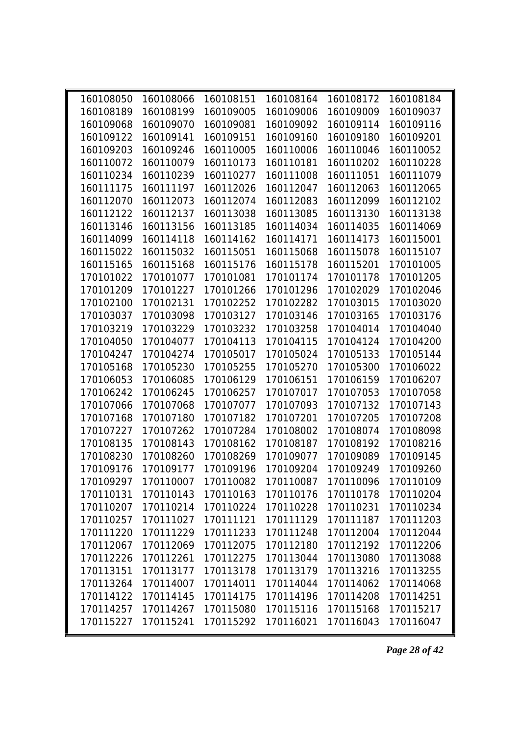| 160108050 | 160108066 | 160108151 | 160108164                               | 160108172 | 160108184 |  |
|-----------|-----------|-----------|-----------------------------------------|-----------|-----------|--|
| 160108189 | 160108199 | 160109005 | 160109006                               | 160109009 | 160109037 |  |
| 160109068 | 160109070 | 160109081 | 160109092                               | 160109114 | 160109116 |  |
| 160109122 | 160109141 | 160109151 | 160109160                               | 160109180 | 160109201 |  |
| 160109203 | 160109246 | 160110005 | 160110006                               | 160110046 | 160110052 |  |
| 160110072 | 160110079 | 160110173 | 160110181                               | 160110202 | 160110228 |  |
| 160110234 | 160110239 | 160110277 | 160111008                               | 160111051 | 160111079 |  |
| 160111175 | 160111197 | 160112026 | 160112047                               | 160112063 | 160112065 |  |
| 160112070 | 160112073 | 160112074 | 160112083                               | 160112099 | 160112102 |  |
| 160112122 | 160112137 | 160113038 | 160113085                               | 160113130 | 160113138 |  |
| 160113146 | 160113156 | 160113185 | 160114034                               | 160114035 | 160114069 |  |
| 160114099 | 160114118 | 160114162 | 160114171                               | 160114173 | 160115001 |  |
| 160115022 | 160115032 | 160115051 | 160115068                               | 160115078 | 160115107 |  |
| 160115165 | 160115168 | 160115176 | 160115178                               | 160115201 | 170101005 |  |
| 170101022 | 170101077 | 170101081 | 170101174                               | 170101178 | 170101205 |  |
| 170101209 | 170101227 | 170101266 | 170101296                               | 170102029 | 170102046 |  |
| 170102100 | 170102131 | 170102252 | 170102282                               | 170103015 | 170103020 |  |
| 170103037 | 170103098 | 170103127 | 170103146                               | 170103165 | 170103176 |  |
| 170103219 | 170103229 | 170103232 | 170103258                               | 170104014 | 170104040 |  |
| 170104050 | 170104077 | 170104113 | 170104115                               | 170104124 | 170104200 |  |
| 170104247 | 170104274 | 170105017 | 170105024                               | 170105133 | 170105144 |  |
| 170105168 | 170105230 | 170105255 | 170105270                               | 170105300 | 170106022 |  |
| 170106053 | 170106085 | 170106129 | 170106151                               | 170106159 | 170106207 |  |
| 170106242 | 170106245 | 170106257 | 170107017                               | 170107053 | 170107058 |  |
| 170107066 | 170107068 | 170107077 | 170107093                               | 170107132 | 170107143 |  |
| 170107168 | 170107180 | 170107182 | 170107201                               | 170107205 | 170107208 |  |
| 170107227 | 170107262 | 170107284 | 170108002                               | 170108074 | 170108098 |  |
| 170108135 | 170108143 | 170108162 | 170108187                               | 170108192 | 170108216 |  |
| 170108230 | 170108260 | 170108269 | 170109077                               | 170109089 | 170109145 |  |
| 170109176 | 170109177 | 170109196 | 170109204                               | 170109249 | 170109260 |  |
| 170109297 |           |           | 170110007 170110082 170110087 170110096 |           | 170110109 |  |
| 170110131 | 170110143 | 170110163 | 170110176                               | 170110178 | 170110204 |  |
| 170110207 | 170110214 | 170110224 | 170110228                               | 170110231 | 170110234 |  |
| 170110257 | 170111027 | 170111121 | 170111129                               | 170111187 | 170111203 |  |
| 170111220 | 170111229 | 170111233 | 170111248                               | 170112004 | 170112044 |  |
| 170112067 | 170112069 | 170112075 | 170112180                               | 170112192 | 170112206 |  |
| 170112226 | 170112261 | 170112275 | 170113044                               | 170113080 | 170113088 |  |
| 170113151 | 170113177 | 170113178 | 170113179                               | 170113216 | 170113255 |  |
| 170113264 | 170114007 | 170114011 | 170114044                               | 170114062 | 170114068 |  |
| 170114122 | 170114145 | 170114175 | 170114196                               | 170114208 | 170114251 |  |
| 170114257 | 170114267 | 170115080 | 170115116                               | 170115168 | 170115217 |  |
| 170115227 | 170115241 | 170115292 | 170116021                               | 170116043 | 170116047 |  |

*Page 28 of 42*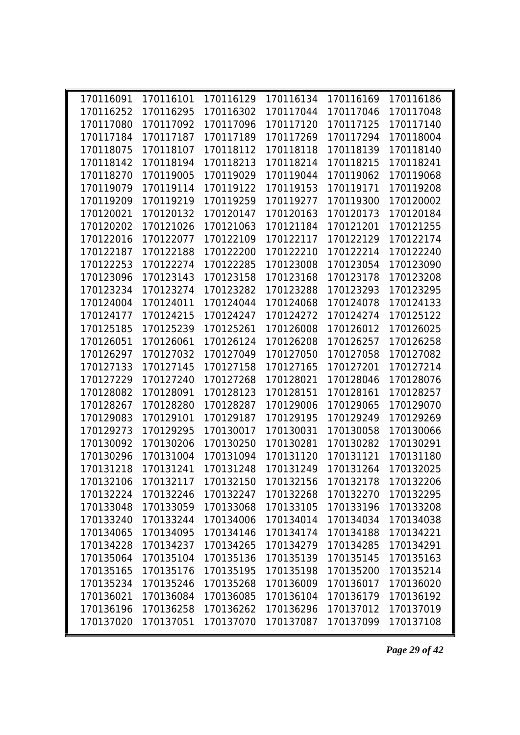| 170116091 | 170116101 |           |           | 170116129 170116134 170116169 170116186           |           |  |
|-----------|-----------|-----------|-----------|---------------------------------------------------|-----------|--|
| 170116252 | 170116295 | 170116302 | 170117044 | 170117046                                         | 170117048 |  |
| 170117080 | 170117092 | 170117096 | 170117120 | 170117125                                         | 170117140 |  |
| 170117184 | 170117187 | 170117189 | 170117269 | 170117294                                         | 170118004 |  |
| 170118075 | 170118107 | 170118112 | 170118118 | 170118139                                         | 170118140 |  |
| 170118142 | 170118194 | 170118213 | 170118214 | 170118215                                         | 170118241 |  |
| 170118270 | 170119005 | 170119029 | 170119044 | 170119062                                         | 170119068 |  |
| 170119079 | 170119114 | 170119122 | 170119153 | 170119171                                         | 170119208 |  |
| 170119209 | 170119219 | 170119259 | 170119277 | 170119300                                         | 170120002 |  |
| 170120021 | 170120132 | 170120147 | 170120163 | 170120173                                         | 170120184 |  |
| 170120202 | 170121026 | 170121063 | 170121184 | 170121201                                         | 170121255 |  |
| 170122016 | 170122077 | 170122109 | 170122117 | 170122129                                         | 170122174 |  |
| 170122187 | 170122188 | 170122200 | 170122210 | 170122214                                         | 170122240 |  |
| 170122253 | 170122274 | 170122285 | 170123008 | 170123054                                         | 170123090 |  |
| 170123096 | 170123143 | 170123158 | 170123168 | 170123178                                         | 170123208 |  |
| 170123234 | 170123274 | 170123282 | 170123288 | 170123293                                         | 170123295 |  |
| 170124004 | 170124011 | 170124044 | 170124068 | 170124078                                         | 170124133 |  |
| 170124177 | 170124215 | 170124247 | 170124272 | 170124274                                         | 170125122 |  |
| 170125185 | 170125239 | 170125261 | 170126008 | 170126012                                         | 170126025 |  |
| 170126051 | 170126061 | 170126124 | 170126208 | 170126257                                         | 170126258 |  |
| 170126297 | 170127032 | 170127049 | 170127050 | 170127058                                         | 170127082 |  |
| 170127133 | 170127145 | 170127158 | 170127165 | 170127201                                         | 170127214 |  |
| 170127229 | 170127240 | 170127268 | 170128021 | 170128046                                         | 170128076 |  |
| 170128082 | 170128091 | 170128123 | 170128151 | 170128161                                         | 170128257 |  |
| 170128267 | 170128280 | 170128287 | 170129006 | 170129065                                         | 170129070 |  |
| 170129083 | 170129101 | 170129187 | 170129195 | 170129249                                         | 170129269 |  |
| 170129273 | 170129295 | 170130017 | 170130031 | 170130058                                         | 170130066 |  |
| 170130092 | 170130206 | 170130250 | 170130281 | 170130282                                         | 170130291 |  |
| 170130296 | 170131004 | 170131094 | 170131120 | 170131121                                         | 170131180 |  |
| 170131218 | 170131241 | 170131248 | 170131249 | 170131264                                         | 170132025 |  |
| 170132106 |           |           |           | 170132117 170132150 170132156 170132178 170132206 |           |  |
| 170132224 | 170132246 | 170132247 | 170132268 | 170132270                                         | 170132295 |  |
| 170133048 | 170133059 | 170133068 | 170133105 | 170133196                                         | 170133208 |  |
| 170133240 | 170133244 | 170134006 | 170134014 | 170134034                                         | 170134038 |  |
| 170134065 | 170134095 | 170134146 | 170134174 | 170134188                                         | 170134221 |  |
| 170134228 | 170134237 | 170134265 | 170134279 | 170134285                                         | 170134291 |  |
| 170135064 | 170135104 | 170135136 | 170135139 | 170135145                                         | 170135163 |  |
| 170135165 | 170135176 | 170135195 | 170135198 | 170135200                                         | 170135214 |  |
| 170135234 | 170135246 | 170135268 | 170136009 | 170136017                                         | 170136020 |  |
| 170136021 | 170136084 | 170136085 | 170136104 | 170136179                                         | 170136192 |  |
| 170136196 | 170136258 | 170136262 | 170136296 | 170137012                                         | 170137019 |  |
| 170137020 | 170137051 | 170137070 | 170137087 | 170137099                                         | 170137108 |  |
|           |           |           |           |                                                   |           |  |

*Page 29 of 42*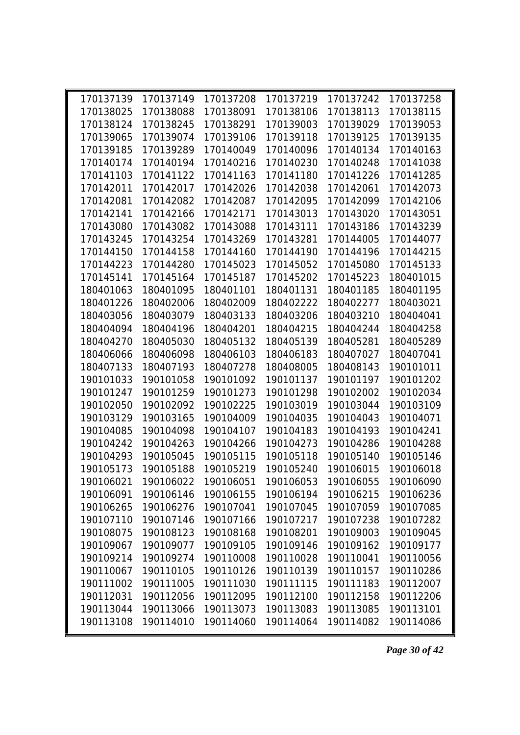| 170137139 | 170137149 | 170137208 | 170137219 | 170137242 | 170137258 |  |
|-----------|-----------|-----------|-----------|-----------|-----------|--|
| 170138025 | 170138088 | 170138091 | 170138106 | 170138113 | 170138115 |  |
| 170138124 | 170138245 | 170138291 | 170139003 | 170139029 | 170139053 |  |
| 170139065 | 170139074 | 170139106 | 170139118 | 170139125 | 170139135 |  |
| 170139185 | 170139289 | 170140049 | 170140096 | 170140134 | 170140163 |  |
| 170140174 | 170140194 | 170140216 | 170140230 | 170140248 | 170141038 |  |
| 170141103 | 170141122 | 170141163 | 170141180 | 170141226 | 170141285 |  |
| 170142011 | 170142017 | 170142026 | 170142038 | 170142061 | 170142073 |  |
| 170142081 | 170142082 | 170142087 | 170142095 | 170142099 | 170142106 |  |
| 170142141 | 170142166 | 170142171 | 170143013 | 170143020 | 170143051 |  |
| 170143080 | 170143082 | 170143088 | 170143111 | 170143186 | 170143239 |  |
| 170143245 | 170143254 | 170143269 | 170143281 | 170144005 | 170144077 |  |
| 170144150 | 170144158 | 170144160 | 170144190 | 170144196 | 170144215 |  |
| 170144223 | 170144280 | 170145023 | 170145052 | 170145080 | 170145133 |  |
| 170145141 | 170145164 | 170145187 | 170145202 | 170145223 | 180401015 |  |
| 180401063 | 180401095 | 180401101 | 180401131 | 180401185 | 180401195 |  |
| 180401226 | 180402006 | 180402009 | 180402222 | 180402277 | 180403021 |  |
| 180403056 | 180403079 | 180403133 | 180403206 | 180403210 | 180404041 |  |
| 180404094 | 180404196 | 180404201 | 180404215 | 180404244 | 180404258 |  |
| 180404270 | 180405030 | 180405132 | 180405139 | 180405281 | 180405289 |  |
| 180406066 | 180406098 | 180406103 | 180406183 | 180407027 | 180407041 |  |
| 180407133 | 180407193 | 180407278 | 180408005 | 180408143 | 190101011 |  |
| 190101033 | 190101058 | 190101092 | 190101137 | 190101197 | 190101202 |  |
| 190101247 | 190101259 | 190101273 | 190101298 | 190102002 | 190102034 |  |
| 190102050 | 190102092 | 190102225 | 190103019 | 190103044 | 190103109 |  |
| 190103129 | 190103165 | 190104009 | 190104035 | 190104043 | 190104071 |  |
| 190104085 | 190104098 | 190104107 | 190104183 | 190104193 | 190104241 |  |
| 190104242 | 190104263 | 190104266 | 190104273 | 190104286 | 190104288 |  |
| 190104293 | 190105045 | 190105115 | 190105118 | 190105140 | 190105146 |  |
| 190105173 | 190105188 | 190105219 | 190105240 | 190106015 | 190106018 |  |
| 190106021 | 190106022 | 190106051 | 190106053 | 190106055 | 190106090 |  |
| 190106091 | 190106146 | 190106155 | 190106194 | 190106215 | 190106236 |  |
| 190106265 | 190106276 | 190107041 | 190107045 | 190107059 | 190107085 |  |
| 190107110 | 190107146 | 190107166 | 190107217 | 190107238 | 190107282 |  |
| 190108075 | 190108123 | 190108168 | 190108201 | 190109003 | 190109045 |  |
| 190109067 | 190109077 | 190109105 | 190109146 | 190109162 | 190109177 |  |
| 190109214 | 190109274 | 190110008 | 190110028 | 190110041 | 190110056 |  |
| 190110067 | 190110105 | 190110126 | 190110139 | 190110157 | 190110286 |  |
| 190111002 | 190111005 | 190111030 | 190111115 | 190111183 | 190112007 |  |
| 190112031 | 190112056 | 190112095 | 190112100 | 190112158 | 190112206 |  |
| 190113044 | 190113066 | 190113073 | 190113083 | 190113085 | 190113101 |  |
| 190113108 | 190114010 | 190114060 | 190114064 | 190114082 | 190114086 |  |

*Page 30 of 42*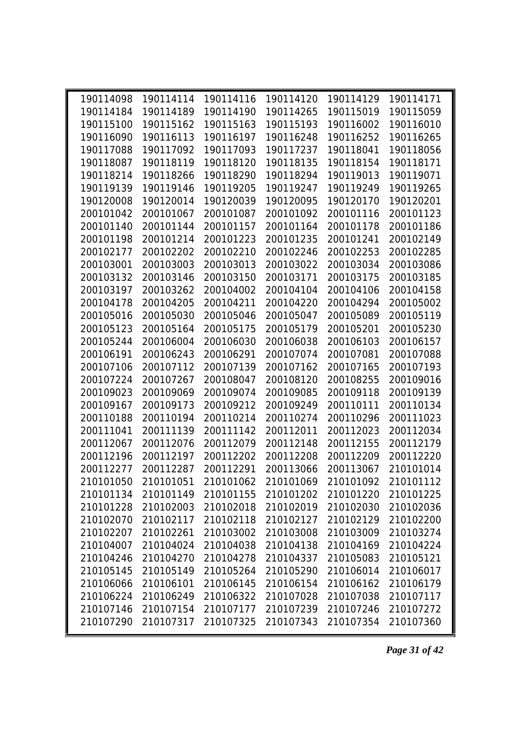| 190114098 | 190114114 |           | 190114116 190114120 | 190114129 190114171 |           |  |
|-----------|-----------|-----------|---------------------|---------------------|-----------|--|
| 190114184 | 190114189 | 190114190 | 190114265           | 190115019           | 190115059 |  |
| 190115100 | 190115162 | 190115163 | 190115193           | 190116002           | 190116010 |  |
| 190116090 | 190116113 | 190116197 | 190116248           | 190116252           | 190116265 |  |
| 190117088 | 190117092 | 190117093 | 190117237           | 190118041           | 190118056 |  |
| 190118087 | 190118119 | 190118120 | 190118135           | 190118154           | 190118171 |  |
| 190118214 | 190118266 | 190118290 | 190118294           | 190119013           | 190119071 |  |
| 190119139 | 190119146 | 190119205 | 190119247           | 190119249           | 190119265 |  |
| 190120008 | 190120014 | 190120039 | 190120095           | 190120170           | 190120201 |  |
| 200101042 | 200101067 | 200101087 | 200101092           | 200101116           | 200101123 |  |
| 200101140 | 200101144 | 200101157 | 200101164           | 200101178           | 200101186 |  |
| 200101198 | 200101214 | 200101223 | 200101235           | 200101241           | 200102149 |  |
| 200102177 | 200102202 | 200102210 | 200102246           | 200102253           | 200102285 |  |
| 200103001 | 200103003 | 200103013 | 200103022           | 200103034           | 200103086 |  |
| 200103132 | 200103146 | 200103150 | 200103171           | 200103175           | 200103185 |  |
| 200103197 | 200103262 | 200104002 | 200104104           | 200104106           | 200104158 |  |
| 200104178 | 200104205 | 200104211 | 200104220           | 200104294           | 200105002 |  |
| 200105016 | 200105030 | 200105046 | 200105047           | 200105089           | 200105119 |  |
| 200105123 | 200105164 | 200105175 | 200105179           | 200105201           | 200105230 |  |
| 200105244 | 200106004 | 200106030 | 200106038           | 200106103           | 200106157 |  |
| 200106191 | 200106243 | 200106291 | 200107074           | 200107081           | 200107088 |  |
| 200107106 | 200107112 | 200107139 | 200107162           | 200107165           | 200107193 |  |
| 200107224 | 200107267 | 200108047 | 200108120           | 200108255           | 200109016 |  |
| 200109023 | 200109069 | 200109074 | 200109085           | 200109118           | 200109139 |  |
| 200109167 | 200109173 | 200109212 | 200109249           | 200110111           | 200110134 |  |
| 200110188 | 200110194 | 200110214 | 200110274           | 200110296           | 200111023 |  |
| 200111041 | 200111139 | 200111142 | 200112011           | 200112023           | 200112034 |  |
| 200112067 | 200112076 | 200112079 | 200112148           | 200112155           | 200112179 |  |
| 200112196 | 200112197 | 200112202 | 200112208           | 200112209           | 200112220 |  |
| 200112277 | 200112287 | 200112291 | 200113066           | 200113067           | 210101014 |  |
| 210101050 | 210101051 | 210101062 | 210101069           | 210101092           | 210101112 |  |
| 210101134 | 210101149 | 210101155 | 210101202           | 210101220           | 210101225 |  |
| 210101228 | 210102003 | 210102018 | 210102019           | 210102030           | 210102036 |  |
| 210102070 | 210102117 | 210102118 | 210102127           | 210102129           | 210102200 |  |
| 210102207 | 210102261 | 210103002 | 210103008           | 210103009           | 210103274 |  |
| 210104007 | 210104024 | 210104038 | 210104138           | 210104169           | 210104224 |  |
| 210104246 | 210104270 | 210104278 | 210104337           | 210105083           | 210105121 |  |
| 210105145 | 210105149 | 210105264 | 210105290           | 210106014           | 210106017 |  |
| 210106066 | 210106101 | 210106145 | 210106154           | 210106162           | 210106179 |  |
| 210106224 | 210106249 | 210106322 | 210107028           | 210107038           | 210107117 |  |
| 210107146 | 210107154 | 210107177 | 210107239           | 210107246           | 210107272 |  |
| 210107290 | 210107317 | 210107325 | 210107343           | 210107354           | 210107360 |  |

*Page 31 of 42*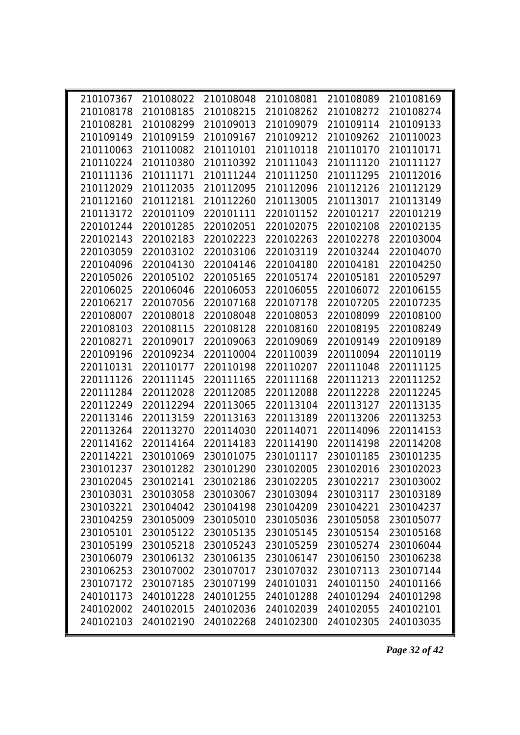| 210107367 | 210108022           |           | 210108048 210108081 |                     | 210108089 210108169 |  |
|-----------|---------------------|-----------|---------------------|---------------------|---------------------|--|
| 210108178 | 210108185           | 210108215 | 210108262           | 210108272           | 210108274           |  |
| 210108281 | 210108299           | 210109013 | 210109079           | 210109114           | 210109133           |  |
| 210109149 | 210109159           | 210109167 | 210109212           | 210109262           | 210110023           |  |
| 210110063 | 210110082           | 210110101 | 210110118           | 210110170           | 210110171           |  |
| 210110224 | 210110380           | 210110392 | 210111043           | 210111120           | 210111127           |  |
| 210111136 | 210111171           | 210111244 | 210111250           | 210111295           | 210112016           |  |
| 210112029 | 210112035           | 210112095 | 210112096           | 210112126           | 210112129           |  |
| 210112160 | 210112181           | 210112260 | 210113005           | 210113017           | 210113149           |  |
| 210113172 | 220101109           | 220101111 | 220101152           | 220101217           | 220101219           |  |
| 220101244 | 220101285           | 220102051 | 220102075           | 220102108           | 220102135           |  |
| 220102143 | 220102183           | 220102223 | 220102263           | 220102278           | 220103004           |  |
| 220103059 | 220103102           | 220103106 | 220103119           | 220103244           | 220104070           |  |
| 220104096 | 220104130           | 220104146 | 220104180           | 220104181           | 220104250           |  |
| 220105026 | 220105102           | 220105165 | 220105174           | 220105181           | 220105297           |  |
| 220106025 | 220106046           | 220106053 | 220106055           | 220106072           | 220106155           |  |
| 220106217 | 220107056           | 220107168 | 220107178           | 220107205           | 220107235           |  |
| 220108007 | 220108018           | 220108048 | 220108053           | 220108099           | 220108100           |  |
| 220108103 | 220108115           | 220108128 | 220108160           | 220108195           | 220108249           |  |
| 220108271 | 220109017           | 220109063 | 220109069           | 220109149           | 220109189           |  |
| 220109196 | 220109234           | 220110004 | 220110039           | 220110094           | 220110119           |  |
| 220110131 | 220110177           | 220110198 | 220110207           | 220111048           | 220111125           |  |
| 220111126 | 220111145           | 220111165 | 220111168           | 220111213           | 220111252           |  |
| 220111284 | 220112028           | 220112085 | 220112088           | 220112228           | 220112245           |  |
| 220112249 | 220112294           | 220113065 | 220113104           | 220113127           | 220113135           |  |
| 220113146 | 220113159           | 220113163 | 220113189           | 220113206           | 220113253           |  |
| 220113264 | 220113270           | 220114030 | 220114071           | 220114096           | 220114153           |  |
| 220114162 | 220114164           | 220114183 | 220114190           | 220114198           | 220114208           |  |
| 220114221 | 230101069           | 230101075 | 230101117           | 230101185           | 230101235           |  |
| 230101237 | 230101282           | 230101290 | 230102005           | 230102016           | 230102023           |  |
|           | 230102045 230102141 | 230102186 | 230102205           | 230102217 230103002 |                     |  |
| 230103031 | 230103058           | 230103067 | 230103094           | 230103117           | 230103189           |  |
| 230103221 | 230104042           | 230104198 | 230104209           | 230104221           | 230104237           |  |
| 230104259 | 230105009           | 230105010 | 230105036           | 230105058           | 230105077           |  |
| 230105101 | 230105122           | 230105135 | 230105145           | 230105154           | 230105168           |  |
| 230105199 | 230105218           | 230105243 | 230105259           | 230105274           | 230106044           |  |
| 230106079 | 230106132           | 230106135 | 230106147           | 230106150           | 230106238           |  |
| 230106253 | 230107002           | 230107017 | 230107032           | 230107113           | 230107144           |  |
| 230107172 | 230107185           | 230107199 | 240101031           | 240101150           | 240101166           |  |
| 240101173 | 240101228           | 240101255 | 240101288           | 240101294           | 240101298           |  |
| 240102002 | 240102015           | 240102036 | 240102039           | 240102055           | 240102101           |  |
| 240102103 | 240102190           | 240102268 | 240102300           | 240102305           | 240103035           |  |

*Page 32 of 42*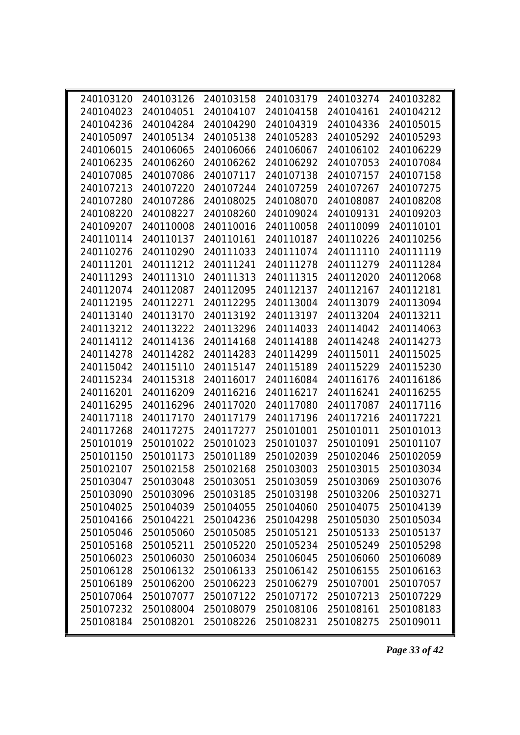| 240103120 | 240103126                     |           | 240103158 240103179 | 240103274                     | 240103282 |  |
|-----------|-------------------------------|-----------|---------------------|-------------------------------|-----------|--|
| 240104023 | 240104051                     | 240104107 | 240104158           | 240104161                     | 240104212 |  |
| 240104236 | 240104284                     | 240104290 | 240104319           | 240104336                     | 240105015 |  |
| 240105097 | 240105134                     | 240105138 | 240105283           | 240105292                     | 240105293 |  |
| 240106015 | 240106065                     | 240106066 | 240106067           | 240106102                     | 240106229 |  |
| 240106235 | 240106260                     | 240106262 | 240106292           | 240107053                     | 240107084 |  |
| 240107085 | 240107086                     | 240107117 | 240107138           | 240107157                     | 240107158 |  |
| 240107213 | 240107220                     | 240107244 | 240107259           | 240107267                     | 240107275 |  |
| 240107280 | 240107286                     | 240108025 | 240108070           | 240108087                     | 240108208 |  |
| 240108220 | 240108227                     | 240108260 | 240109024           | 240109131                     | 240109203 |  |
| 240109207 | 240110008                     | 240110016 | 240110058           | 240110099                     | 240110101 |  |
| 240110114 | 240110137                     | 240110161 | 240110187           | 240110226                     | 240110256 |  |
| 240110276 | 240110290                     | 240111033 | 240111074           | 240111110                     | 240111119 |  |
| 240111201 | 240111212                     | 240111241 | 240111278           | 240111279                     | 240111284 |  |
| 240111293 | 240111310                     | 240111313 | 240111315           | 240112020                     | 240112068 |  |
| 240112074 | 240112087                     | 240112095 | 240112137           | 240112167                     | 240112181 |  |
| 240112195 | 240112271                     | 240112295 | 240113004           | 240113079                     | 240113094 |  |
| 240113140 | 240113170                     | 240113192 | 240113197           | 240113204                     | 240113211 |  |
| 240113212 | 240113222                     | 240113296 | 240114033           | 240114042                     | 240114063 |  |
| 240114112 | 240114136                     | 240114168 | 240114188           | 240114248                     | 240114273 |  |
| 240114278 | 240114282                     | 240114283 | 240114299           | 240115011                     | 240115025 |  |
| 240115042 | 240115110                     | 240115147 | 240115189           | 240115229                     | 240115230 |  |
| 240115234 | 240115318                     | 240116017 | 240116084           | 240116176                     | 240116186 |  |
| 240116201 | 240116209                     | 240116216 | 240116217           | 240116241                     | 240116255 |  |
| 240116295 | 240116296                     | 240117020 | 240117080           | 240117087                     | 240117116 |  |
| 240117118 | 240117170                     | 240117179 | 240117196           | 240117216                     | 240117221 |  |
| 240117268 | 240117275                     | 240117277 | 250101001           | 250101011                     | 250101013 |  |
| 250101019 | 250101022                     | 250101023 | 250101037           | 250101091                     | 250101107 |  |
| 250101150 | 250101173                     | 250101189 | 250102039           | 250102046                     | 250102059 |  |
| 250102107 | 250102158                     | 250102168 | 250103003           | 250103015                     | 250103034 |  |
|           | 250103047 250103048 250103051 |           |                     | 250103059 250103069 250103076 |           |  |
| 250103090 | 250103096                     | 250103185 | 250103198           | 250103206                     | 250103271 |  |
| 250104025 | 250104039                     | 250104055 | 250104060           | 250104075                     | 250104139 |  |
| 250104166 | 250104221                     | 250104236 | 250104298           | 250105030                     | 250105034 |  |
| 250105046 | 250105060                     | 250105085 | 250105121           | 250105133                     | 250105137 |  |
| 250105168 | 250105211                     | 250105220 | 250105234           | 250105249                     | 250105298 |  |
| 250106023 | 250106030                     | 250106034 | 250106045           | 250106060                     | 250106089 |  |
| 250106128 | 250106132                     | 250106133 | 250106142           | 250106155                     | 250106163 |  |
| 250106189 | 250106200                     | 250106223 | 250106279           | 250107001                     | 250107057 |  |
| 250107064 | 250107077                     | 250107122 | 250107172           | 250107213                     | 250107229 |  |
| 250107232 | 250108004                     | 250108079 | 250108106           | 250108161                     | 250108183 |  |
| 250108184 | 250108201                     | 250108226 | 250108231           | 250108275                     | 250109011 |  |
|           |                               |           |                     |                               |           |  |

*Page 33 of 42*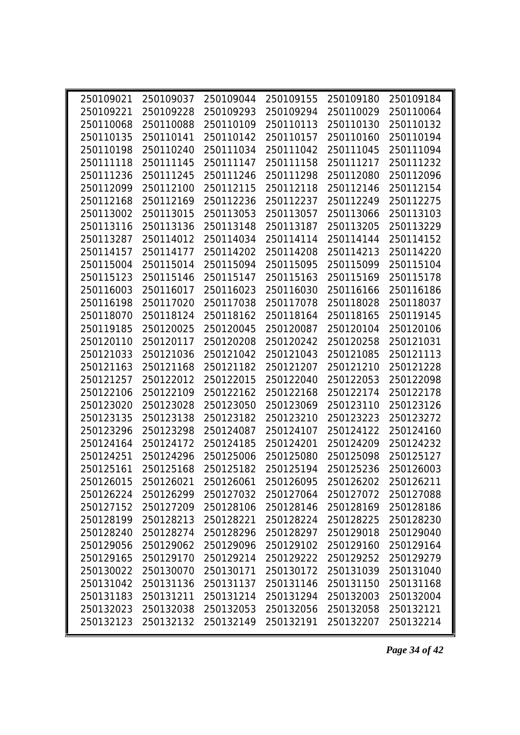| 250109021 | 250109037           | 250109044 | 250109155 | 250109180 | 250109184 |  |
|-----------|---------------------|-----------|-----------|-----------|-----------|--|
| 250109221 | 250109228           | 250109293 | 250109294 | 250110029 | 250110064 |  |
| 250110068 | 250110088           | 250110109 | 250110113 | 250110130 | 250110132 |  |
| 250110135 | 250110141           | 250110142 | 250110157 | 250110160 | 250110194 |  |
| 250110198 | 250110240           | 250111034 | 250111042 | 250111045 | 250111094 |  |
| 250111118 | 250111145           | 250111147 | 250111158 | 250111217 | 250111232 |  |
| 250111236 | 250111245           | 250111246 | 250111298 | 250112080 | 250112096 |  |
| 250112099 | 250112100           | 250112115 | 250112118 | 250112146 | 250112154 |  |
| 250112168 | 250112169           | 250112236 | 250112237 | 250112249 | 250112275 |  |
| 250113002 | 250113015           | 250113053 | 250113057 | 250113066 | 250113103 |  |
| 250113116 | 250113136           | 250113148 | 250113187 | 250113205 | 250113229 |  |
| 250113287 | 250114012           | 250114034 | 250114114 | 250114144 | 250114152 |  |
| 250114157 | 250114177           | 250114202 | 250114208 | 250114213 | 250114220 |  |
| 250115004 | 250115014           | 250115094 | 250115095 | 250115099 | 250115104 |  |
| 250115123 | 250115146           | 250115147 | 250115163 | 250115169 | 250115178 |  |
| 250116003 | 250116017           | 250116023 | 250116030 | 250116166 | 250116186 |  |
| 250116198 | 250117020           | 250117038 | 250117078 | 250118028 | 250118037 |  |
| 250118070 | 250118124           | 250118162 | 250118164 | 250118165 | 250119145 |  |
| 250119185 | 250120025           | 250120045 | 250120087 | 250120104 | 250120106 |  |
| 250120110 | 250120117           | 250120208 | 250120242 | 250120258 | 250121031 |  |
| 250121033 | 250121036           | 250121042 | 250121043 | 250121085 | 250121113 |  |
| 250121163 | 250121168           | 250121182 | 250121207 | 250121210 | 250121228 |  |
| 250121257 | 250122012           | 250122015 | 250122040 | 250122053 | 250122098 |  |
| 250122106 | 250122109           | 250122162 | 250122168 | 250122174 | 250122178 |  |
| 250123020 | 250123028           | 250123050 | 250123069 | 250123110 | 250123126 |  |
| 250123135 | 250123138           | 250123182 | 250123210 | 250123223 | 250123272 |  |
| 250123296 | 250123298           | 250124087 | 250124107 | 250124122 | 250124160 |  |
| 250124164 | 250124172           | 250124185 | 250124201 | 250124209 | 250124232 |  |
| 250124251 | 250124296           | 250125006 | 250125080 | 250125098 | 250125127 |  |
| 250125161 | 250125168           | 250125182 | 250125194 | 250125236 | 250126003 |  |
|           | 250126015 250126021 | 250126061 | 250126095 | 250126202 | 250126211 |  |
| 250126224 | 250126299           | 250127032 | 250127064 | 250127072 | 250127088 |  |
| 250127152 | 250127209           | 250128106 | 250128146 | 250128169 | 250128186 |  |
| 250128199 | 250128213           | 250128221 | 250128224 | 250128225 | 250128230 |  |
| 250128240 | 250128274           | 250128296 | 250128297 | 250129018 | 250129040 |  |
| 250129056 | 250129062           | 250129096 | 250129102 | 250129160 | 250129164 |  |
| 250129165 | 250129170           | 250129214 | 250129222 | 250129252 | 250129279 |  |
| 250130022 | 250130070           | 250130171 | 250130172 | 250131039 | 250131040 |  |
| 250131042 | 250131136           | 250131137 | 250131146 | 250131150 | 250131168 |  |
| 250131183 | 250131211           | 250131214 | 250131294 | 250132003 | 250132004 |  |
| 250132023 | 250132038           | 250132053 | 250132056 | 250132058 | 250132121 |  |
| 250132123 | 250132132           | 250132149 | 250132191 | 250132207 | 250132214 |  |
|           |                     |           |           |           |           |  |

*Page 34 of 42*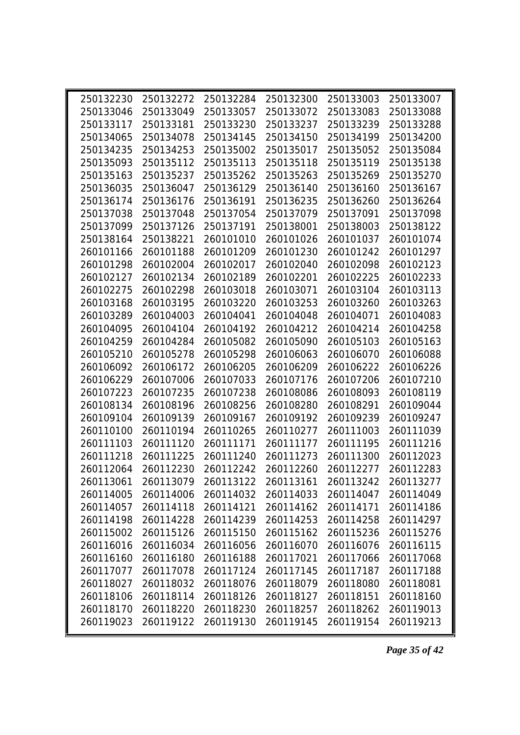| 250132230 | 250132272 | 250132284 | 250132300 | 250133003 | 250133007 |  |
|-----------|-----------|-----------|-----------|-----------|-----------|--|
| 250133046 | 250133049 | 250133057 | 250133072 | 250133083 | 250133088 |  |
| 250133117 | 250133181 | 250133230 | 250133237 | 250133239 | 250133288 |  |
| 250134065 | 250134078 | 250134145 | 250134150 | 250134199 | 250134200 |  |
| 250134235 | 250134253 | 250135002 | 250135017 | 250135052 | 250135084 |  |
| 250135093 | 250135112 | 250135113 | 250135118 | 250135119 | 250135138 |  |
| 250135163 | 250135237 | 250135262 | 250135263 | 250135269 | 250135270 |  |
| 250136035 | 250136047 | 250136129 | 250136140 | 250136160 | 250136167 |  |
| 250136174 | 250136176 | 250136191 | 250136235 | 250136260 | 250136264 |  |
| 250137038 | 250137048 | 250137054 | 250137079 | 250137091 | 250137098 |  |
| 250137099 | 250137126 | 250137191 | 250138001 | 250138003 | 250138122 |  |
| 250138164 | 250138221 | 260101010 | 260101026 | 260101037 | 260101074 |  |
| 260101166 | 260101188 | 260101209 | 260101230 | 260101242 | 260101297 |  |
| 260101298 | 260102004 | 260102017 | 260102040 | 260102098 | 260102123 |  |
| 260102127 | 260102134 | 260102189 | 260102201 | 260102225 | 260102233 |  |
| 260102275 | 260102298 | 260103018 | 260103071 | 260103104 | 260103113 |  |
| 260103168 | 260103195 | 260103220 | 260103253 | 260103260 | 260103263 |  |
| 260103289 | 260104003 | 260104041 | 260104048 | 260104071 | 260104083 |  |
| 260104095 | 260104104 | 260104192 | 260104212 | 260104214 | 260104258 |  |
| 260104259 | 260104284 | 260105082 | 260105090 | 260105103 | 260105163 |  |
| 260105210 | 260105278 | 260105298 | 260106063 | 260106070 | 260106088 |  |
| 260106092 | 260106172 | 260106205 | 260106209 | 260106222 | 260106226 |  |
| 260106229 | 260107006 | 260107033 | 260107176 | 260107206 | 260107210 |  |
| 260107223 | 260107235 | 260107238 | 260108086 | 260108093 | 260108119 |  |
| 260108134 | 260108196 | 260108256 | 260108280 | 260108291 | 260109044 |  |
| 260109104 | 260109139 | 260109167 | 260109192 | 260109239 | 260109247 |  |
| 260110100 | 260110194 | 260110265 | 260110277 | 260111003 | 260111039 |  |
| 260111103 | 260111120 | 260111171 | 260111177 | 260111195 | 260111216 |  |
| 260111218 | 260111225 | 260111240 | 260111273 | 260111300 | 260112023 |  |
| 260112064 | 260112230 | 260112242 | 260112260 | 260112277 | 260112283 |  |
| 260113061 | 260113079 | 260113122 | 260113161 | 260113242 | 260113277 |  |
| 260114005 | 260114006 | 260114032 | 260114033 | 260114047 | 260114049 |  |
| 260114057 | 260114118 | 260114121 | 260114162 | 260114171 | 260114186 |  |
| 260114198 | 260114228 | 260114239 | 260114253 | 260114258 | 260114297 |  |
| 260115002 | 260115126 | 260115150 | 260115162 | 260115236 | 260115276 |  |
| 260116016 | 260116034 | 260116056 | 260116070 | 260116076 | 260116115 |  |
| 260116160 | 260116180 | 260116188 | 260117021 | 260117066 | 260117068 |  |
| 260117077 | 260117078 | 260117124 | 260117145 | 260117187 | 260117188 |  |
| 260118027 | 260118032 | 260118076 | 260118079 | 260118080 | 260118081 |  |
| 260118106 | 260118114 | 260118126 | 260118127 | 260118151 | 260118160 |  |
| 260118170 | 260118220 | 260118230 | 260118257 | 260118262 | 260119013 |  |
| 260119023 | 260119122 | 260119130 | 260119145 | 260119154 | 260119213 |  |
|           |           |           |           |           |           |  |

*Page 35 of 42*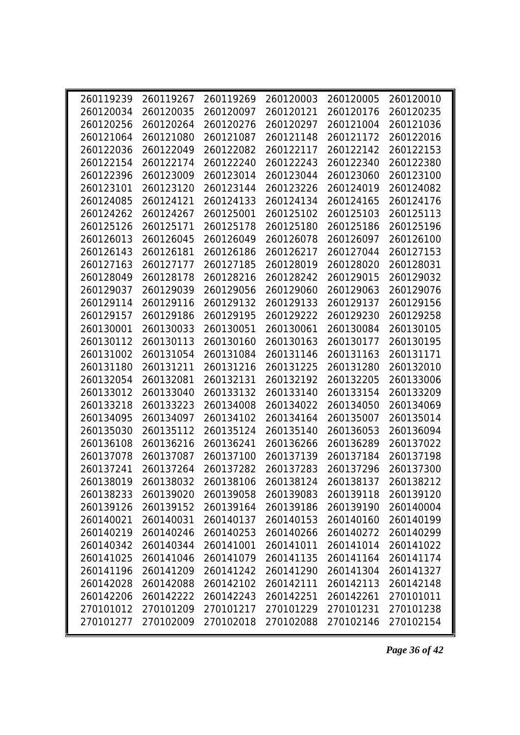| 260119239 | 260119267 |                                                             | 260119269 260120003 | 260120005 | 260120010 |  |
|-----------|-----------|-------------------------------------------------------------|---------------------|-----------|-----------|--|
| 260120034 | 260120035 | 260120097                                                   | 260120121           | 260120176 | 260120235 |  |
| 260120256 | 260120264 | 260120276                                                   | 260120297           | 260121004 | 260121036 |  |
| 260121064 | 260121080 | 260121087                                                   | 260121148           | 260121172 | 260122016 |  |
| 260122036 | 260122049 | 260122082                                                   | 260122117           | 260122142 | 260122153 |  |
| 260122154 | 260122174 | 260122240                                                   | 260122243           | 260122340 | 260122380 |  |
| 260122396 | 260123009 | 260123014                                                   | 260123044           | 260123060 | 260123100 |  |
| 260123101 | 260123120 | 260123144                                                   | 260123226           | 260124019 | 260124082 |  |
| 260124085 | 260124121 | 260124133                                                   | 260124134           | 260124165 | 260124176 |  |
| 260124262 | 260124267 | 260125001                                                   | 260125102           | 260125103 | 260125113 |  |
| 260125126 | 260125171 | 260125178                                                   | 260125180           | 260125186 | 260125196 |  |
| 260126013 | 260126045 | 260126049                                                   | 260126078           | 260126097 | 260126100 |  |
| 260126143 | 260126181 | 260126186                                                   | 260126217           | 260127044 | 260127153 |  |
| 260127163 | 260127177 | 260127185                                                   | 260128019           | 260128020 | 260128031 |  |
| 260128049 | 260128178 | 260128216                                                   | 260128242           | 260129015 | 260129032 |  |
| 260129037 | 260129039 | 260129056                                                   | 260129060           | 260129063 | 260129076 |  |
| 260129114 | 260129116 | 260129132                                                   | 260129133           | 260129137 | 260129156 |  |
| 260129157 | 260129186 | 260129195                                                   | 260129222           | 260129230 | 260129258 |  |
| 260130001 | 260130033 | 260130051                                                   | 260130061           | 260130084 | 260130105 |  |
| 260130112 | 260130113 | 260130160                                                   | 260130163           | 260130177 | 260130195 |  |
| 260131002 | 260131054 | 260131084                                                   | 260131146           | 260131163 | 260131171 |  |
| 260131180 | 260131211 | 260131216                                                   | 260131225           | 260131280 | 260132010 |  |
| 260132054 | 260132081 | 260132131                                                   | 260132192           | 260132205 | 260133006 |  |
| 260133012 | 260133040 | 260133132                                                   | 260133140           | 260133154 | 260133209 |  |
| 260133218 | 260133223 | 260134008                                                   | 260134022           | 260134050 | 260134069 |  |
| 260134095 | 260134097 | 260134102                                                   | 260134164           | 260135007 | 260135014 |  |
| 260135030 | 260135112 | 260135124                                                   | 260135140           | 260136053 | 260136094 |  |
| 260136108 | 260136216 | 260136241                                                   | 260136266           | 260136289 | 260137022 |  |
| 260137078 | 260137087 | 260137100                                                   | 260137139           | 260137184 | 260137198 |  |
| 260137241 | 260137264 | 260137282                                                   | 260137283           | 260137296 | 260137300 |  |
|           |           | 260138019 260138032 260138106 260138124 260138137 260138212 |                     |           |           |  |
| 260138233 | 260139020 | 260139058                                                   | 260139083           | 260139118 | 260139120 |  |
| 260139126 | 260139152 | 260139164                                                   | 260139186           | 260139190 | 260140004 |  |
| 260140021 | 260140031 | 260140137                                                   | 260140153           | 260140160 | 260140199 |  |
| 260140219 | 260140246 | 260140253                                                   | 260140266           | 260140272 | 260140299 |  |
| 260140342 | 260140344 | 260141001                                                   | 260141011           | 260141014 | 260141022 |  |
| 260141025 | 260141046 | 260141079                                                   | 260141135           | 260141164 | 260141174 |  |
| 260141196 | 260141209 | 260141242                                                   | 260141290           | 260141304 | 260141327 |  |
| 260142028 | 260142088 | 260142102                                                   | 260142111           | 260142113 | 260142148 |  |
| 260142206 | 260142222 | 260142243                                                   | 260142251           | 260142261 | 270101011 |  |
| 270101012 | 270101209 | 270101217                                                   | 270101229           | 270101231 | 270101238 |  |
| 270101277 | 270102009 | 270102018                                                   | 270102088           | 270102146 | 270102154 |  |
|           |           |                                                             |                     |           |           |  |

*Page 36 of 42*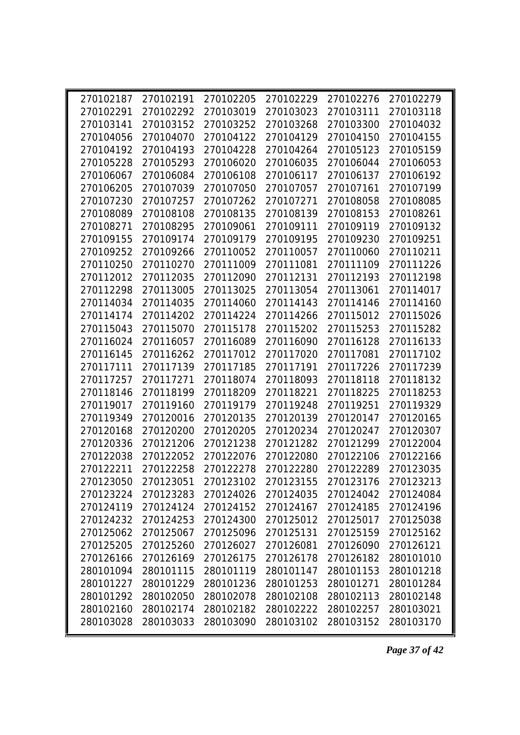|           | 270102187 270102191 |           | 270102205 270102229 270102276 270102279                     |           |           |
|-----------|---------------------|-----------|-------------------------------------------------------------|-----------|-----------|
| 270102291 | 270102292           | 270103019 | 270103023                                                   | 270103111 | 270103118 |
| 270103141 | 270103152           | 270103252 | 270103268                                                   | 270103300 | 270104032 |
| 270104056 | 270104070           | 270104122 | 270104129                                                   | 270104150 | 270104155 |
| 270104192 | 270104193           | 270104228 | 270104264                                                   | 270105123 | 270105159 |
| 270105228 | 270105293           | 270106020 | 270106035                                                   | 270106044 | 270106053 |
| 270106067 | 270106084           | 270106108 | 270106117                                                   | 270106137 | 270106192 |
| 270106205 | 270107039           | 270107050 | 270107057                                                   | 270107161 | 270107199 |
| 270107230 | 270107257           | 270107262 | 270107271                                                   | 270108058 | 270108085 |
| 270108089 | 270108108           | 270108135 | 270108139                                                   | 270108153 | 270108261 |
| 270108271 | 270108295           | 270109061 | 270109111                                                   | 270109119 | 270109132 |
| 270109155 | 270109174           | 270109179 | 270109195                                                   | 270109230 | 270109251 |
| 270109252 | 270109266           | 270110052 | 270110057                                                   | 270110060 | 270110211 |
| 270110250 | 270110270           | 270111009 | 270111081                                                   | 270111109 | 270111226 |
| 270112012 | 270112035           | 270112090 | 270112131                                                   | 270112193 | 270112198 |
| 270112298 | 270113005           | 270113025 | 270113054                                                   | 270113061 | 270114017 |
| 270114034 | 270114035           | 270114060 | 270114143                                                   | 270114146 | 270114160 |
| 270114174 | 270114202           | 270114224 | 270114266                                                   | 270115012 | 270115026 |
| 270115043 | 270115070           | 270115178 | 270115202                                                   | 270115253 | 270115282 |
| 270116024 | 270116057           | 270116089 | 270116090                                                   | 270116128 | 270116133 |
| 270116145 | 270116262           | 270117012 | 270117020                                                   | 270117081 | 270117102 |
| 270117111 | 270117139           | 270117185 | 270117191                                                   | 270117226 | 270117239 |
| 270117257 | 270117271           | 270118074 | 270118093                                                   | 270118118 | 270118132 |
| 270118146 | 270118199           | 270118209 | 270118221                                                   | 270118225 | 270118253 |
| 270119017 | 270119160           | 270119179 | 270119248                                                   | 270119251 | 270119329 |
| 270119349 | 270120016           | 270120135 | 270120139                                                   | 270120147 | 270120165 |
| 270120168 | 270120200           | 270120205 | 270120234                                                   | 270120247 | 270120307 |
| 270120336 | 270121206           |           | 270121238 270121282                                         | 270121299 | 270122004 |
| 270122038 | 270122052           | 270122076 | 270122080                                                   | 270122106 | 270122166 |
| 270122211 | 270122258           | 270122278 | 270122280                                                   | 270122289 | 270123035 |
|           |                     |           | 270123050 270123051 270123102 270123155 270123176 270123213 |           |           |
| 270123224 | 270123283           | 270124026 | 270124035                                                   | 270124042 | 270124084 |
| 270124119 | 270124124           | 270124152 | 270124167                                                   | 270124185 | 270124196 |
| 270124232 | 270124253           | 270124300 | 270125012                                                   | 270125017 | 270125038 |
| 270125062 | 270125067           | 270125096 | 270125131                                                   | 270125159 | 270125162 |
| 270125205 | 270125260           | 270126027 | 270126081                                                   | 270126090 | 270126121 |
| 270126166 | 270126169           | 270126175 | 270126178                                                   | 270126182 | 280101010 |
| 280101094 | 280101115           | 280101119 | 280101147                                                   | 280101153 | 280101218 |
| 280101227 | 280101229           | 280101236 | 280101253                                                   | 280101271 | 280101284 |
| 280101292 | 280102050           | 280102078 | 280102108                                                   | 280102113 | 280102148 |
| 280102160 | 280102174           | 280102182 | 280102222                                                   | 280102257 | 280103021 |
| 280103028 | 280103033           | 280103090 | 280103102                                                   | 280103152 | 280103170 |

*Page 37 of 42*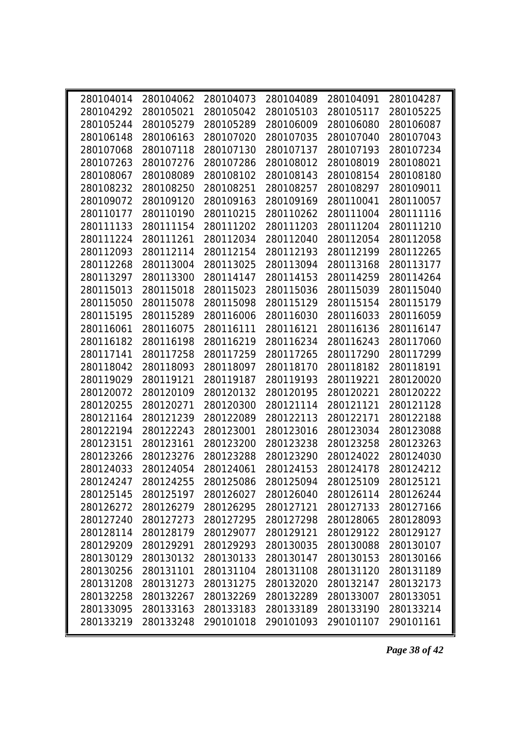| 280104014 | 280104062 | 280104073 | 280104089 | 280104091 | 280104287 |  |
|-----------|-----------|-----------|-----------|-----------|-----------|--|
| 280104292 | 280105021 | 280105042 | 280105103 | 280105117 | 280105225 |  |
| 280105244 | 280105279 | 280105289 | 280106009 | 280106080 | 280106087 |  |
| 280106148 | 280106163 | 280107020 | 280107035 | 280107040 | 280107043 |  |
| 280107068 | 280107118 | 280107130 | 280107137 | 280107193 | 280107234 |  |
| 280107263 | 280107276 | 280107286 | 280108012 | 280108019 | 280108021 |  |
| 280108067 | 280108089 | 280108102 | 280108143 | 280108154 | 280108180 |  |
| 280108232 | 280108250 | 280108251 | 280108257 | 280108297 | 280109011 |  |
| 280109072 | 280109120 | 280109163 | 280109169 | 280110041 | 280110057 |  |
| 280110177 | 280110190 | 280110215 | 280110262 | 280111004 | 280111116 |  |
| 280111133 | 280111154 | 280111202 | 280111203 | 280111204 | 280111210 |  |
| 280111224 | 280111261 | 280112034 | 280112040 | 280112054 | 280112058 |  |
| 280112093 | 280112114 | 280112154 | 280112193 | 280112199 | 280112265 |  |
| 280112268 | 280113004 | 280113025 | 280113094 | 280113168 | 280113177 |  |
| 280113297 | 280113300 | 280114147 | 280114153 | 280114259 | 280114264 |  |
| 280115013 | 280115018 | 280115023 | 280115036 | 280115039 | 280115040 |  |
| 280115050 | 280115078 | 280115098 | 280115129 | 280115154 | 280115179 |  |
| 280115195 | 280115289 | 280116006 | 280116030 | 280116033 | 280116059 |  |
| 280116061 | 280116075 | 280116111 | 280116121 | 280116136 | 280116147 |  |
| 280116182 | 280116198 | 280116219 | 280116234 | 280116243 | 280117060 |  |
| 280117141 | 280117258 | 280117259 | 280117265 | 280117290 | 280117299 |  |
| 280118042 | 280118093 | 280118097 | 280118170 | 280118182 | 280118191 |  |
| 280119029 | 280119121 | 280119187 | 280119193 | 280119221 | 280120020 |  |
| 280120072 | 280120109 | 280120132 | 280120195 | 280120221 | 280120222 |  |
| 280120255 | 280120271 | 280120300 | 280121114 | 280121121 | 280121128 |  |
| 280121164 | 280121239 | 280122089 | 280122113 | 280122171 | 280122188 |  |
| 280122194 | 280122243 | 280123001 | 280123016 | 280123034 | 280123088 |  |
| 280123151 | 280123161 | 280123200 | 280123238 | 280123258 | 280123263 |  |
| 280123266 | 280123276 | 280123288 | 280123290 | 280124022 | 280124030 |  |
| 280124033 | 280124054 | 280124061 | 280124153 | 280124178 | 280124212 |  |
| 280124247 | 280124255 | 280125086 | 280125094 | 280125109 | 280125121 |  |
| 280125145 | 280125197 | 280126027 | 280126040 | 280126114 | 280126244 |  |
| 280126272 | 280126279 | 280126295 | 280127121 | 280127133 | 280127166 |  |
| 280127240 | 280127273 | 280127295 | 280127298 | 280128065 | 280128093 |  |
| 280128114 | 280128179 | 280129077 | 280129121 | 280129122 | 280129127 |  |
| 280129209 | 280129291 | 280129293 | 280130035 | 280130088 | 280130107 |  |
| 280130129 | 280130132 | 280130133 | 280130147 | 280130153 | 280130166 |  |
| 280130256 | 280131101 | 280131104 | 280131108 | 280131120 | 280131189 |  |
| 280131208 | 280131273 | 280131275 | 280132020 | 280132147 | 280132173 |  |
| 280132258 | 280132267 | 280132269 | 280132289 | 280133007 | 280133051 |  |
| 280133095 | 280133163 | 280133183 | 280133189 | 280133190 | 280133214 |  |
| 280133219 | 280133248 | 290101018 | 290101093 | 290101107 | 290101161 |  |
|           |           |           |           |           |           |  |

*Page 38 of 42*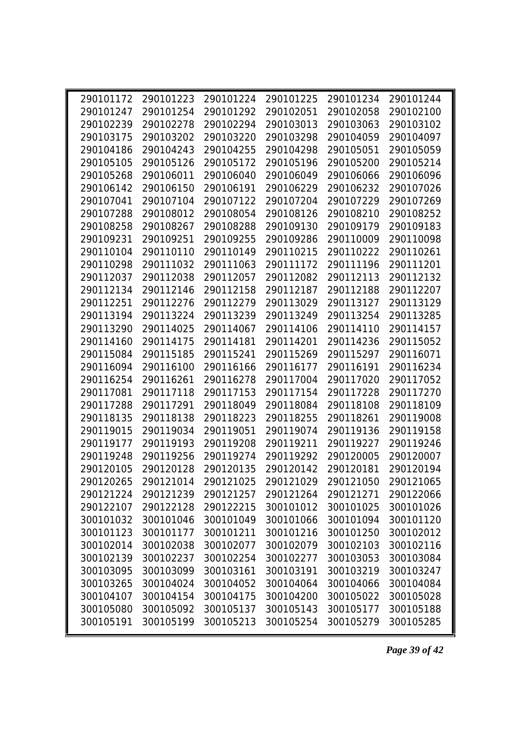| 290101172 | 290101223           | 290101224 | 290101225 | 290101234                     | 290101244 |
|-----------|---------------------|-----------|-----------|-------------------------------|-----------|
| 290101247 | 290101254           | 290101292 | 290102051 | 290102058                     | 290102100 |
| 290102239 | 290102278           | 290102294 | 290103013 | 290103063                     | 290103102 |
| 290103175 | 290103202           | 290103220 | 290103298 | 290104059                     | 290104097 |
| 290104186 | 290104243           | 290104255 | 290104298 | 290105051                     | 290105059 |
| 290105105 | 290105126           | 290105172 | 290105196 | 290105200                     | 290105214 |
| 290105268 | 290106011           | 290106040 | 290106049 | 290106066                     | 290106096 |
| 290106142 | 290106150           | 290106191 | 290106229 | 290106232                     | 290107026 |
| 290107041 | 290107104           | 290107122 | 290107204 | 290107229                     | 290107269 |
| 290107288 | 290108012           | 290108054 | 290108126 | 290108210                     | 290108252 |
| 290108258 | 290108267           | 290108288 | 290109130 | 290109179                     | 290109183 |
| 290109231 | 290109251           | 290109255 | 290109286 | 290110009                     | 290110098 |
| 290110104 | 290110110           | 290110149 | 290110215 | 290110222                     | 290110261 |
| 290110298 | 290111032           | 290111063 | 290111172 | 290111196                     | 290111201 |
| 290112037 | 290112038           | 290112057 | 290112082 | 290112113                     | 290112132 |
| 290112134 | 290112146           | 290112158 | 290112187 | 290112188                     | 290112207 |
| 290112251 | 290112276           | 290112279 | 290113029 | 290113127                     | 290113129 |
| 290113194 | 290113224           | 290113239 | 290113249 | 290113254                     | 290113285 |
| 290113290 | 290114025           | 290114067 | 290114106 | 290114110                     | 290114157 |
| 290114160 | 290114175           | 290114181 | 290114201 | 290114236                     | 290115052 |
| 290115084 | 290115185           | 290115241 | 290115269 | 290115297                     | 290116071 |
| 290116094 | 290116100           | 290116166 | 290116177 | 290116191                     | 290116234 |
| 290116254 | 290116261           | 290116278 | 290117004 | 290117020                     | 290117052 |
| 290117081 | 290117118           | 290117153 | 290117154 | 290117228                     | 290117270 |
| 290117288 | 290117291           | 290118049 | 290118084 | 290118108                     | 290118109 |
| 290118135 | 290118138           | 290118223 | 290118255 | 290118261                     | 290119008 |
| 290119015 | 290119034           | 290119051 | 290119074 | 290119136                     | 290119158 |
| 290119177 | 290119193           | 290119208 | 290119211 | 290119227                     | 290119246 |
| 290119248 | 290119256           | 290119274 | 290119292 | 290120005                     | 290120007 |
| 290120105 | 290120128           | 290120135 | 290120142 | 290120181                     | 290120194 |
|           | 290120265 290121014 | 290121025 |           | 290121029 290121050 290121065 |           |
| 290121224 | 290121239           | 290121257 | 290121264 | 290121271                     | 290122066 |
| 290122107 | 290122128           | 290122215 | 300101012 | 300101025                     | 300101026 |
| 300101032 | 300101046           | 300101049 | 300101066 | 300101094                     | 300101120 |
| 300101123 | 300101177           | 300101211 | 300101216 | 300101250                     | 300102012 |
| 300102014 | 300102038           | 300102077 | 300102079 | 300102103                     | 300102116 |
| 300102139 | 300102237           | 300102254 | 300102277 | 300103053                     | 300103084 |
| 300103095 | 300103099           | 300103161 | 300103191 | 300103219                     | 300103247 |
| 300103265 | 300104024           | 300104052 | 300104064 | 300104066                     | 300104084 |
| 300104107 | 300104154           | 300104175 | 300104200 | 300105022                     | 300105028 |
| 300105080 | 300105092           | 300105137 | 300105143 | 300105177                     | 300105188 |
| 300105191 | 300105199           | 300105213 | 300105254 | 300105279                     | 300105285 |

*Page 39 of 42*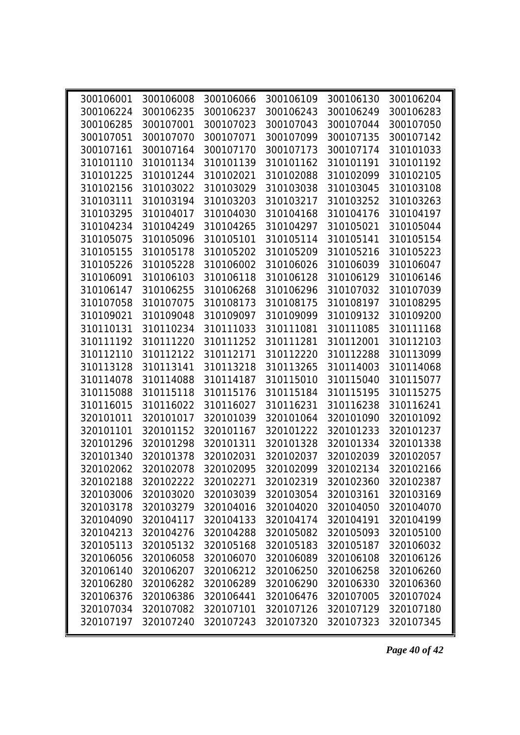| 300106001 | 300106008 |           | 300106066 300106109 | 300106130 | 300106204 |  |
|-----------|-----------|-----------|---------------------|-----------|-----------|--|
| 300106224 | 300106235 | 300106237 | 300106243           | 300106249 | 300106283 |  |
| 300106285 | 300107001 | 300107023 | 300107043           | 300107044 | 300107050 |  |
| 300107051 | 300107070 | 300107071 | 300107099           | 300107135 | 300107142 |  |
| 300107161 | 300107164 | 300107170 | 300107173           | 300107174 | 310101033 |  |
| 310101110 | 310101134 | 310101139 | 310101162           | 310101191 | 310101192 |  |
| 310101225 | 310101244 | 310102021 | 310102088           | 310102099 | 310102105 |  |
| 310102156 | 310103022 | 310103029 | 310103038           | 310103045 | 310103108 |  |
| 310103111 | 310103194 | 310103203 | 310103217           | 310103252 | 310103263 |  |
| 310103295 | 310104017 | 310104030 | 310104168           | 310104176 | 310104197 |  |
| 310104234 | 310104249 | 310104265 | 310104297           | 310105021 | 310105044 |  |
| 310105075 | 310105096 | 310105101 | 310105114           | 310105141 | 310105154 |  |
| 310105155 | 310105178 | 310105202 | 310105209           | 310105216 | 310105223 |  |
| 310105226 | 310105228 | 310106002 | 310106026           | 310106039 | 310106047 |  |
| 310106091 | 310106103 | 310106118 | 310106128           | 310106129 | 310106146 |  |
| 310106147 | 310106255 | 310106268 | 310106296           | 310107032 | 310107039 |  |
| 310107058 | 310107075 | 310108173 | 310108175           | 310108197 | 310108295 |  |
| 310109021 | 310109048 | 310109097 | 310109099           | 310109132 | 310109200 |  |
| 310110131 | 310110234 | 310111033 | 310111081           | 310111085 | 310111168 |  |
| 310111192 | 310111220 | 310111252 | 310111281           | 310112001 | 310112103 |  |
| 310112110 | 310112122 | 310112171 | 310112220           | 310112288 | 310113099 |  |
| 310113128 | 310113141 | 310113218 | 310113265           | 310114003 | 310114068 |  |
| 310114078 | 310114088 | 310114187 | 310115010           | 310115040 | 310115077 |  |
| 310115088 | 310115118 | 310115176 | 310115184           | 310115195 | 310115275 |  |
| 310116015 | 310116022 | 310116027 | 310116231           | 310116238 | 310116241 |  |
| 320101011 | 320101017 | 320101039 | 320101064           | 320101090 | 320101092 |  |
| 320101101 | 320101152 | 320101167 | 320101222           | 320101233 | 320101237 |  |
| 320101296 | 320101298 | 320101311 | 320101328           | 320101334 | 320101338 |  |
| 320101340 | 320101378 | 320102031 | 320102037           | 320102039 | 320102057 |  |
| 320102062 | 320102078 | 320102095 | 320102099           | 320102134 | 320102166 |  |
| 320102188 | 320102222 | 320102271 | 320102319           | 320102360 | 320102387 |  |
| 320103006 | 320103020 | 320103039 | 320103054           | 320103161 | 320103169 |  |
| 320103178 | 320103279 | 320104016 | 320104020           | 320104050 | 320104070 |  |
| 320104090 | 320104117 | 320104133 | 320104174           | 320104191 | 320104199 |  |
| 320104213 | 320104276 | 320104288 | 320105082           | 320105093 | 320105100 |  |
| 320105113 | 320105132 | 320105168 | 320105183           | 320105187 | 320106032 |  |
| 320106056 | 320106058 | 320106070 | 320106089           | 320106108 | 320106126 |  |
| 320106140 | 320106207 | 320106212 | 320106250           | 320106258 | 320106260 |  |
| 320106280 | 320106282 | 320106289 | 320106290           | 320106330 | 320106360 |  |
| 320106376 | 320106386 | 320106441 | 320106476           | 320107005 | 320107024 |  |
| 320107034 | 320107082 | 320107101 | 320107126           | 320107129 | 320107180 |  |
| 320107197 | 320107240 | 320107243 | 320107320           | 320107323 | 320107345 |  |

*Page 40 of 42*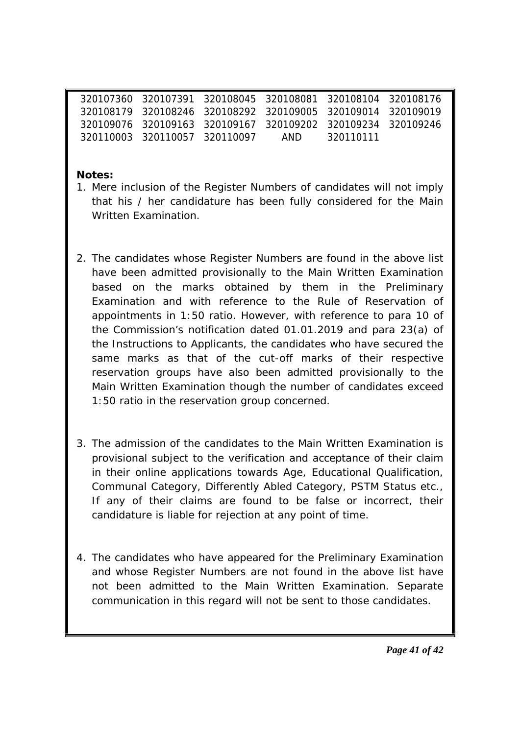|  |                               | 320107360 320107391 320108045 320108081 320108104 320108176 |           |  |
|--|-------------------------------|-------------------------------------------------------------|-----------|--|
|  |                               |                                                             |           |  |
|  |                               | 320109076 320109163 320109167 320109202 320109234 320109246 |           |  |
|  | 320110003 320110057 320110097 | AND                                                         | 320110111 |  |

**Notes:**

- 1. Mere inclusion of the Register Numbers of candidates will not imply that his / her candidature has been fully considered for the Main Written Examination.
- 2. The candidates whose Register Numbers are found in the above list have been admitted provisionally to the Main Written Examination based on the marks obtained by them in the Preliminary Examination and with reference to the Rule of Reservation of appointments in 1:50 ratio. However, with reference to para 10 of the Commission's notification dated 01.01.2019 and para 23(a) of the Instructions to Applicants, the candidates who have secured the same marks as that of the cut-off marks of their respective reservation groups have also been admitted provisionally to the Main Written Examination though the number of candidates exceed 1:50 ratio in the reservation group concerned.
- 3. The admission of the candidates to the Main Written Examination is provisional subject to the verification and acceptance of their claim in their online applications towards Age, Educational Qualification, Communal Category, Differently Abled Category, PSTM Status etc., If any of their claims are found to be false or incorrect, their candidature is liable for rejection at any point of time.
- 4. The candidates who have appeared for the Preliminary Examination and whose Register Numbers are not found in the above list have not been admitted to the Main Written Examination. Separate communication in this regard will not be sent to those candidates.